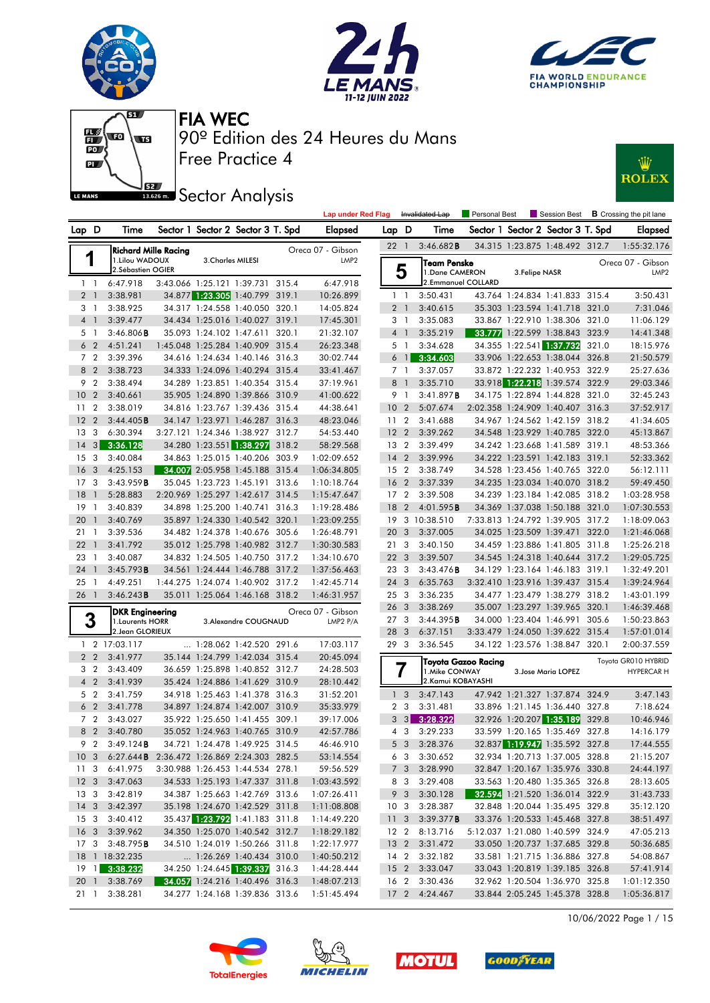







**JEZ Sector Analysis** 



| Sector 1 Sector 2 Sector 3 T. Spd<br>Lap D<br>Time<br>Elapsed<br>Lap D<br>Sector 1 Sector 2 Sector 3 T. Spd<br>Time<br><b>Elapsed</b><br>3:46.682B<br>34.315 1:23.875 1:48.492 312.7<br>1:55:32.176<br>22 1<br><b>Richard Mille Racing</b><br>Oreca 07 - Gibson<br>1<br>1.Lilou WADOUX<br>3. Charles MILESI<br>LMP <sub>2</sub><br><b>Team Penske</b><br>Oreca 07 - Gibson<br>5<br>2. Sébastien OGIER<br>1.Dane CAMERON<br>3. Felipe NASR<br>LMP <sub>2</sub><br>3:43.066 1:25.121 1:39.731 315.4<br>6:47.918<br>2.Emmanuel COLLARD<br>6:47.918<br>1 <sub>1</sub><br>34.877 1:23.305 1:40.799 319.1<br>2 <sub>1</sub><br>3:38.981<br>10:26.899<br>3:50.431<br>43.764 1:24.834 1:41.833 315.4<br>3:50.431<br>$1\quad$<br>3 <sub>1</sub><br>3:38.925<br>34.317 1:24.558 1:40.050 320.1<br>14:05.824<br>2 <sub>1</sub><br>3:40.615<br>35.303 1:23.594 1:41.718 321.0<br>7:31.046<br>4 <sup>1</sup><br>3:39.477<br>34.434 1:25.016 1:40.027 319.1<br>17:45.301<br>3 1<br>3:35.083<br>33.867 1:22.910 1:38.306 321.0<br>11:06.129<br>33.777 1:22.599 1:38.843 323.9<br>$3:46.806$ <b>B</b><br>35.093 1:24.102 1:47.611 320.1<br>21:32.107<br>4 <sup>1</sup><br>3:35.219<br>14:41.348<br>5 1<br>1:45.048 1:25.284 1:40.909 315.4<br>34.355 1:22.541 1:37.732<br>6 <sub>2</sub><br>4:51.241<br>26:23.348<br>5 1<br>3:34.628<br>321.0<br>18:15.976<br>7 <sub>2</sub><br>33.906 1:22.653 1:38.044 326.8<br>3:39.396<br>34.616 1:24.634 1:40.146 316.3<br>6 <sup>1</sup><br>3:34.603<br>30:02.744<br>21:50.579<br>8 2<br>34.333 1:24.096 1:40.294 315.4<br>33.872 1:22.232 1:40.953 322.9<br>3:38.723<br>33:41.467<br>3:37.057<br>25:27.636<br>71<br>9 <sub>2</sub><br>34.289 1:23.851 1:40.354 315.4<br>33.918 1:22.218 1:39.574 322.9<br>3:38.494<br>37:19.961<br>8 1<br>3:35.710<br>29:03.346<br>35.905 1:24.890 1:39.866 310.9<br>10 <sub>2</sub><br>3:40.661<br>41:00.622<br>3:41.897B<br>34.175 1:22.894 1:44.828 321.0<br>32:45.243<br>91<br>$\overline{2}$<br>3:38.019<br>34.816 1:23.767 1:39.436 315.4<br>44:38.641<br>10 <sub>2</sub><br>5:07.674<br>2:02.358 1:24.909 1:40.407 316.3<br>37:52.917<br>11<br>34.147 1:23.971 1:46.287 316.3<br>12 <sub>2</sub><br>3:44.405B<br>48:23.046<br>11 <sub>2</sub><br>3:41.688<br>34.967 1:24.562 1:42.159 318.2<br>41:34.605<br>3:27.121 1:24.346 1:38.927 312.7<br>13 <sub>3</sub><br>6:30.394<br>54:53.440<br>3:39.262<br>34.548 1:23.929 1:40.785 322.0<br>45:13.867<br>12 <sub>2</sub><br>$14 \quad 3$<br>34.280 1:23.551 1:38.297<br>3:36.128<br>318.2<br>58:29.568<br>13 2<br>3:39.499<br>34.242 1:23.668 1:41.589 319.1<br>48:53.366<br>$\overline{\mathbf{3}}$<br>34.863 1:25.015 1:40.206 303.9<br>34.222 1:23.591 1:42.183 319.1<br>15<br>3:40.084<br>1:02:09.652<br>$14 \quad 2$<br>3:39.996<br>52:33.362<br>34.007 2:05.958 1:45.188 315.4<br>34.528 1:23.456 1:40.765 322.0<br>16 <sub>3</sub><br>4:25.153<br>1:06:34.805<br>15 <sub>2</sub><br>3:38.749<br>56:12.111<br>35.045 1:23.723 1:45.191 313.6<br>17 <sub>3</sub><br>3:43.959B<br>1:10:18.764<br>16 <sub>2</sub><br>3:37.339<br>34.235 1:23.034 1:40.070 318.2<br>59:49.450<br>18<br>2:20.969 1:25.297 1:42.617 314.5<br>34.239 1:23.184 1:42.085 318.2<br>$\overline{1}$<br>5:28.883<br>1:15:47.647<br>17 <sub>2</sub><br>3:39.508<br>1:03:28.958<br>34.898 1:25.200 1:40.741<br>34.369 1:37.038 1:50.188 321.0<br>19<br>$\overline{1}$<br>3:40.839<br>316.3<br>1:19:28.486<br>18<br>$\overline{2}$<br>4:01.595B<br>1:07:30.553<br>35.897 1:24.330 1:40.542 320.1<br>7:33.813 1:24.792 1:39.905 317.2<br>20<br>3:40.769<br>1:23:09.255<br>19 3 10:38.510<br>1:18:09.063<br>$\overline{1}$<br>34.482 1:24.378 1:40.676 305.6<br>211<br>3:39.536<br>1:26:48.791<br>20<br>-3<br>3:37.005<br>34.025 1:23.509 1:39.471 322.0<br>1:21:46.068<br>35.012 1:25.798 1:40.982 312.7<br>$22 \quad 1$<br>3:41.792<br>1:30:30.583<br>21 3<br>3:40.150<br>34.459 1:23.886 1:41.805 311.8<br>1:25:26.218<br>23 1<br>3:40.087<br>34.832 1:24.505 1:40.750 317.2<br>1:34:10.670<br>22 <sub>3</sub><br>3:39.507<br>34.545 1:24.318 1:40.644 317.2<br>1:29:05.725<br>34.561 1:24.444 1:46.788 317.2<br>24<br>3:45.793B<br>1:37:56.463<br>23 3<br>3:43.476B<br>34.129 1:23.164 1:46.183 319.1<br>1:32:49.201<br>$\overline{1}$<br>1:44.275 1:24.074 1:40.902 317.2<br>25 <sub>1</sub><br>4:49.251<br>24 3<br>6:35.763<br>3:32.410 1:23.916 1:39.437 315.4<br>1:39:24.964<br>1:42:45.714<br>26 1<br>3:46.243B<br>35.011 1:25.064 1:46.168 318.2<br>1:46:31.957<br>25 3<br>3:36.235<br>34.477 1:23.479 1:38.279 318.2<br>1:43:01.199<br>26 <sub>3</sub><br>3:38.269<br>35.007 1:23.297 1:39.965 320.1<br>1:46:39.468<br>Oreca 07 - Gibson<br>DKR Engineering<br>3<br>34.000 1:23.404 1:46.991 305.6<br>27 3<br>3:44.395B<br>1:50:23.863<br>1. Laurents HORR<br>3. Alexandre COUGNAUD<br>LMP2 P/A<br>2. Jean GLORIEUX<br>28 3<br>6:37.151<br>3:33.479 1:24.050 1:39.622 315.4<br>1:57:01.014<br>1 2 17:03.117<br>1:28.062 1:42.520 291.6<br>17:03.117<br>29 3<br>3:36.545<br>34.122 1:23.576 1:38.847 320.1<br>2:00:37.559<br>2 <sub>2</sub><br>3:41.977<br>35.144 1:24.799 1:42.034 315.4<br>20:45.094<br>Toyota GR010 HYBRID<br>Toyota Gazoo Racing<br>3 2<br>3:43.409<br>36.659 1:25.898 1:40.852 312.7<br>24:28.503<br>1. Mike CONWAY<br>3. Jose Maria LOPEZ<br><b>HYPERCAR H</b><br>$4\quad 2$<br>3:41.939<br>35.424 1:24.886 1:41.629 310.9<br>28:10.442<br>2.Kamui KOBAYASHI<br>5 2<br>3:41.759<br>34.918 1:25.463 1:41.378 316.3<br>31:52.201<br>3:47.143<br>47.942 1:21.327 1:37.874 324.9<br>3:47.143<br>1 <sub>3</sub><br>6 <sub>2</sub><br>3:41.778<br>34.897 1:24.874 1:42.007 310.9<br>35:33.979<br>2 <sub>3</sub><br>3:31.481<br>33.896 1:21.145 1:36.440 327.8<br>7:18.624<br>7 <sub>2</sub><br>3:43.027<br>35.922 1:25.650 1:41.455 309.1<br>39:17.006<br>$3 \quad 3$<br>3:28.322<br>32.926 1:20.207 1:35.189 329.8<br>10:46.946<br>8 2 3:40.780<br>33.599 1:20.165 1:35.469 327.8<br>35.052 1:24.963 1:40.765 310.9<br>42:57.786<br>4 3<br>3:29.233<br>14:16.179<br>32.837 1:19.947 1:35.592 327.8<br>9 2 3:49.124B<br>34.721 1:24.478 1:49.925 314.5<br>46:46.910<br>5 3 3:28.376<br>17:44.555<br>10 3 6:27.644 <b>B</b> 2:36.472 1:26.869 2:24.303 282.5<br>53:14.554<br>6 3 3:30.652<br>32.934 1:20.713 1:37.005 328.8<br>21:15.207<br>59:56.529<br>11 3 6:41.975<br>3:30.988 1:26.453 1:44.534 278.1<br>7 3 3:28.990<br>32.847 1:20.167 1:35.976 330.8<br>24:44.197<br>12 3 3:47.063<br>34.533 1:25.193 1:47.337 311.8<br>1:03:43.592<br>8 3 3:29.408<br>33.563 1:20.480 1:35.365 326.8<br>28:13.605<br>34.387 1:25.663 1:42.769 313.6<br>32.594 1:21.520 1:36.014 322.9<br>13 3 3:42.819<br>1:07:26.411<br>9 3 3:30.128<br>31:43.733<br>14 3 3:42.397<br>35.198 1:24.670 1:42.529 311.8<br>32.848 1:20.044 1:35.495 329.8<br>1:11:08.808<br>10 <sub>3</sub><br>3:28.387<br>35:12.120<br>35.437 1:23.792 1:41.183 311.8<br>15 3 3:40.412<br>1:14:49.220<br>11 3 3:39.377 <b>B</b><br>33.376 1:20.533 1:45.468 327.8<br>38:51.497<br>34.350 1:25.070 1:40.542 312.7<br>16 3 3:39.962<br>12 2 8:13.716<br>5:12.037 1:21.080 1:40.599 324.9<br>1:18:29.182<br>47:05.213<br>17 3 3:48.795 <b>B</b><br>34.510 1:24.019 1:50.266 311.8<br>1:22:17.977<br>13 2 3:31.472<br>33.050 1:20.737 1:37.685 329.8<br>50:36.685<br>18 1 18:32.235<br>1:26.269 1:40.434 310.0<br>1:40:50.212<br>14 2 3:32.182<br>33.581 1:21.715 1:36.886 327.8<br>54:08.867<br>19 1 3:38.232<br>34.250 1:24.645 1:39.337 316.3<br>33.043 1:20.819 1:39.185 326.8 |  |  |  | <b>Lap under Red Flag</b> |  | Invalidated Lap |  |  | <b>Personal Best B</b> Crossing the pit lane |
|-------------------------------------------------------------------------------------------------------------------------------------------------------------------------------------------------------------------------------------------------------------------------------------------------------------------------------------------------------------------------------------------------------------------------------------------------------------------------------------------------------------------------------------------------------------------------------------------------------------------------------------------------------------------------------------------------------------------------------------------------------------------------------------------------------------------------------------------------------------------------------------------------------------------------------------------------------------------------------------------------------------------------------------------------------------------------------------------------------------------------------------------------------------------------------------------------------------------------------------------------------------------------------------------------------------------------------------------------------------------------------------------------------------------------------------------------------------------------------------------------------------------------------------------------------------------------------------------------------------------------------------------------------------------------------------------------------------------------------------------------------------------------------------------------------------------------------------------------------------------------------------------------------------------------------------------------------------------------------------------------------------------------------------------------------------------------------------------------------------------------------------------------------------------------------------------------------------------------------------------------------------------------------------------------------------------------------------------------------------------------------------------------------------------------------------------------------------------------------------------------------------------------------------------------------------------------------------------------------------------------------------------------------------------------------------------------------------------------------------------------------------------------------------------------------------------------------------------------------------------------------------------------------------------------------------------------------------------------------------------------------------------------------------------------------------------------------------------------------------------------------------------------------------------------------------------------------------------------------------------------------------------------------------------------------------------------------------------------------------------------------------------------------------------------------------------------------------------------------------------------------------------------------------------------------------------------------------------------------------------------------------------------------------------------------------------------------------------------------------------------------------------------------------------------------------------------------------------------------------------------------------------------------------------------------------------------------------------------------------------------------------------------------------------------------------------------------------------------------------------------------------------------------------------------------------------------------------------------------------------------------------------------------------------------------------------------------------------------------------------------------------------------------------------------------------------------------------------------------------------------------------------------------------------------------------------------------------------------------------------------------------------------------------------------------------------------------------------------------------------------------------------------------------------------------------------------------------------------------------------------------------------------------------------------------------------------------------------------------------------------------------------------------------------------------------------------------------------------------------------------------------------------------------------------------------------------------------------------------------------------------------------------------------------------------------------------------------------------------------------------------------------------------------------------------------------------------------------------------------------------------------------------------------------------------------------------------------------------------------------------------------------------------------------------------------------------------------------------------------------------------------------------------------------------------------------------------------------------------------------------------------------------------------------------------------------------------------------------------------------------------------------------------------------------------------------------------------------------------------------------------------------------------------------------------------------------------------------------------------------------------------------------------------------------------------------------------------------------------------------------------------------------------------------------------------------------------------------------------------------------------------------------------------------------------------------------------------------------------------------------------------------------------------------------------------------------------------------------------------------------------------------------------------------------------------------------------------------------------------------------------------------------------------------------------------------------------------------------------------------------------------------------------------------------------------------------------------------------------------------------------------------------------------------------------------------------------------------------------------------------------------------------------------------------------------------------------------------------------------------------------------------------------------------------------------------------|--|--|--|---------------------------|--|-----------------|--|--|----------------------------------------------|
|                                                                                                                                                                                                                                                                                                                                                                                                                                                                                                                                                                                                                                                                                                                                                                                                                                                                                                                                                                                                                                                                                                                                                                                                                                                                                                                                                                                                                                                                                                                                                                                                                                                                                                                                                                                                                                                                                                                                                                                                                                                                                                                                                                                                                                                                                                                                                                                                                                                                                                                                                                                                                                                                                                                                                                                                                                                                                                                                                                                                                                                                                                                                                                                                                                                                                                                                                                                                                                                                                                                                                                                                                                                                                                                                                                                                                                                                                                                                                                                                                                                                                                                                                                                                                                                                                                                                                                                                                                                                                                                                                                                                                                                                                                                                                                                                                                                                                                                                                                                                                                                                                                                                                                                                                                                                                                                                                                                                                                                                                                                                                                                                                                                                                                                                                                                                                                                                                                                                                                                                                                                                                                                                                                                                                                                                                                                                                                                                                                                                                                                                                                                                                                                                                                                                                                                                                                                                                                                                                                                                                                                                                                                                                                                                                                                                                                                                                                                                                                                 |  |  |  |                           |  |                 |  |  |                                              |
|                                                                                                                                                                                                                                                                                                                                                                                                                                                                                                                                                                                                                                                                                                                                                                                                                                                                                                                                                                                                                                                                                                                                                                                                                                                                                                                                                                                                                                                                                                                                                                                                                                                                                                                                                                                                                                                                                                                                                                                                                                                                                                                                                                                                                                                                                                                                                                                                                                                                                                                                                                                                                                                                                                                                                                                                                                                                                                                                                                                                                                                                                                                                                                                                                                                                                                                                                                                                                                                                                                                                                                                                                                                                                                                                                                                                                                                                                                                                                                                                                                                                                                                                                                                                                                                                                                                                                                                                                                                                                                                                                                                                                                                                                                                                                                                                                                                                                                                                                                                                                                                                                                                                                                                                                                                                                                                                                                                                                                                                                                                                                                                                                                                                                                                                                                                                                                                                                                                                                                                                                                                                                                                                                                                                                                                                                                                                                                                                                                                                                                                                                                                                                                                                                                                                                                                                                                                                                                                                                                                                                                                                                                                                                                                                                                                                                                                                                                                                                                                 |  |  |  |                           |  |                 |  |  |                                              |
|                                                                                                                                                                                                                                                                                                                                                                                                                                                                                                                                                                                                                                                                                                                                                                                                                                                                                                                                                                                                                                                                                                                                                                                                                                                                                                                                                                                                                                                                                                                                                                                                                                                                                                                                                                                                                                                                                                                                                                                                                                                                                                                                                                                                                                                                                                                                                                                                                                                                                                                                                                                                                                                                                                                                                                                                                                                                                                                                                                                                                                                                                                                                                                                                                                                                                                                                                                                                                                                                                                                                                                                                                                                                                                                                                                                                                                                                                                                                                                                                                                                                                                                                                                                                                                                                                                                                                                                                                                                                                                                                                                                                                                                                                                                                                                                                                                                                                                                                                                                                                                                                                                                                                                                                                                                                                                                                                                                                                                                                                                                                                                                                                                                                                                                                                                                                                                                                                                                                                                                                                                                                                                                                                                                                                                                                                                                                                                                                                                                                                                                                                                                                                                                                                                                                                                                                                                                                                                                                                                                                                                                                                                                                                                                                                                                                                                                                                                                                                                                 |  |  |  |                           |  |                 |  |  |                                              |
|                                                                                                                                                                                                                                                                                                                                                                                                                                                                                                                                                                                                                                                                                                                                                                                                                                                                                                                                                                                                                                                                                                                                                                                                                                                                                                                                                                                                                                                                                                                                                                                                                                                                                                                                                                                                                                                                                                                                                                                                                                                                                                                                                                                                                                                                                                                                                                                                                                                                                                                                                                                                                                                                                                                                                                                                                                                                                                                                                                                                                                                                                                                                                                                                                                                                                                                                                                                                                                                                                                                                                                                                                                                                                                                                                                                                                                                                                                                                                                                                                                                                                                                                                                                                                                                                                                                                                                                                                                                                                                                                                                                                                                                                                                                                                                                                                                                                                                                                                                                                                                                                                                                                                                                                                                                                                                                                                                                                                                                                                                                                                                                                                                                                                                                                                                                                                                                                                                                                                                                                                                                                                                                                                                                                                                                                                                                                                                                                                                                                                                                                                                                                                                                                                                                                                                                                                                                                                                                                                                                                                                                                                                                                                                                                                                                                                                                                                                                                                                                 |  |  |  |                           |  |                 |  |  |                                              |
|                                                                                                                                                                                                                                                                                                                                                                                                                                                                                                                                                                                                                                                                                                                                                                                                                                                                                                                                                                                                                                                                                                                                                                                                                                                                                                                                                                                                                                                                                                                                                                                                                                                                                                                                                                                                                                                                                                                                                                                                                                                                                                                                                                                                                                                                                                                                                                                                                                                                                                                                                                                                                                                                                                                                                                                                                                                                                                                                                                                                                                                                                                                                                                                                                                                                                                                                                                                                                                                                                                                                                                                                                                                                                                                                                                                                                                                                                                                                                                                                                                                                                                                                                                                                                                                                                                                                                                                                                                                                                                                                                                                                                                                                                                                                                                                                                                                                                                                                                                                                                                                                                                                                                                                                                                                                                                                                                                                                                                                                                                                                                                                                                                                                                                                                                                                                                                                                                                                                                                                                                                                                                                                                                                                                                                                                                                                                                                                                                                                                                                                                                                                                                                                                                                                                                                                                                                                                                                                                                                                                                                                                                                                                                                                                                                                                                                                                                                                                                                                 |  |  |  |                           |  |                 |  |  |                                              |
|                                                                                                                                                                                                                                                                                                                                                                                                                                                                                                                                                                                                                                                                                                                                                                                                                                                                                                                                                                                                                                                                                                                                                                                                                                                                                                                                                                                                                                                                                                                                                                                                                                                                                                                                                                                                                                                                                                                                                                                                                                                                                                                                                                                                                                                                                                                                                                                                                                                                                                                                                                                                                                                                                                                                                                                                                                                                                                                                                                                                                                                                                                                                                                                                                                                                                                                                                                                                                                                                                                                                                                                                                                                                                                                                                                                                                                                                                                                                                                                                                                                                                                                                                                                                                                                                                                                                                                                                                                                                                                                                                                                                                                                                                                                                                                                                                                                                                                                                                                                                                                                                                                                                                                                                                                                                                                                                                                                                                                                                                                                                                                                                                                                                                                                                                                                                                                                                                                                                                                                                                                                                                                                                                                                                                                                                                                                                                                                                                                                                                                                                                                                                                                                                                                                                                                                                                                                                                                                                                                                                                                                                                                                                                                                                                                                                                                                                                                                                                                                 |  |  |  |                           |  |                 |  |  |                                              |
|                                                                                                                                                                                                                                                                                                                                                                                                                                                                                                                                                                                                                                                                                                                                                                                                                                                                                                                                                                                                                                                                                                                                                                                                                                                                                                                                                                                                                                                                                                                                                                                                                                                                                                                                                                                                                                                                                                                                                                                                                                                                                                                                                                                                                                                                                                                                                                                                                                                                                                                                                                                                                                                                                                                                                                                                                                                                                                                                                                                                                                                                                                                                                                                                                                                                                                                                                                                                                                                                                                                                                                                                                                                                                                                                                                                                                                                                                                                                                                                                                                                                                                                                                                                                                                                                                                                                                                                                                                                                                                                                                                                                                                                                                                                                                                                                                                                                                                                                                                                                                                                                                                                                                                                                                                                                                                                                                                                                                                                                                                                                                                                                                                                                                                                                                                                                                                                                                                                                                                                                                                                                                                                                                                                                                                                                                                                                                                                                                                                                                                                                                                                                                                                                                                                                                                                                                                                                                                                                                                                                                                                                                                                                                                                                                                                                                                                                                                                                                                                 |  |  |  |                           |  |                 |  |  |                                              |
|                                                                                                                                                                                                                                                                                                                                                                                                                                                                                                                                                                                                                                                                                                                                                                                                                                                                                                                                                                                                                                                                                                                                                                                                                                                                                                                                                                                                                                                                                                                                                                                                                                                                                                                                                                                                                                                                                                                                                                                                                                                                                                                                                                                                                                                                                                                                                                                                                                                                                                                                                                                                                                                                                                                                                                                                                                                                                                                                                                                                                                                                                                                                                                                                                                                                                                                                                                                                                                                                                                                                                                                                                                                                                                                                                                                                                                                                                                                                                                                                                                                                                                                                                                                                                                                                                                                                                                                                                                                                                                                                                                                                                                                                                                                                                                                                                                                                                                                                                                                                                                                                                                                                                                                                                                                                                                                                                                                                                                                                                                                                                                                                                                                                                                                                                                                                                                                                                                                                                                                                                                                                                                                                                                                                                                                                                                                                                                                                                                                                                                                                                                                                                                                                                                                                                                                                                                                                                                                                                                                                                                                                                                                                                                                                                                                                                                                                                                                                                                                 |  |  |  |                           |  |                 |  |  |                                              |
|                                                                                                                                                                                                                                                                                                                                                                                                                                                                                                                                                                                                                                                                                                                                                                                                                                                                                                                                                                                                                                                                                                                                                                                                                                                                                                                                                                                                                                                                                                                                                                                                                                                                                                                                                                                                                                                                                                                                                                                                                                                                                                                                                                                                                                                                                                                                                                                                                                                                                                                                                                                                                                                                                                                                                                                                                                                                                                                                                                                                                                                                                                                                                                                                                                                                                                                                                                                                                                                                                                                                                                                                                                                                                                                                                                                                                                                                                                                                                                                                                                                                                                                                                                                                                                                                                                                                                                                                                                                                                                                                                                                                                                                                                                                                                                                                                                                                                                                                                                                                                                                                                                                                                                                                                                                                                                                                                                                                                                                                                                                                                                                                                                                                                                                                                                                                                                                                                                                                                                                                                                                                                                                                                                                                                                                                                                                                                                                                                                                                                                                                                                                                                                                                                                                                                                                                                                                                                                                                                                                                                                                                                                                                                                                                                                                                                                                                                                                                                                                 |  |  |  |                           |  |                 |  |  |                                              |
|                                                                                                                                                                                                                                                                                                                                                                                                                                                                                                                                                                                                                                                                                                                                                                                                                                                                                                                                                                                                                                                                                                                                                                                                                                                                                                                                                                                                                                                                                                                                                                                                                                                                                                                                                                                                                                                                                                                                                                                                                                                                                                                                                                                                                                                                                                                                                                                                                                                                                                                                                                                                                                                                                                                                                                                                                                                                                                                                                                                                                                                                                                                                                                                                                                                                                                                                                                                                                                                                                                                                                                                                                                                                                                                                                                                                                                                                                                                                                                                                                                                                                                                                                                                                                                                                                                                                                                                                                                                                                                                                                                                                                                                                                                                                                                                                                                                                                                                                                                                                                                                                                                                                                                                                                                                                                                                                                                                                                                                                                                                                                                                                                                                                                                                                                                                                                                                                                                                                                                                                                                                                                                                                                                                                                                                                                                                                                                                                                                                                                                                                                                                                                                                                                                                                                                                                                                                                                                                                                                                                                                                                                                                                                                                                                                                                                                                                                                                                                                                 |  |  |  |                           |  |                 |  |  |                                              |
|                                                                                                                                                                                                                                                                                                                                                                                                                                                                                                                                                                                                                                                                                                                                                                                                                                                                                                                                                                                                                                                                                                                                                                                                                                                                                                                                                                                                                                                                                                                                                                                                                                                                                                                                                                                                                                                                                                                                                                                                                                                                                                                                                                                                                                                                                                                                                                                                                                                                                                                                                                                                                                                                                                                                                                                                                                                                                                                                                                                                                                                                                                                                                                                                                                                                                                                                                                                                                                                                                                                                                                                                                                                                                                                                                                                                                                                                                                                                                                                                                                                                                                                                                                                                                                                                                                                                                                                                                                                                                                                                                                                                                                                                                                                                                                                                                                                                                                                                                                                                                                                                                                                                                                                                                                                                                                                                                                                                                                                                                                                                                                                                                                                                                                                                                                                                                                                                                                                                                                                                                                                                                                                                                                                                                                                                                                                                                                                                                                                                                                                                                                                                                                                                                                                                                                                                                                                                                                                                                                                                                                                                                                                                                                                                                                                                                                                                                                                                                                                 |  |  |  |                           |  |                 |  |  |                                              |
|                                                                                                                                                                                                                                                                                                                                                                                                                                                                                                                                                                                                                                                                                                                                                                                                                                                                                                                                                                                                                                                                                                                                                                                                                                                                                                                                                                                                                                                                                                                                                                                                                                                                                                                                                                                                                                                                                                                                                                                                                                                                                                                                                                                                                                                                                                                                                                                                                                                                                                                                                                                                                                                                                                                                                                                                                                                                                                                                                                                                                                                                                                                                                                                                                                                                                                                                                                                                                                                                                                                                                                                                                                                                                                                                                                                                                                                                                                                                                                                                                                                                                                                                                                                                                                                                                                                                                                                                                                                                                                                                                                                                                                                                                                                                                                                                                                                                                                                                                                                                                                                                                                                                                                                                                                                                                                                                                                                                                                                                                                                                                                                                                                                                                                                                                                                                                                                                                                                                                                                                                                                                                                                                                                                                                                                                                                                                                                                                                                                                                                                                                                                                                                                                                                                                                                                                                                                                                                                                                                                                                                                                                                                                                                                                                                                                                                                                                                                                                                                 |  |  |  |                           |  |                 |  |  |                                              |
|                                                                                                                                                                                                                                                                                                                                                                                                                                                                                                                                                                                                                                                                                                                                                                                                                                                                                                                                                                                                                                                                                                                                                                                                                                                                                                                                                                                                                                                                                                                                                                                                                                                                                                                                                                                                                                                                                                                                                                                                                                                                                                                                                                                                                                                                                                                                                                                                                                                                                                                                                                                                                                                                                                                                                                                                                                                                                                                                                                                                                                                                                                                                                                                                                                                                                                                                                                                                                                                                                                                                                                                                                                                                                                                                                                                                                                                                                                                                                                                                                                                                                                                                                                                                                                                                                                                                                                                                                                                                                                                                                                                                                                                                                                                                                                                                                                                                                                                                                                                                                                                                                                                                                                                                                                                                                                                                                                                                                                                                                                                                                                                                                                                                                                                                                                                                                                                                                                                                                                                                                                                                                                                                                                                                                                                                                                                                                                                                                                                                                                                                                                                                                                                                                                                                                                                                                                                                                                                                                                                                                                                                                                                                                                                                                                                                                                                                                                                                                                                 |  |  |  |                           |  |                 |  |  |                                              |
|                                                                                                                                                                                                                                                                                                                                                                                                                                                                                                                                                                                                                                                                                                                                                                                                                                                                                                                                                                                                                                                                                                                                                                                                                                                                                                                                                                                                                                                                                                                                                                                                                                                                                                                                                                                                                                                                                                                                                                                                                                                                                                                                                                                                                                                                                                                                                                                                                                                                                                                                                                                                                                                                                                                                                                                                                                                                                                                                                                                                                                                                                                                                                                                                                                                                                                                                                                                                                                                                                                                                                                                                                                                                                                                                                                                                                                                                                                                                                                                                                                                                                                                                                                                                                                                                                                                                                                                                                                                                                                                                                                                                                                                                                                                                                                                                                                                                                                                                                                                                                                                                                                                                                                                                                                                                                                                                                                                                                                                                                                                                                                                                                                                                                                                                                                                                                                                                                                                                                                                                                                                                                                                                                                                                                                                                                                                                                                                                                                                                                                                                                                                                                                                                                                                                                                                                                                                                                                                                                                                                                                                                                                                                                                                                                                                                                                                                                                                                                                                 |  |  |  |                           |  |                 |  |  |                                              |
|                                                                                                                                                                                                                                                                                                                                                                                                                                                                                                                                                                                                                                                                                                                                                                                                                                                                                                                                                                                                                                                                                                                                                                                                                                                                                                                                                                                                                                                                                                                                                                                                                                                                                                                                                                                                                                                                                                                                                                                                                                                                                                                                                                                                                                                                                                                                                                                                                                                                                                                                                                                                                                                                                                                                                                                                                                                                                                                                                                                                                                                                                                                                                                                                                                                                                                                                                                                                                                                                                                                                                                                                                                                                                                                                                                                                                                                                                                                                                                                                                                                                                                                                                                                                                                                                                                                                                                                                                                                                                                                                                                                                                                                                                                                                                                                                                                                                                                                                                                                                                                                                                                                                                                                                                                                                                                                                                                                                                                                                                                                                                                                                                                                                                                                                                                                                                                                                                                                                                                                                                                                                                                                                                                                                                                                                                                                                                                                                                                                                                                                                                                                                                                                                                                                                                                                                                                                                                                                                                                                                                                                                                                                                                                                                                                                                                                                                                                                                                                                 |  |  |  |                           |  |                 |  |  |                                              |
|                                                                                                                                                                                                                                                                                                                                                                                                                                                                                                                                                                                                                                                                                                                                                                                                                                                                                                                                                                                                                                                                                                                                                                                                                                                                                                                                                                                                                                                                                                                                                                                                                                                                                                                                                                                                                                                                                                                                                                                                                                                                                                                                                                                                                                                                                                                                                                                                                                                                                                                                                                                                                                                                                                                                                                                                                                                                                                                                                                                                                                                                                                                                                                                                                                                                                                                                                                                                                                                                                                                                                                                                                                                                                                                                                                                                                                                                                                                                                                                                                                                                                                                                                                                                                                                                                                                                                                                                                                                                                                                                                                                                                                                                                                                                                                                                                                                                                                                                                                                                                                                                                                                                                                                                                                                                                                                                                                                                                                                                                                                                                                                                                                                                                                                                                                                                                                                                                                                                                                                                                                                                                                                                                                                                                                                                                                                                                                                                                                                                                                                                                                                                                                                                                                                                                                                                                                                                                                                                                                                                                                                                                                                                                                                                                                                                                                                                                                                                                                                 |  |  |  |                           |  |                 |  |  |                                              |
|                                                                                                                                                                                                                                                                                                                                                                                                                                                                                                                                                                                                                                                                                                                                                                                                                                                                                                                                                                                                                                                                                                                                                                                                                                                                                                                                                                                                                                                                                                                                                                                                                                                                                                                                                                                                                                                                                                                                                                                                                                                                                                                                                                                                                                                                                                                                                                                                                                                                                                                                                                                                                                                                                                                                                                                                                                                                                                                                                                                                                                                                                                                                                                                                                                                                                                                                                                                                                                                                                                                                                                                                                                                                                                                                                                                                                                                                                                                                                                                                                                                                                                                                                                                                                                                                                                                                                                                                                                                                                                                                                                                                                                                                                                                                                                                                                                                                                                                                                                                                                                                                                                                                                                                                                                                                                                                                                                                                                                                                                                                                                                                                                                                                                                                                                                                                                                                                                                                                                                                                                                                                                                                                                                                                                                                                                                                                                                                                                                                                                                                                                                                                                                                                                                                                                                                                                                                                                                                                                                                                                                                                                                                                                                                                                                                                                                                                                                                                                                                 |  |  |  |                           |  |                 |  |  |                                              |
|                                                                                                                                                                                                                                                                                                                                                                                                                                                                                                                                                                                                                                                                                                                                                                                                                                                                                                                                                                                                                                                                                                                                                                                                                                                                                                                                                                                                                                                                                                                                                                                                                                                                                                                                                                                                                                                                                                                                                                                                                                                                                                                                                                                                                                                                                                                                                                                                                                                                                                                                                                                                                                                                                                                                                                                                                                                                                                                                                                                                                                                                                                                                                                                                                                                                                                                                                                                                                                                                                                                                                                                                                                                                                                                                                                                                                                                                                                                                                                                                                                                                                                                                                                                                                                                                                                                                                                                                                                                                                                                                                                                                                                                                                                                                                                                                                                                                                                                                                                                                                                                                                                                                                                                                                                                                                                                                                                                                                                                                                                                                                                                                                                                                                                                                                                                                                                                                                                                                                                                                                                                                                                                                                                                                                                                                                                                                                                                                                                                                                                                                                                                                                                                                                                                                                                                                                                                                                                                                                                                                                                                                                                                                                                                                                                                                                                                                                                                                                                                 |  |  |  |                           |  |                 |  |  |                                              |
|                                                                                                                                                                                                                                                                                                                                                                                                                                                                                                                                                                                                                                                                                                                                                                                                                                                                                                                                                                                                                                                                                                                                                                                                                                                                                                                                                                                                                                                                                                                                                                                                                                                                                                                                                                                                                                                                                                                                                                                                                                                                                                                                                                                                                                                                                                                                                                                                                                                                                                                                                                                                                                                                                                                                                                                                                                                                                                                                                                                                                                                                                                                                                                                                                                                                                                                                                                                                                                                                                                                                                                                                                                                                                                                                                                                                                                                                                                                                                                                                                                                                                                                                                                                                                                                                                                                                                                                                                                                                                                                                                                                                                                                                                                                                                                                                                                                                                                                                                                                                                                                                                                                                                                                                                                                                                                                                                                                                                                                                                                                                                                                                                                                                                                                                                                                                                                                                                                                                                                                                                                                                                                                                                                                                                                                                                                                                                                                                                                                                                                                                                                                                                                                                                                                                                                                                                                                                                                                                                                                                                                                                                                                                                                                                                                                                                                                                                                                                                                                 |  |  |  |                           |  |                 |  |  |                                              |
|                                                                                                                                                                                                                                                                                                                                                                                                                                                                                                                                                                                                                                                                                                                                                                                                                                                                                                                                                                                                                                                                                                                                                                                                                                                                                                                                                                                                                                                                                                                                                                                                                                                                                                                                                                                                                                                                                                                                                                                                                                                                                                                                                                                                                                                                                                                                                                                                                                                                                                                                                                                                                                                                                                                                                                                                                                                                                                                                                                                                                                                                                                                                                                                                                                                                                                                                                                                                                                                                                                                                                                                                                                                                                                                                                                                                                                                                                                                                                                                                                                                                                                                                                                                                                                                                                                                                                                                                                                                                                                                                                                                                                                                                                                                                                                                                                                                                                                                                                                                                                                                                                                                                                                                                                                                                                                                                                                                                                                                                                                                                                                                                                                                                                                                                                                                                                                                                                                                                                                                                                                                                                                                                                                                                                                                                                                                                                                                                                                                                                                                                                                                                                                                                                                                                                                                                                                                                                                                                                                                                                                                                                                                                                                                                                                                                                                                                                                                                                                                 |  |  |  |                           |  |                 |  |  |                                              |
|                                                                                                                                                                                                                                                                                                                                                                                                                                                                                                                                                                                                                                                                                                                                                                                                                                                                                                                                                                                                                                                                                                                                                                                                                                                                                                                                                                                                                                                                                                                                                                                                                                                                                                                                                                                                                                                                                                                                                                                                                                                                                                                                                                                                                                                                                                                                                                                                                                                                                                                                                                                                                                                                                                                                                                                                                                                                                                                                                                                                                                                                                                                                                                                                                                                                                                                                                                                                                                                                                                                                                                                                                                                                                                                                                                                                                                                                                                                                                                                                                                                                                                                                                                                                                                                                                                                                                                                                                                                                                                                                                                                                                                                                                                                                                                                                                                                                                                                                                                                                                                                                                                                                                                                                                                                                                                                                                                                                                                                                                                                                                                                                                                                                                                                                                                                                                                                                                                                                                                                                                                                                                                                                                                                                                                                                                                                                                                                                                                                                                                                                                                                                                                                                                                                                                                                                                                                                                                                                                                                                                                                                                                                                                                                                                                                                                                                                                                                                                                                 |  |  |  |                           |  |                 |  |  |                                              |
|                                                                                                                                                                                                                                                                                                                                                                                                                                                                                                                                                                                                                                                                                                                                                                                                                                                                                                                                                                                                                                                                                                                                                                                                                                                                                                                                                                                                                                                                                                                                                                                                                                                                                                                                                                                                                                                                                                                                                                                                                                                                                                                                                                                                                                                                                                                                                                                                                                                                                                                                                                                                                                                                                                                                                                                                                                                                                                                                                                                                                                                                                                                                                                                                                                                                                                                                                                                                                                                                                                                                                                                                                                                                                                                                                                                                                                                                                                                                                                                                                                                                                                                                                                                                                                                                                                                                                                                                                                                                                                                                                                                                                                                                                                                                                                                                                                                                                                                                                                                                                                                                                                                                                                                                                                                                                                                                                                                                                                                                                                                                                                                                                                                                                                                                                                                                                                                                                                                                                                                                                                                                                                                                                                                                                                                                                                                                                                                                                                                                                                                                                                                                                                                                                                                                                                                                                                                                                                                                                                                                                                                                                                                                                                                                                                                                                                                                                                                                                                                 |  |  |  |                           |  |                 |  |  |                                              |
|                                                                                                                                                                                                                                                                                                                                                                                                                                                                                                                                                                                                                                                                                                                                                                                                                                                                                                                                                                                                                                                                                                                                                                                                                                                                                                                                                                                                                                                                                                                                                                                                                                                                                                                                                                                                                                                                                                                                                                                                                                                                                                                                                                                                                                                                                                                                                                                                                                                                                                                                                                                                                                                                                                                                                                                                                                                                                                                                                                                                                                                                                                                                                                                                                                                                                                                                                                                                                                                                                                                                                                                                                                                                                                                                                                                                                                                                                                                                                                                                                                                                                                                                                                                                                                                                                                                                                                                                                                                                                                                                                                                                                                                                                                                                                                                                                                                                                                                                                                                                                                                                                                                                                                                                                                                                                                                                                                                                                                                                                                                                                                                                                                                                                                                                                                                                                                                                                                                                                                                                                                                                                                                                                                                                                                                                                                                                                                                                                                                                                                                                                                                                                                                                                                                                                                                                                                                                                                                                                                                                                                                                                                                                                                                                                                                                                                                                                                                                                                                 |  |  |  |                           |  |                 |  |  |                                              |
|                                                                                                                                                                                                                                                                                                                                                                                                                                                                                                                                                                                                                                                                                                                                                                                                                                                                                                                                                                                                                                                                                                                                                                                                                                                                                                                                                                                                                                                                                                                                                                                                                                                                                                                                                                                                                                                                                                                                                                                                                                                                                                                                                                                                                                                                                                                                                                                                                                                                                                                                                                                                                                                                                                                                                                                                                                                                                                                                                                                                                                                                                                                                                                                                                                                                                                                                                                                                                                                                                                                                                                                                                                                                                                                                                                                                                                                                                                                                                                                                                                                                                                                                                                                                                                                                                                                                                                                                                                                                                                                                                                                                                                                                                                                                                                                                                                                                                                                                                                                                                                                                                                                                                                                                                                                                                                                                                                                                                                                                                                                                                                                                                                                                                                                                                                                                                                                                                                                                                                                                                                                                                                                                                                                                                                                                                                                                                                                                                                                                                                                                                                                                                                                                                                                                                                                                                                                                                                                                                                                                                                                                                                                                                                                                                                                                                                                                                                                                                                                 |  |  |  |                           |  |                 |  |  |                                              |
|                                                                                                                                                                                                                                                                                                                                                                                                                                                                                                                                                                                                                                                                                                                                                                                                                                                                                                                                                                                                                                                                                                                                                                                                                                                                                                                                                                                                                                                                                                                                                                                                                                                                                                                                                                                                                                                                                                                                                                                                                                                                                                                                                                                                                                                                                                                                                                                                                                                                                                                                                                                                                                                                                                                                                                                                                                                                                                                                                                                                                                                                                                                                                                                                                                                                                                                                                                                                                                                                                                                                                                                                                                                                                                                                                                                                                                                                                                                                                                                                                                                                                                                                                                                                                                                                                                                                                                                                                                                                                                                                                                                                                                                                                                                                                                                                                                                                                                                                                                                                                                                                                                                                                                                                                                                                                                                                                                                                                                                                                                                                                                                                                                                                                                                                                                                                                                                                                                                                                                                                                                                                                                                                                                                                                                                                                                                                                                                                                                                                                                                                                                                                                                                                                                                                                                                                                                                                                                                                                                                                                                                                                                                                                                                                                                                                                                                                                                                                                                                 |  |  |  |                           |  |                 |  |  |                                              |
|                                                                                                                                                                                                                                                                                                                                                                                                                                                                                                                                                                                                                                                                                                                                                                                                                                                                                                                                                                                                                                                                                                                                                                                                                                                                                                                                                                                                                                                                                                                                                                                                                                                                                                                                                                                                                                                                                                                                                                                                                                                                                                                                                                                                                                                                                                                                                                                                                                                                                                                                                                                                                                                                                                                                                                                                                                                                                                                                                                                                                                                                                                                                                                                                                                                                                                                                                                                                                                                                                                                                                                                                                                                                                                                                                                                                                                                                                                                                                                                                                                                                                                                                                                                                                                                                                                                                                                                                                                                                                                                                                                                                                                                                                                                                                                                                                                                                                                                                                                                                                                                                                                                                                                                                                                                                                                                                                                                                                                                                                                                                                                                                                                                                                                                                                                                                                                                                                                                                                                                                                                                                                                                                                                                                                                                                                                                                                                                                                                                                                                                                                                                                                                                                                                                                                                                                                                                                                                                                                                                                                                                                                                                                                                                                                                                                                                                                                                                                                                                 |  |  |  |                           |  |                 |  |  |                                              |
|                                                                                                                                                                                                                                                                                                                                                                                                                                                                                                                                                                                                                                                                                                                                                                                                                                                                                                                                                                                                                                                                                                                                                                                                                                                                                                                                                                                                                                                                                                                                                                                                                                                                                                                                                                                                                                                                                                                                                                                                                                                                                                                                                                                                                                                                                                                                                                                                                                                                                                                                                                                                                                                                                                                                                                                                                                                                                                                                                                                                                                                                                                                                                                                                                                                                                                                                                                                                                                                                                                                                                                                                                                                                                                                                                                                                                                                                                                                                                                                                                                                                                                                                                                                                                                                                                                                                                                                                                                                                                                                                                                                                                                                                                                                                                                                                                                                                                                                                                                                                                                                                                                                                                                                                                                                                                                                                                                                                                                                                                                                                                                                                                                                                                                                                                                                                                                                                                                                                                                                                                                                                                                                                                                                                                                                                                                                                                                                                                                                                                                                                                                                                                                                                                                                                                                                                                                                                                                                                                                                                                                                                                                                                                                                                                                                                                                                                                                                                                                                 |  |  |  |                           |  |                 |  |  |                                              |
|                                                                                                                                                                                                                                                                                                                                                                                                                                                                                                                                                                                                                                                                                                                                                                                                                                                                                                                                                                                                                                                                                                                                                                                                                                                                                                                                                                                                                                                                                                                                                                                                                                                                                                                                                                                                                                                                                                                                                                                                                                                                                                                                                                                                                                                                                                                                                                                                                                                                                                                                                                                                                                                                                                                                                                                                                                                                                                                                                                                                                                                                                                                                                                                                                                                                                                                                                                                                                                                                                                                                                                                                                                                                                                                                                                                                                                                                                                                                                                                                                                                                                                                                                                                                                                                                                                                                                                                                                                                                                                                                                                                                                                                                                                                                                                                                                                                                                                                                                                                                                                                                                                                                                                                                                                                                                                                                                                                                                                                                                                                                                                                                                                                                                                                                                                                                                                                                                                                                                                                                                                                                                                                                                                                                                                                                                                                                                                                                                                                                                                                                                                                                                                                                                                                                                                                                                                                                                                                                                                                                                                                                                                                                                                                                                                                                                                                                                                                                                                                 |  |  |  |                           |  |                 |  |  |                                              |
|                                                                                                                                                                                                                                                                                                                                                                                                                                                                                                                                                                                                                                                                                                                                                                                                                                                                                                                                                                                                                                                                                                                                                                                                                                                                                                                                                                                                                                                                                                                                                                                                                                                                                                                                                                                                                                                                                                                                                                                                                                                                                                                                                                                                                                                                                                                                                                                                                                                                                                                                                                                                                                                                                                                                                                                                                                                                                                                                                                                                                                                                                                                                                                                                                                                                                                                                                                                                                                                                                                                                                                                                                                                                                                                                                                                                                                                                                                                                                                                                                                                                                                                                                                                                                                                                                                                                                                                                                                                                                                                                                                                                                                                                                                                                                                                                                                                                                                                                                                                                                                                                                                                                                                                                                                                                                                                                                                                                                                                                                                                                                                                                                                                                                                                                                                                                                                                                                                                                                                                                                                                                                                                                                                                                                                                                                                                                                                                                                                                                                                                                                                                                                                                                                                                                                                                                                                                                                                                                                                                                                                                                                                                                                                                                                                                                                                                                                                                                                                                 |  |  |  |                           |  |                 |  |  |                                              |
|                                                                                                                                                                                                                                                                                                                                                                                                                                                                                                                                                                                                                                                                                                                                                                                                                                                                                                                                                                                                                                                                                                                                                                                                                                                                                                                                                                                                                                                                                                                                                                                                                                                                                                                                                                                                                                                                                                                                                                                                                                                                                                                                                                                                                                                                                                                                                                                                                                                                                                                                                                                                                                                                                                                                                                                                                                                                                                                                                                                                                                                                                                                                                                                                                                                                                                                                                                                                                                                                                                                                                                                                                                                                                                                                                                                                                                                                                                                                                                                                                                                                                                                                                                                                                                                                                                                                                                                                                                                                                                                                                                                                                                                                                                                                                                                                                                                                                                                                                                                                                                                                                                                                                                                                                                                                                                                                                                                                                                                                                                                                                                                                                                                                                                                                                                                                                                                                                                                                                                                                                                                                                                                                                                                                                                                                                                                                                                                                                                                                                                                                                                                                                                                                                                                                                                                                                                                                                                                                                                                                                                                                                                                                                                                                                                                                                                                                                                                                                                                 |  |  |  |                           |  |                 |  |  |                                              |
|                                                                                                                                                                                                                                                                                                                                                                                                                                                                                                                                                                                                                                                                                                                                                                                                                                                                                                                                                                                                                                                                                                                                                                                                                                                                                                                                                                                                                                                                                                                                                                                                                                                                                                                                                                                                                                                                                                                                                                                                                                                                                                                                                                                                                                                                                                                                                                                                                                                                                                                                                                                                                                                                                                                                                                                                                                                                                                                                                                                                                                                                                                                                                                                                                                                                                                                                                                                                                                                                                                                                                                                                                                                                                                                                                                                                                                                                                                                                                                                                                                                                                                                                                                                                                                                                                                                                                                                                                                                                                                                                                                                                                                                                                                                                                                                                                                                                                                                                                                                                                                                                                                                                                                                                                                                                                                                                                                                                                                                                                                                                                                                                                                                                                                                                                                                                                                                                                                                                                                                                                                                                                                                                                                                                                                                                                                                                                                                                                                                                                                                                                                                                                                                                                                                                                                                                                                                                                                                                                                                                                                                                                                                                                                                                                                                                                                                                                                                                                                                 |  |  |  |                           |  |                 |  |  |                                              |
|                                                                                                                                                                                                                                                                                                                                                                                                                                                                                                                                                                                                                                                                                                                                                                                                                                                                                                                                                                                                                                                                                                                                                                                                                                                                                                                                                                                                                                                                                                                                                                                                                                                                                                                                                                                                                                                                                                                                                                                                                                                                                                                                                                                                                                                                                                                                                                                                                                                                                                                                                                                                                                                                                                                                                                                                                                                                                                                                                                                                                                                                                                                                                                                                                                                                                                                                                                                                                                                                                                                                                                                                                                                                                                                                                                                                                                                                                                                                                                                                                                                                                                                                                                                                                                                                                                                                                                                                                                                                                                                                                                                                                                                                                                                                                                                                                                                                                                                                                                                                                                                                                                                                                                                                                                                                                                                                                                                                                                                                                                                                                                                                                                                                                                                                                                                                                                                                                                                                                                                                                                                                                                                                                                                                                                                                                                                                                                                                                                                                                                                                                                                                                                                                                                                                                                                                                                                                                                                                                                                                                                                                                                                                                                                                                                                                                                                                                                                                                                                 |  |  |  |                           |  |                 |  |  |                                              |
|                                                                                                                                                                                                                                                                                                                                                                                                                                                                                                                                                                                                                                                                                                                                                                                                                                                                                                                                                                                                                                                                                                                                                                                                                                                                                                                                                                                                                                                                                                                                                                                                                                                                                                                                                                                                                                                                                                                                                                                                                                                                                                                                                                                                                                                                                                                                                                                                                                                                                                                                                                                                                                                                                                                                                                                                                                                                                                                                                                                                                                                                                                                                                                                                                                                                                                                                                                                                                                                                                                                                                                                                                                                                                                                                                                                                                                                                                                                                                                                                                                                                                                                                                                                                                                                                                                                                                                                                                                                                                                                                                                                                                                                                                                                                                                                                                                                                                                                                                                                                                                                                                                                                                                                                                                                                                                                                                                                                                                                                                                                                                                                                                                                                                                                                                                                                                                                                                                                                                                                                                                                                                                                                                                                                                                                                                                                                                                                                                                                                                                                                                                                                                                                                                                                                                                                                                                                                                                                                                                                                                                                                                                                                                                                                                                                                                                                                                                                                                                                 |  |  |  |                           |  |                 |  |  |                                              |
|                                                                                                                                                                                                                                                                                                                                                                                                                                                                                                                                                                                                                                                                                                                                                                                                                                                                                                                                                                                                                                                                                                                                                                                                                                                                                                                                                                                                                                                                                                                                                                                                                                                                                                                                                                                                                                                                                                                                                                                                                                                                                                                                                                                                                                                                                                                                                                                                                                                                                                                                                                                                                                                                                                                                                                                                                                                                                                                                                                                                                                                                                                                                                                                                                                                                                                                                                                                                                                                                                                                                                                                                                                                                                                                                                                                                                                                                                                                                                                                                                                                                                                                                                                                                                                                                                                                                                                                                                                                                                                                                                                                                                                                                                                                                                                                                                                                                                                                                                                                                                                                                                                                                                                                                                                                                                                                                                                                                                                                                                                                                                                                                                                                                                                                                                                                                                                                                                                                                                                                                                                                                                                                                                                                                                                                                                                                                                                                                                                                                                                                                                                                                                                                                                                                                                                                                                                                                                                                                                                                                                                                                                                                                                                                                                                                                                                                                                                                                                                                 |  |  |  |                           |  |                 |  |  |                                              |
|                                                                                                                                                                                                                                                                                                                                                                                                                                                                                                                                                                                                                                                                                                                                                                                                                                                                                                                                                                                                                                                                                                                                                                                                                                                                                                                                                                                                                                                                                                                                                                                                                                                                                                                                                                                                                                                                                                                                                                                                                                                                                                                                                                                                                                                                                                                                                                                                                                                                                                                                                                                                                                                                                                                                                                                                                                                                                                                                                                                                                                                                                                                                                                                                                                                                                                                                                                                                                                                                                                                                                                                                                                                                                                                                                                                                                                                                                                                                                                                                                                                                                                                                                                                                                                                                                                                                                                                                                                                                                                                                                                                                                                                                                                                                                                                                                                                                                                                                                                                                                                                                                                                                                                                                                                                                                                                                                                                                                                                                                                                                                                                                                                                                                                                                                                                                                                                                                                                                                                                                                                                                                                                                                                                                                                                                                                                                                                                                                                                                                                                                                                                                                                                                                                                                                                                                                                                                                                                                                                                                                                                                                                                                                                                                                                                                                                                                                                                                                                                 |  |  |  |                           |  |                 |  |  |                                              |
|                                                                                                                                                                                                                                                                                                                                                                                                                                                                                                                                                                                                                                                                                                                                                                                                                                                                                                                                                                                                                                                                                                                                                                                                                                                                                                                                                                                                                                                                                                                                                                                                                                                                                                                                                                                                                                                                                                                                                                                                                                                                                                                                                                                                                                                                                                                                                                                                                                                                                                                                                                                                                                                                                                                                                                                                                                                                                                                                                                                                                                                                                                                                                                                                                                                                                                                                                                                                                                                                                                                                                                                                                                                                                                                                                                                                                                                                                                                                                                                                                                                                                                                                                                                                                                                                                                                                                                                                                                                                                                                                                                                                                                                                                                                                                                                                                                                                                                                                                                                                                                                                                                                                                                                                                                                                                                                                                                                                                                                                                                                                                                                                                                                                                                                                                                                                                                                                                                                                                                                                                                                                                                                                                                                                                                                                                                                                                                                                                                                                                                                                                                                                                                                                                                                                                                                                                                                                                                                                                                                                                                                                                                                                                                                                                                                                                                                                                                                                                                                 |  |  |  |                           |  |                 |  |  |                                              |
|                                                                                                                                                                                                                                                                                                                                                                                                                                                                                                                                                                                                                                                                                                                                                                                                                                                                                                                                                                                                                                                                                                                                                                                                                                                                                                                                                                                                                                                                                                                                                                                                                                                                                                                                                                                                                                                                                                                                                                                                                                                                                                                                                                                                                                                                                                                                                                                                                                                                                                                                                                                                                                                                                                                                                                                                                                                                                                                                                                                                                                                                                                                                                                                                                                                                                                                                                                                                                                                                                                                                                                                                                                                                                                                                                                                                                                                                                                                                                                                                                                                                                                                                                                                                                                                                                                                                                                                                                                                                                                                                                                                                                                                                                                                                                                                                                                                                                                                                                                                                                                                                                                                                                                                                                                                                                                                                                                                                                                                                                                                                                                                                                                                                                                                                                                                                                                                                                                                                                                                                                                                                                                                                                                                                                                                                                                                                                                                                                                                                                                                                                                                                                                                                                                                                                                                                                                                                                                                                                                                                                                                                                                                                                                                                                                                                                                                                                                                                                                                 |  |  |  |                           |  |                 |  |  |                                              |
|                                                                                                                                                                                                                                                                                                                                                                                                                                                                                                                                                                                                                                                                                                                                                                                                                                                                                                                                                                                                                                                                                                                                                                                                                                                                                                                                                                                                                                                                                                                                                                                                                                                                                                                                                                                                                                                                                                                                                                                                                                                                                                                                                                                                                                                                                                                                                                                                                                                                                                                                                                                                                                                                                                                                                                                                                                                                                                                                                                                                                                                                                                                                                                                                                                                                                                                                                                                                                                                                                                                                                                                                                                                                                                                                                                                                                                                                                                                                                                                                                                                                                                                                                                                                                                                                                                                                                                                                                                                                                                                                                                                                                                                                                                                                                                                                                                                                                                                                                                                                                                                                                                                                                                                                                                                                                                                                                                                                                                                                                                                                                                                                                                                                                                                                                                                                                                                                                                                                                                                                                                                                                                                                                                                                                                                                                                                                                                                                                                                                                                                                                                                                                                                                                                                                                                                                                                                                                                                                                                                                                                                                                                                                                                                                                                                                                                                                                                                                                                                 |  |  |  |                           |  |                 |  |  |                                              |
|                                                                                                                                                                                                                                                                                                                                                                                                                                                                                                                                                                                                                                                                                                                                                                                                                                                                                                                                                                                                                                                                                                                                                                                                                                                                                                                                                                                                                                                                                                                                                                                                                                                                                                                                                                                                                                                                                                                                                                                                                                                                                                                                                                                                                                                                                                                                                                                                                                                                                                                                                                                                                                                                                                                                                                                                                                                                                                                                                                                                                                                                                                                                                                                                                                                                                                                                                                                                                                                                                                                                                                                                                                                                                                                                                                                                                                                                                                                                                                                                                                                                                                                                                                                                                                                                                                                                                                                                                                                                                                                                                                                                                                                                                                                                                                                                                                                                                                                                                                                                                                                                                                                                                                                                                                                                                                                                                                                                                                                                                                                                                                                                                                                                                                                                                                                                                                                                                                                                                                                                                                                                                                                                                                                                                                                                                                                                                                                                                                                                                                                                                                                                                                                                                                                                                                                                                                                                                                                                                                                                                                                                                                                                                                                                                                                                                                                                                                                                                                                 |  |  |  |                           |  |                 |  |  |                                              |
|                                                                                                                                                                                                                                                                                                                                                                                                                                                                                                                                                                                                                                                                                                                                                                                                                                                                                                                                                                                                                                                                                                                                                                                                                                                                                                                                                                                                                                                                                                                                                                                                                                                                                                                                                                                                                                                                                                                                                                                                                                                                                                                                                                                                                                                                                                                                                                                                                                                                                                                                                                                                                                                                                                                                                                                                                                                                                                                                                                                                                                                                                                                                                                                                                                                                                                                                                                                                                                                                                                                                                                                                                                                                                                                                                                                                                                                                                                                                                                                                                                                                                                                                                                                                                                                                                                                                                                                                                                                                                                                                                                                                                                                                                                                                                                                                                                                                                                                                                                                                                                                                                                                                                                                                                                                                                                                                                                                                                                                                                                                                                                                                                                                                                                                                                                                                                                                                                                                                                                                                                                                                                                                                                                                                                                                                                                                                                                                                                                                                                                                                                                                                                                                                                                                                                                                                                                                                                                                                                                                                                                                                                                                                                                                                                                                                                                                                                                                                                                                 |  |  |  |                           |  |                 |  |  |                                              |
|                                                                                                                                                                                                                                                                                                                                                                                                                                                                                                                                                                                                                                                                                                                                                                                                                                                                                                                                                                                                                                                                                                                                                                                                                                                                                                                                                                                                                                                                                                                                                                                                                                                                                                                                                                                                                                                                                                                                                                                                                                                                                                                                                                                                                                                                                                                                                                                                                                                                                                                                                                                                                                                                                                                                                                                                                                                                                                                                                                                                                                                                                                                                                                                                                                                                                                                                                                                                                                                                                                                                                                                                                                                                                                                                                                                                                                                                                                                                                                                                                                                                                                                                                                                                                                                                                                                                                                                                                                                                                                                                                                                                                                                                                                                                                                                                                                                                                                                                                                                                                                                                                                                                                                                                                                                                                                                                                                                                                                                                                                                                                                                                                                                                                                                                                                                                                                                                                                                                                                                                                                                                                                                                                                                                                                                                                                                                                                                                                                                                                                                                                                                                                                                                                                                                                                                                                                                                                                                                                                                                                                                                                                                                                                                                                                                                                                                                                                                                                                                 |  |  |  |                           |  |                 |  |  |                                              |
|                                                                                                                                                                                                                                                                                                                                                                                                                                                                                                                                                                                                                                                                                                                                                                                                                                                                                                                                                                                                                                                                                                                                                                                                                                                                                                                                                                                                                                                                                                                                                                                                                                                                                                                                                                                                                                                                                                                                                                                                                                                                                                                                                                                                                                                                                                                                                                                                                                                                                                                                                                                                                                                                                                                                                                                                                                                                                                                                                                                                                                                                                                                                                                                                                                                                                                                                                                                                                                                                                                                                                                                                                                                                                                                                                                                                                                                                                                                                                                                                                                                                                                                                                                                                                                                                                                                                                                                                                                                                                                                                                                                                                                                                                                                                                                                                                                                                                                                                                                                                                                                                                                                                                                                                                                                                                                                                                                                                                                                                                                                                                                                                                                                                                                                                                                                                                                                                                                                                                                                                                                                                                                                                                                                                                                                                                                                                                                                                                                                                                                                                                                                                                                                                                                                                                                                                                                                                                                                                                                                                                                                                                                                                                                                                                                                                                                                                                                                                                                                 |  |  |  |                           |  |                 |  |  |                                              |
|                                                                                                                                                                                                                                                                                                                                                                                                                                                                                                                                                                                                                                                                                                                                                                                                                                                                                                                                                                                                                                                                                                                                                                                                                                                                                                                                                                                                                                                                                                                                                                                                                                                                                                                                                                                                                                                                                                                                                                                                                                                                                                                                                                                                                                                                                                                                                                                                                                                                                                                                                                                                                                                                                                                                                                                                                                                                                                                                                                                                                                                                                                                                                                                                                                                                                                                                                                                                                                                                                                                                                                                                                                                                                                                                                                                                                                                                                                                                                                                                                                                                                                                                                                                                                                                                                                                                                                                                                                                                                                                                                                                                                                                                                                                                                                                                                                                                                                                                                                                                                                                                                                                                                                                                                                                                                                                                                                                                                                                                                                                                                                                                                                                                                                                                                                                                                                                                                                                                                                                                                                                                                                                                                                                                                                                                                                                                                                                                                                                                                                                                                                                                                                                                                                                                                                                                                                                                                                                                                                                                                                                                                                                                                                                                                                                                                                                                                                                                                                                 |  |  |  |                           |  |                 |  |  |                                              |
|                                                                                                                                                                                                                                                                                                                                                                                                                                                                                                                                                                                                                                                                                                                                                                                                                                                                                                                                                                                                                                                                                                                                                                                                                                                                                                                                                                                                                                                                                                                                                                                                                                                                                                                                                                                                                                                                                                                                                                                                                                                                                                                                                                                                                                                                                                                                                                                                                                                                                                                                                                                                                                                                                                                                                                                                                                                                                                                                                                                                                                                                                                                                                                                                                                                                                                                                                                                                                                                                                                                                                                                                                                                                                                                                                                                                                                                                                                                                                                                                                                                                                                                                                                                                                                                                                                                                                                                                                                                                                                                                                                                                                                                                                                                                                                                                                                                                                                                                                                                                                                                                                                                                                                                                                                                                                                                                                                                                                                                                                                                                                                                                                                                                                                                                                                                                                                                                                                                                                                                                                                                                                                                                                                                                                                                                                                                                                                                                                                                                                                                                                                                                                                                                                                                                                                                                                                                                                                                                                                                                                                                                                                                                                                                                                                                                                                                                                                                                                                                 |  |  |  |                           |  |                 |  |  |                                              |
|                                                                                                                                                                                                                                                                                                                                                                                                                                                                                                                                                                                                                                                                                                                                                                                                                                                                                                                                                                                                                                                                                                                                                                                                                                                                                                                                                                                                                                                                                                                                                                                                                                                                                                                                                                                                                                                                                                                                                                                                                                                                                                                                                                                                                                                                                                                                                                                                                                                                                                                                                                                                                                                                                                                                                                                                                                                                                                                                                                                                                                                                                                                                                                                                                                                                                                                                                                                                                                                                                                                                                                                                                                                                                                                                                                                                                                                                                                                                                                                                                                                                                                                                                                                                                                                                                                                                                                                                                                                                                                                                                                                                                                                                                                                                                                                                                                                                                                                                                                                                                                                                                                                                                                                                                                                                                                                                                                                                                                                                                                                                                                                                                                                                                                                                                                                                                                                                                                                                                                                                                                                                                                                                                                                                                                                                                                                                                                                                                                                                                                                                                                                                                                                                                                                                                                                                                                                                                                                                                                                                                                                                                                                                                                                                                                                                                                                                                                                                                                                 |  |  |  |                           |  |                 |  |  |                                              |
|                                                                                                                                                                                                                                                                                                                                                                                                                                                                                                                                                                                                                                                                                                                                                                                                                                                                                                                                                                                                                                                                                                                                                                                                                                                                                                                                                                                                                                                                                                                                                                                                                                                                                                                                                                                                                                                                                                                                                                                                                                                                                                                                                                                                                                                                                                                                                                                                                                                                                                                                                                                                                                                                                                                                                                                                                                                                                                                                                                                                                                                                                                                                                                                                                                                                                                                                                                                                                                                                                                                                                                                                                                                                                                                                                                                                                                                                                                                                                                                                                                                                                                                                                                                                                                                                                                                                                                                                                                                                                                                                                                                                                                                                                                                                                                                                                                                                                                                                                                                                                                                                                                                                                                                                                                                                                                                                                                                                                                                                                                                                                                                                                                                                                                                                                                                                                                                                                                                                                                                                                                                                                                                                                                                                                                                                                                                                                                                                                                                                                                                                                                                                                                                                                                                                                                                                                                                                                                                                                                                                                                                                                                                                                                                                                                                                                                                                                                                                                                                 |  |  |  |                           |  |                 |  |  |                                              |
|                                                                                                                                                                                                                                                                                                                                                                                                                                                                                                                                                                                                                                                                                                                                                                                                                                                                                                                                                                                                                                                                                                                                                                                                                                                                                                                                                                                                                                                                                                                                                                                                                                                                                                                                                                                                                                                                                                                                                                                                                                                                                                                                                                                                                                                                                                                                                                                                                                                                                                                                                                                                                                                                                                                                                                                                                                                                                                                                                                                                                                                                                                                                                                                                                                                                                                                                                                                                                                                                                                                                                                                                                                                                                                                                                                                                                                                                                                                                                                                                                                                                                                                                                                                                                                                                                                                                                                                                                                                                                                                                                                                                                                                                                                                                                                                                                                                                                                                                                                                                                                                                                                                                                                                                                                                                                                                                                                                                                                                                                                                                                                                                                                                                                                                                                                                                                                                                                                                                                                                                                                                                                                                                                                                                                                                                                                                                                                                                                                                                                                                                                                                                                                                                                                                                                                                                                                                                                                                                                                                                                                                                                                                                                                                                                                                                                                                                                                                                                                                 |  |  |  |                           |  |                 |  |  |                                              |
|                                                                                                                                                                                                                                                                                                                                                                                                                                                                                                                                                                                                                                                                                                                                                                                                                                                                                                                                                                                                                                                                                                                                                                                                                                                                                                                                                                                                                                                                                                                                                                                                                                                                                                                                                                                                                                                                                                                                                                                                                                                                                                                                                                                                                                                                                                                                                                                                                                                                                                                                                                                                                                                                                                                                                                                                                                                                                                                                                                                                                                                                                                                                                                                                                                                                                                                                                                                                                                                                                                                                                                                                                                                                                                                                                                                                                                                                                                                                                                                                                                                                                                                                                                                                                                                                                                                                                                                                                                                                                                                                                                                                                                                                                                                                                                                                                                                                                                                                                                                                                                                                                                                                                                                                                                                                                                                                                                                                                                                                                                                                                                                                                                                                                                                                                                                                                                                                                                                                                                                                                                                                                                                                                                                                                                                                                                                                                                                                                                                                                                                                                                                                                                                                                                                                                                                                                                                                                                                                                                                                                                                                                                                                                                                                                                                                                                                                                                                                                                                 |  |  |  |                           |  |                 |  |  |                                              |
|                                                                                                                                                                                                                                                                                                                                                                                                                                                                                                                                                                                                                                                                                                                                                                                                                                                                                                                                                                                                                                                                                                                                                                                                                                                                                                                                                                                                                                                                                                                                                                                                                                                                                                                                                                                                                                                                                                                                                                                                                                                                                                                                                                                                                                                                                                                                                                                                                                                                                                                                                                                                                                                                                                                                                                                                                                                                                                                                                                                                                                                                                                                                                                                                                                                                                                                                                                                                                                                                                                                                                                                                                                                                                                                                                                                                                                                                                                                                                                                                                                                                                                                                                                                                                                                                                                                                                                                                                                                                                                                                                                                                                                                                                                                                                                                                                                                                                                                                                                                                                                                                                                                                                                                                                                                                                                                                                                                                                                                                                                                                                                                                                                                                                                                                                                                                                                                                                                                                                                                                                                                                                                                                                                                                                                                                                                                                                                                                                                                                                                                                                                                                                                                                                                                                                                                                                                                                                                                                                                                                                                                                                                                                                                                                                                                                                                                                                                                                                                                 |  |  |  |                           |  |                 |  |  |                                              |
| 15 2 3:33.047                                                                                                                                                                                                                                                                                                                                                                                                                                                                                                                                                                                                                                                                                                                                                                                                                                                                                                                                                                                                                                                                                                                                                                                                                                                                                                                                                                                                                                                                                                                                                                                                                                                                                                                                                                                                                                                                                                                                                                                                                                                                                                                                                                                                                                                                                                                                                                                                                                                                                                                                                                                                                                                                                                                                                                                                                                                                                                                                                                                                                                                                                                                                                                                                                                                                                                                                                                                                                                                                                                                                                                                                                                                                                                                                                                                                                                                                                                                                                                                                                                                                                                                                                                                                                                                                                                                                                                                                                                                                                                                                                                                                                                                                                                                                                                                                                                                                                                                                                                                                                                                                                                                                                                                                                                                                                                                                                                                                                                                                                                                                                                                                                                                                                                                                                                                                                                                                                                                                                                                                                                                                                                                                                                                                                                                                                                                                                                                                                                                                                                                                                                                                                                                                                                                                                                                                                                                                                                                                                                                                                                                                                                                                                                                                                                                                                                                                                                                                                                   |  |  |  | 1:44:28.444               |  |                 |  |  | 57:41.914                                    |
| 34.057 1:24.216 1:40.496 316.3<br>20 1 3:38.769<br>1:48:07.213<br>16 2 3:30.436<br>32.962 1:20.504 1:36.970 325.8<br>1:01:12.350                                                                                                                                                                                                                                                                                                                                                                                                                                                                                                                                                                                                                                                                                                                                                                                                                                                                                                                                                                                                                                                                                                                                                                                                                                                                                                                                                                                                                                                                                                                                                                                                                                                                                                                                                                                                                                                                                                                                                                                                                                                                                                                                                                                                                                                                                                                                                                                                                                                                                                                                                                                                                                                                                                                                                                                                                                                                                                                                                                                                                                                                                                                                                                                                                                                                                                                                                                                                                                                                                                                                                                                                                                                                                                                                                                                                                                                                                                                                                                                                                                                                                                                                                                                                                                                                                                                                                                                                                                                                                                                                                                                                                                                                                                                                                                                                                                                                                                                                                                                                                                                                                                                                                                                                                                                                                                                                                                                                                                                                                                                                                                                                                                                                                                                                                                                                                                                                                                                                                                                                                                                                                                                                                                                                                                                                                                                                                                                                                                                                                                                                                                                                                                                                                                                                                                                                                                                                                                                                                                                                                                                                                                                                                                                                                                                                                                                |  |  |  |                           |  |                 |  |  |                                              |
| 3:38.281<br>$21 \quad 1$<br>34.277 1:24.168 1:39.836 313.6<br>1:51:45.494<br>17 2 4:24.467<br>33.844 2:05.245 1:45.378 328.8<br>1:05:36.817                                                                                                                                                                                                                                                                                                                                                                                                                                                                                                                                                                                                                                                                                                                                                                                                                                                                                                                                                                                                                                                                                                                                                                                                                                                                                                                                                                                                                                                                                                                                                                                                                                                                                                                                                                                                                                                                                                                                                                                                                                                                                                                                                                                                                                                                                                                                                                                                                                                                                                                                                                                                                                                                                                                                                                                                                                                                                                                                                                                                                                                                                                                                                                                                                                                                                                                                                                                                                                                                                                                                                                                                                                                                                                                                                                                                                                                                                                                                                                                                                                                                                                                                                                                                                                                                                                                                                                                                                                                                                                                                                                                                                                                                                                                                                                                                                                                                                                                                                                                                                                                                                                                                                                                                                                                                                                                                                                                                                                                                                                                                                                                                                                                                                                                                                                                                                                                                                                                                                                                                                                                                                                                                                                                                                                                                                                                                                                                                                                                                                                                                                                                                                                                                                                                                                                                                                                                                                                                                                                                                                                                                                                                                                                                                                                                                                                     |  |  |  |                           |  |                 |  |  |                                              |

10/06/2022 Page 1 / 15

**GOODFYEAR** 

**MOTUL** 



**MICHELIN**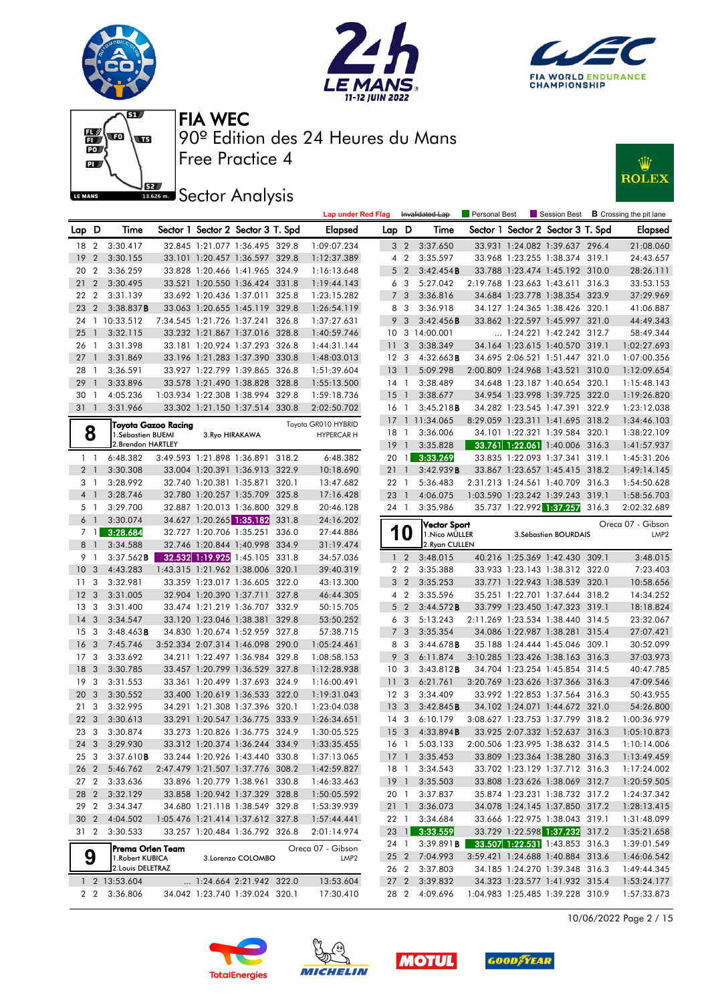







# **JEZ**<br>BREAD Sector Analysis



|                 |                          |                          |                     |                          |                                                                  |       | <b>Lap under Red Flag</b> |                 |                         | Invalidated Lap        | <b>Personal Best</b> |                                                              | Session Best          |       | <b>B</b> Crossing the pit lane |
|-----------------|--------------------------|--------------------------|---------------------|--------------------------|------------------------------------------------------------------|-------|---------------------------|-----------------|-------------------------|------------------------|----------------------|--------------------------------------------------------------|-----------------------|-------|--------------------------------|
| Lap D           |                          | Time                     |                     |                          | Sector 1 Sector 2 Sector 3 T. Spd                                |       | <b>Elapsed</b>            | Lap D           |                         | Time                   |                      | Sector 1 Sector 2 Sector 3 T. Spd                            |                       |       | <b>Elapsed</b>                 |
| 18              | 2                        | 3:30.417                 |                     |                          | 32.845 1:21.077 1:36.495 329.8                                   |       | 1:09:07.234               |                 | 3 <sub>2</sub>          | 3:37.650               |                      | 33.931 1:24.082 1:39.637 296.4                               |                       |       | 21:08.060                      |
| 19              | $\overline{2}$           | 3:30.155                 |                     |                          | 33.101 1:20.457 1:36.597 329.8                                   |       | 1:12:37.389               |                 | 4 <sup>2</sup>          | 3:35.597               |                      | 33.968 1:23.255 1:38.374 319.1                               |                       |       | 24:43.657                      |
| 20              | $\overline{2}$           | 3:36.259                 |                     |                          | 33.828 1:20.466 1:41.965 324.9                                   |       | 1:16:13.648               |                 | 5 <sub>2</sub>          | 3:42.454B              |                      | 33.788 1:23.474 1:45.192 310.0                               |                       |       | 28:26.111                      |
| 21              | $\overline{2}$           | 3:30.495                 |                     |                          | 33.521 1:20.550 1:36.424 331.8                                   |       | 1:19:44.143               |                 | 6 3                     | 5:27.042               |                      | 2:19.768 1:23.663 1:43.611 316.3                             |                       |       | 33:53.153                      |
| 22              | $\overline{2}$           | 3:31.139                 |                     |                          | 33.692 1:20.436 1:37.011 325.8                                   |       | 1:23:15.282               | $\overline{7}$  | 3                       | 3:36.816               |                      | 34.684 1:23.778 1:38.354 323.9                               |                       |       | 37:29.969                      |
| 23              | $\overline{2}$           | 3:38.837B                |                     |                          | 33.063 1:20.655 1:45.119 329.8                                   |       | 1:26:54.119               | 8               | -3                      | 3:36.918               |                      | 34.127 1:24.365 1:38.426 320.1                               |                       |       | 41:06.887                      |
| 24              |                          | 1 10:33.512              |                     |                          | 7:34.545 1:21.726 1:37.241 326.8                                 |       | 1:37:27.631               | 9               | 3                       | 3:42.456B              |                      | 33.862 1:22.597 1:45.997 321.0                               |                       |       | 44:49.343                      |
| 25              | $\mathbf{1}$             | 3:32.115                 |                     |                          | 33.232 1:21.867 1:37.016 328.8                                   |       | 1:40:59.746               |                 |                         | 10 3 14:00.001         |                      | $\ldots$ 1:24.221 1:42.242 312.7                             |                       |       | 58:49.344                      |
| 26              | $\overline{1}$           | 3:31.398                 |                     |                          | 33.181 1:20.924 1:37.293 326.8                                   |       | 1:44:31.144               | 11              | $\overline{\mathbf{3}}$ | 3:38.349               |                      | 34.164 1:23.615 1:40.570 319.1                               |                       |       | 1:02:27.693                    |
| 27              | $\mathbf{1}$             | 3:31.869                 |                     |                          | 33.196 1:21.283 1:37.390 330.8                                   |       | 1:48:03.013               |                 | 12 <sup>3</sup>         | 4:32.663B              |                      | 34.695 2:06.521 1:51.447 321.0                               |                       |       | 1:07:00.356                    |
| 28              | -1                       | 3:36.591                 |                     |                          | 33.927 1:22.799 1:39.865 326.8                                   |       | 1:51:39.604               | 13              | $\overline{1}$          | 5:09.298               |                      | 2:00.809 1:24.968 1:43.521 310.0                             |                       |       | 1:12:09.654                    |
| 29              | $\mathbf{1}$             | 3:33.896                 |                     |                          | 33.578 1:21.490 1:38.828 328.8                                   |       | 1:55:13.500               |                 | $14-1$                  | 3:38.489               |                      | 34.648 1:23.187 1:40.654 320.1                               |                       |       | 1:15:48.143                    |
| 30              | $\overline{1}$           | 4:05.236                 |                     |                          | 1:03.934 1:22.308 1:38.994 329.8                                 |       | 1:59:18.736               | 15              | $\overline{1}$          | 3:38.677               |                      | 34.954 1:23.998 1:39.725 322.0                               |                       |       | 1:19:26.820                    |
| 31              | $\overline{\phantom{a}}$ | 3:31.966                 |                     |                          | 33.302 1:21.150 1:37.514 330.8                                   |       | 2:02:50.702               | 16              | $\overline{1}$          | 3:45.218B              |                      | 34.282 1:23.545 1:47.391 322.9                               |                       |       | 1:23:12.038                    |
|                 |                          |                          | Toyota Gazoo Racing |                          |                                                                  |       | Toyota GR010 HYBRID       |                 |                         | 17 1 11:34.065         |                      | 8:29.059 1:23.311 1:41.695 318.2                             |                       |       | 1:34:46.103                    |
| 8               |                          | 1. Sébastien BUEMI       |                     | 3. Ryo HIRAKAWA          |                                                                  |       | <b>HYPERCAR H</b>         |                 | 18 1                    | 3:36.006               |                      | 34.101 1:22.321 1:39.584 320.1                               |                       |       | 1:38:22.109                    |
|                 |                          | 2. Brendon HARTLEY       |                     |                          |                                                                  |       |                           | 19              | $\overline{1}$          | 3:35.828               |                      | 33.761 1:22.061 1:40.006 316.3                               |                       |       | 1:41:57.937                    |
| $1\quad$        |                          | 6:48.382                 |                     |                          | 3:49.593 1:21.898 1:36.891 318.2                                 |       | 6:48.382                  | 20              | $\overline{1}$          | 3:33.269               |                      | 33.835 1:22.093 1:37.341                                     |                       | 319.1 | 1:45:31.206                    |
| 2 <sub>1</sub>  |                          | 3:30.308                 |                     |                          | 33.004 1:20.391 1:36.913 322.9                                   |       | 10:18.690                 |                 | 211                     | 3:42.939B              |                      | 33.867 1:23.657 1:45.415 318.2                               |                       |       | 1:49:14.145                    |
| 3 <sub>1</sub>  |                          | 3:28.992                 |                     |                          | 32.740 1:20.381 1:35.871 320.1                                   |       | 13:47.682                 | 22              | $\overline{1}$          | 5:36.483               |                      | 2:31.213 1:24.561 1:40.709 316.3                             |                       |       | 1:54:50.628                    |
| 4 <sup>1</sup>  |                          | 3:28.746                 |                     |                          | 32.780 1:20.257 1:35.709 325.8                                   |       | 17:16.428                 | 23              | $\overline{1}$          | 4:06.075               |                      | 1:03.590 1:23.242 1:39.243                                   |                       | 319.1 | 1:58:56.703                    |
| 5 <sub>1</sub>  |                          | 3:29.700                 |                     |                          | 32.887 1:20.013 1:36.800 329.8                                   |       | 20:46.128                 |                 | 24 1                    | 3:35.986               |                      | 35.737 1:22.992 1:37.257                                     |                       | 316.3 | 2:02:32.689                    |
| $6-1$           |                          | 3:30.074                 |                     |                          | 34.627 1:20.265 1:35.182                                         | 331.8 | 24:16.202                 |                 |                         | <b>Vector Sport</b>    |                      |                                                              |                       |       | Oreca 07 - Gibson              |
|                 | 7 <sub>1</sub>           | 3:28.684                 |                     |                          | 32.727 1:20.706 1:35.251 336.0                                   |       | 27:44.886                 |                 | U                       | 1. Nico MÜLLER         |                      |                                                              | 3. Sébastien BOURDAIS |       | LMP <sub>2</sub>               |
| 8               | $\overline{1}$           | 3:34.588                 |                     |                          | 32.746 1:20.844 1:40.998 334.9                                   |       | 31:19.474                 |                 |                         | 2. Ryan CULLEN         |                      |                                                              |                       |       |                                |
| 9 1             |                          | $3:37.562$ <b>B</b>      |                     |                          | 32.532 1:19.925 1:45.105 331.8                                   |       | 34:57.036                 |                 | 1 <sub>2</sub>          | 3:48.015               |                      | 40.216 1:25.369 1:42.430 309.1                               |                       |       | 3:48.015                       |
| 10              | 3                        | 4:43.283                 |                     |                          | 1:43.315 1:21.962 1:38.006 320.1                                 |       | 39:40.319                 |                 | 2 <sub>2</sub>          | 3:35.388               |                      | 33.933 1:23.143 1:38.312 322.0                               |                       |       | 7:23.403                       |
| 11              | 3                        | 3:32.981                 |                     |                          | 33.359 1:23.017 1:36.605 322.0                                   |       | 43:13.300                 | 3               | $\overline{2}$          | 3:35.253               |                      | 33.771 1:22.943 1:38.539 320.1                               |                       |       | 10:58.656                      |
| 12              | $\overline{3}$           | 3:31.005                 |                     | 32.904 1:20.390 1:37.711 |                                                                  | 327.8 | 46:44.305                 |                 | 4 <sup>2</sup>          | 3:35.596               |                      | 35.251 1:22.701 1:37.644 318.2                               |                       |       | 14:34.252                      |
| 13 <sub>3</sub> |                          | 3:31.400                 |                     |                          | 33.474 1:21.219 1:36.707 332.9                                   |       | 50:15.705                 |                 | 5 <sub>2</sub>          | 3:44.572B              |                      | 33.799 1:23.450 1:47.323 319.1                               |                       |       | 18:18.824                      |
| 14<br>15        | 3<br>3                   | 3:34.547<br>$3:48.463$ B |                     |                          | 33.120 1:23.046 1:38.381 329.8<br>34.830 1:20.674 1:52.959 327.8 |       | 53:50.252<br>57:38.715    | 6<br>7          | -3<br>3                 | 5:13.243<br>3:35.354   |                      | 2:11.269 1:23.534 1:38.440 314.5<br>34.086 1:22.987 1:38.281 |                       | 315.4 | 23:32.067<br>27:07.421         |
| 16              | 3                        | 7:45.746                 |                     |                          | 3:52.334 2:07.314 1:46.098 290.0                                 |       | 1:05:24.461               | 8               | -3                      | 3:44.678B              |                      | 35.188 1:24.444 1:45.046 309.1                               |                       |       | 30:52.099                      |
| 17 <sub>3</sub> |                          | 3:33.692                 |                     |                          | 34.211 1:22.497 1:36.984 329.8                                   |       | 1:08:58.153               | 9               | 3                       | 6:11.874               |                      | 3:10.285 1:23.426 1:38.163 316.3                             |                       |       | 37:03.973                      |
| 18              | 3                        | 3:30.785                 |                     |                          | 33.457 1:20.799 1:36.529 327.8                                   |       | 1:12:28.938               | 10 <sup>°</sup> | - 3                     | 3:43.812B              |                      | 34.704 1:23.254 1:45.854 314.5                               |                       |       | 40:47.785                      |
| 19              | 3                        | 3:31.553                 |                     |                          | 33.361 1:20.499 1:37.693 324.9                                   |       | 1:16:00.491               | 11              | 3                       | 6:21.761               |                      | 3:20.769 1:23.626 1:37.366 316.3                             |                       |       | 47:09.546                      |
| 20              | $\mathbf{3}$             | 3:30.552                 |                     |                          | 33.400 1:20.619 1:36.533 322.0                                   |       | 1:19:31.043               |                 | 12 <sup>3</sup>         | 3:34.409               |                      | 33.992 1:22.853 1:37.564 316.3                               |                       |       | 50:43.955                      |
| 21              | - 3                      | 3:32.995                 |                     |                          | 34.291 1:21.308 1:37.396 320.1                                   |       | 1:23:04.038               | 13              | $\overline{\mathbf{3}}$ | 3:42.845B              |                      | 34.102 1:24.071 1:44.672 321.0                               |                       |       | 54:26.800                      |
| 22              | $\mathbf{3}$             | 3:30.613                 |                     |                          | 33.291 1:20.547 1:36.775 333.9                                   |       | 1:26:34.651               |                 | 14 <sub>3</sub>         | 6:10.179               |                      | 3:08.627 1:23.753 1:37.799 318.2                             |                       |       | 1:00:36.979                    |
| 23              | 3                        | 3:30.874                 |                     |                          | 33.273 1:20.826 1:36.775 324.9                                   |       | 1:30:05.525               |                 | 15 <sub>3</sub>         | 4:33.894B              |                      | 33.925 2:07.332 1:52.637 316.3                               |                       |       | 1:05:10.873                    |
| 24              | $\overline{3}$           | 3:29.930                 |                     |                          | 33.312 1:20.374 1:36.244 334.9                                   |       | 1:33:35.455               |                 | 16 1                    | 5:03.133               |                      | 2:00.506 1:23.995 1:38.632 314.5                             |                       |       | 1:10:14.006                    |
|                 |                          | 25 3 3:37.610 <b>B</b>   |                     |                          | 33.244 1:20.926 1:43.440 330.8                                   |       | 1:37:13.065               |                 |                         | 17 1 3:35.453          |                      | 33.809 1:23.364 1:38.280 316.3                               |                       |       | 1:13:49.459                    |
|                 |                          | 26 2 5:46.762            |                     |                          | 2:47.479 1:21.507 1:37.776 308.2                                 |       | 1:42:59.827               |                 |                         | 18 1 3:34.543          |                      | 33.702 1:23.129 1:37.712 316.3                               |                       |       | 1:17:24.002                    |
| 27 2            |                          | 3:33.636                 |                     |                          | 33.896 1:20.779 1:38.961 330.8                                   |       | 1:46:33.463               |                 |                         | 19 1 3:35.503          |                      | 33.808 1:23.626 1:38.069 312.7                               |                       |       | 1:20:59.505                    |
| 28 2            |                          | 3:32.129                 |                     |                          | 33.858 1:20.942 1:37.329 328.8                                   |       | 1:50:05.592               |                 | 20 1                    | 3:37.837               |                      | 35.874 1:23.231 1:38.732 317.2                               |                       |       | 1:24:37.342                    |
| 29 2            |                          | 3:34.347                 |                     |                          | 34.680 1:21.118 1:38.549 329.8                                   |       | 1:53:39.939               |                 |                         | 21 1 3:36.073          |                      | 34.078 1:24.145 1:37.850 317.2                               |                       |       | 1:28:13.415                    |
|                 |                          | 30 2 4:04.502            |                     |                          | 1:05.476 1:21.414 1:37.612 327.8                                 |       | 1:57:44.441               |                 | 22 1                    | 3:34.684               |                      | 33.666 1:22.975 1:38.043 319.1                               |                       |       | 1:31:48.099                    |
| 31 2            |                          | 3:30.533                 |                     |                          | 33.257 1:20.484 1:36.792 326.8                                   |       | 2:01:14.974               |                 |                         | 23 1 3:33.559          |                      | 33.729 1:22.598 1:37.232 317.2                               |                       |       | 1:35:21.658                    |
|                 |                          | Prema Orlen Team         |                     |                          |                                                                  |       | Oreca 07 - Gibson         |                 |                         | 24 1 3:39.891 <b>B</b> |                      | 33.507 1:22.531 1:43.853 316.3                               |                       |       | 1:39:01.549                    |
| 9               |                          | 1. Robert KUBICA         |                     |                          | 3.Lorenzo COLOMBO                                                |       | LMP <sub>2</sub>          |                 |                         | 25 2 7:04.993          |                      | 3:59.421 1:24.688 1:40.884 313.6                             |                       |       | 1:46:06.542                    |
|                 |                          | 2. Louis DELETRAZ        |                     |                          |                                                                  |       |                           |                 |                         | 26 2 3:37.803          |                      | 34.185 1:24.270 1:39.348 316.3                               |                       |       | 1:49:44.345                    |
|                 |                          | 1 2 13:53.604            |                     |                          | 1:24.664 2:21.942 322.0                                          |       | 13:53.604                 |                 |                         | 27 2 3:39.832          |                      | 34.323 1:23.577 1:41.932 315.4                               |                       |       | 1:53:24.177                    |
|                 |                          | 2 2 3:36.806             |                     |                          | 34.042 1:23.740 1:39.024 320.1                                   |       | 17:30.410                 |                 |                         | 28 2 4:09.696          |                      | 1:04.983 1:25.485 1:39.228 310.9                             |                       |       | 1:57:33.873                    |

10/06/2022 Page 2 / 15







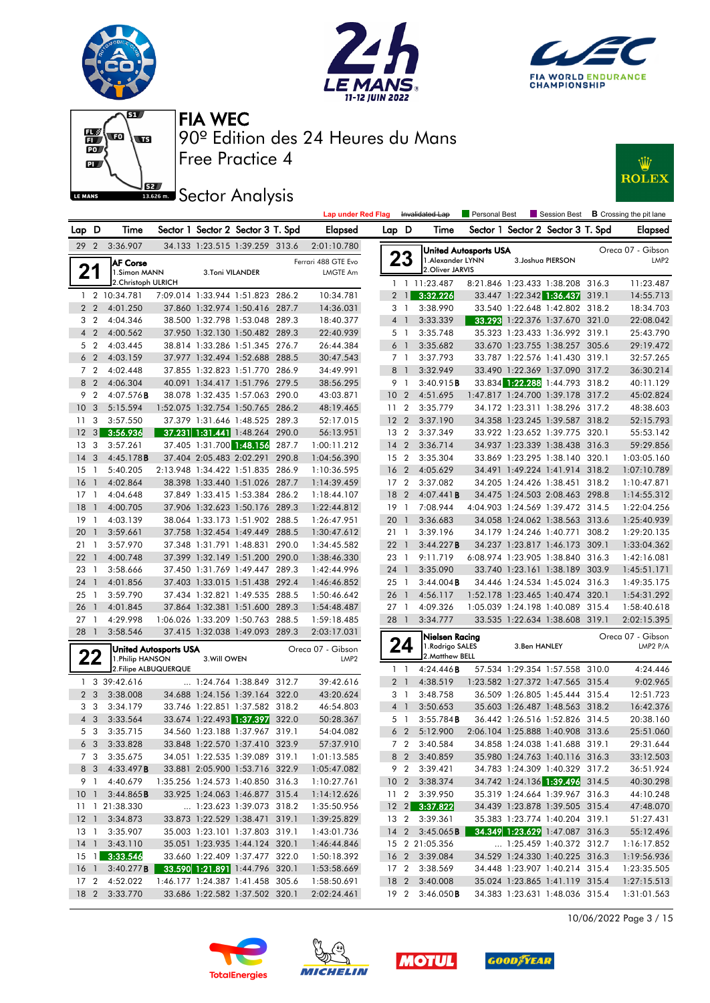







# **J**<br>**Bases Sector Analysis**



|                 |                |                                 |                              |                 |                                   |       | <b>Lap under Red Flag</b>                  |                 |                | Invalidated Lap                       | <b>Personal Best</b>         |              | Session Best                      | <b>B</b> Crossing the pit lane |
|-----------------|----------------|---------------------------------|------------------------------|-----------------|-----------------------------------|-------|--------------------------------------------|-----------------|----------------|---------------------------------------|------------------------------|--------------|-----------------------------------|--------------------------------|
| Lap D           |                | Time                            |                              |                 | Sector 1 Sector 2 Sector 3 T. Spd |       | Elapsed                                    | Lap D           |                | Time                                  |                              |              | Sector 1 Sector 2 Sector 3 T. Spd | Elapsed                        |
| 29 <sub>2</sub> |                | 3:36.907                        |                              |                 | 34.133 1:23.515 1:39.259 313.6    |       | 2:01:10.780                                |                 |                |                                       | <b>United Autosports USA</b> |              |                                   | Oreca 07 - Gibson              |
| 21              |                | <b>AF Corse</b><br>1.Simon MANN |                              | 3.Toni VILANDER |                                   |       | Ferrari 488 GTE Evo<br>LMGTE Am            |                 | 23             | 1. Alexander LYNN<br>2. Oliver JARVIS |                              |              | 3. Joshua PIERSON                 | LMP <sub>2</sub>               |
|                 |                | 2. Christoph ULRICH             |                              |                 |                                   |       |                                            |                 |                | 1 1 11:23.487                         |                              |              | 8:21.846 1:23.433 1:38.208 316.3  | 11:23.487                      |
|                 |                | 1 2 10:34.781                   |                              |                 | 7:09.014 1:33.944 1:51.823 286.2  |       | 10:34.781                                  |                 | $2 \mid$       | 3:32.226                              |                              |              | 33.447 1:22.342 1:36.437 319.1    | 14:55.713                      |
| 2 <sub>2</sub>  |                | 4:01.250                        |                              |                 | 37.860 1:32.974 1:50.416 287.7    |       | 14:36.031                                  |                 | 3 1            | 3:38.990                              |                              |              | 33.540 1:22.648 1:42.802 318.2    | 18:34.703                      |
| 3 <sub>2</sub>  |                | 4:04.346                        |                              |                 | 38.500 1:32.798 1:53.048 289.3    |       | 18:40.377                                  |                 | 4 1            | 3:33.339                              |                              |              | 33.293 1:22.376 1:37.670 321.0    | 22:08.042                      |
| $4\quad2$       |                | 4:00.562                        |                              |                 | 37.950 1:32.130 1:50.482 289.3    |       | 22:40.939                                  |                 | 5 1            | 3:35.748                              |                              |              | 35.323 1:23.433 1:36.992 319.1    | 25:43.790                      |
| 5 <sub>2</sub>  |                | 4:03.445                        |                              |                 | 38.814 1:33.286 1:51.345 276.7    |       | 26:44.384                                  |                 | 6 <sup>1</sup> | 3:35.682                              |                              |              | 33.670 1:23.755 1:38.257 305.6    | 29:19.472                      |
| 6 <sub>2</sub>  |                | 4:03.159                        |                              |                 | 37.977 1:32.494 1:52.688 288.5    |       | 30:47.543                                  |                 | 7 1            | 3:37.793                              |                              |              | 33.787 1:22.576 1:41.430 319.1    | 32:57.265                      |
| 7 <sub>2</sub>  |                | 4:02.448                        |                              |                 | 37.855 1:32.823 1:51.770 286.9    |       | 34:49.991                                  |                 | 8 1            | 3:32.949                              |                              |              | 33.490 1:22.369 1:37.090 317.2    | 36:30.214                      |
| 8 2             |                | 4:06.304                        |                              |                 | 40.091 1:34.417 1:51.796 279.5    |       | 38:56.295                                  |                 | 9 1            | 3:40.915B                             |                              |              | 33.834 1:22.288 1:44.793 318.2    | 40:11.129                      |
| 9 <sub>2</sub>  |                | $4:07.576$ B                    |                              |                 | 38.078 1:32.435 1:57.063 290.0    |       | 43:03.871                                  | 10 <sub>2</sub> |                | 4:51.695                              |                              |              | 1:47.817 1:24.700 1:39.178 317.2  | 45:02.824                      |
| 10 <sub>3</sub> |                | 5:15.594                        |                              |                 | 1:52.075 1:32.754 1:50.765 286.2  |       | 48:19.465                                  | 11 <sub>2</sub> |                | 3:35.779                              |                              |              | 34.172 1:23.311 1:38.296 317.2    | 48:38.603                      |
| 11 <sub>3</sub> |                | 3:57.550                        |                              |                 | 37.379 1:31.646 1:48.525 289.3    |       | 52:17.015                                  | 12 <sub>2</sub> |                | 3:37.190                              |                              |              | 34.358 1:23.245 1:39.587 318.2    | 52:15.793                      |
| $12 \quad 3$    |                | 3:56.936                        |                              |                 | 37.231 1:31.441 1:48.264 290.0    |       | 56:13.951                                  | 13 2            |                | 3:37.349                              |                              |              | 33.922 1:23.652 1:39.775 320.1    | 55:53.142                      |
| 13 <sub>3</sub> |                | 3:57.261                        |                              |                 | 37.405 1:31.700 1:48.156          | 287.7 | 1:00:11.212                                | $14 \quad 2$    |                | 3:36.714                              |                              |              | 34.937 1:23.339 1:38.438 316.3    | 59:29.856                      |
| $14 \quad 3$    |                | 4:45.178B                       |                              |                 | 37.404 2:05.483 2:02.291 290.8    |       | 1:04:56.390                                | 15 <sub>2</sub> |                | 3:35.304                              |                              |              | 33.869 1:23.295 1:38.140 320.1    | 1:03:05.160                    |
| $15-1$          |                | 5:40.205                        |                              |                 | 2:13.948 1:34.422 1:51.835 286.9  |       | 1:10:36.595                                | 16 <sub>2</sub> |                | 4:05.629                              |                              |              | 34.491 1:49.224 1:41.914 318.2    | 1:07:10.789                    |
| 16 <sub>1</sub> |                | 4:02.864                        |                              |                 | 38.398 1:33.440 1:51.026 287.7    |       | 1:14:39.459                                | 17 <sub>2</sub> |                | 3:37.082                              |                              |              | 34.205 1:24.426 1:38.451 318.2    | 1:10:47.871                    |
| $17-1$          |                | 4:04.648                        |                              |                 | 37.849 1:33.415 1:53.384 286.2    |       | 1:18:44.107                                | 18              | $\overline{2}$ | 4:07.441B                             |                              |              | 34.475 1:24.503 2:08.463 298.8    | 1:14:55.312                    |
| 18              | $\overline{1}$ | 4:00.705                        |                              |                 | 37.906 1:32.623 1:50.176 289.3    |       | 1:22:44.812                                | $19-1$          |                | 7:08.944                              |                              |              | 4:04.903 1:24.569 1:39.472 314.5  | 1:22:04.256                    |
| $19-1$          |                | 4:03.139                        |                              |                 | 38.064 1:33.173 1:51.902 288.5    |       | 1:26:47.951                                | 20 <sub>1</sub> |                | 3:36.683                              |                              |              | 34.058 1:24.062 1:38.563 313.6    | 1:25:40.939                    |
| 20              | $\overline{1}$ | 3:59.661                        |                              |                 | 37.758 1:32.454 1:49.449 288.5    |       | 1:30:47.612                                | 21 1            |                | 3:39.196                              |                              |              | 34.179 1:24.246 1:40.771 308.2    | 1:29:20.135                    |
| 21              | $\overline{1}$ | 3:57.970                        |                              |                 | 37.348 1:31.791 1:48.831 290.0    |       | 1:34:45.582                                | $22 \quad 1$    |                | 3:44.227B                             |                              |              | 34.237 1:23.817 1:46.173 309.1    | 1:33:04.362                    |
| $22 \quad 1$    |                | 4:00.748                        |                              |                 | 37.399 1:32.149 1:51.200 290.0    |       | 1:38:46.330                                | 23 1            |                | 9:11.719                              |                              |              | 6:08.974 1:23.905 1:38.840 316.3  | 1:42:16.081                    |
| 23 1            |                | 3:58.666                        |                              |                 | 37.450 1:31.769 1:49.447 289.3    |       | 1:42:44.996                                | 24 1            |                | 3:35.090                              |                              |              | 33.740 1:23.161 1:38.189 303.9    | 1:45:51.171                    |
| 24 1            |                | 4:01.856                        |                              |                 | 37.403 1:33.015 1:51.438 292.4    |       | 1:46:46.852                                | 25 1            |                | $3:44.004$ <b>B</b>                   |                              |              | 34.446 1:24.534 1:45.024 316.3    | 1:49:35.175                    |
| $25 \quad 1$    |                | 3:59.790                        |                              |                 | 37.434 1:32.821 1:49.535 288.5    |       | 1:50:46.642                                | 26 1            |                | 4:56.117                              |                              |              | 1:52.178 1:23.465 1:40.474 320.1  | 1:54:31.292                    |
| 26 <sub>1</sub> |                | 4:01.845                        |                              |                 | 37.864 1:32.381 1:51.600 289.3    |       | 1:54:48.487                                | $27-1$          |                | 4:09.326                              |                              |              | 1:05.039 1:24.198 1:40.089 315.4  | 1:58:40.618                    |
| $27-1$          |                | 4:29.998                        |                              |                 | 1:06.026 1:33.209 1:50.763 288.5  |       | 1:59:18.485                                | 28 1            |                | 3:34.777                              |                              |              | 33.535 1:22.634 1:38.608 319.1    | 2:02:15.395                    |
| 28 1            |                | 3:58.546                        |                              |                 | 37.415 1:32.038 1:49.093 289.3    |       | 2:03:17.031                                |                 |                | Nielsen Racing                        |                              |              |                                   | Oreca 07 - Gibson              |
|                 |                |                                 | <b>United Autosports USA</b> |                 |                                   |       | Oreca 07 - Gibson                          |                 | 24             | 1.Rodrigo SALES                       |                              | 3.Ben HANLEY |                                   | LMP2 P/A                       |
| 22              |                | 1. Philip HANSON                |                              | 3. Will OWEN    |                                   |       | LMP <sub>2</sub>                           |                 |                | 2. Matthew BELL                       |                              |              |                                   |                                |
|                 |                |                                 | 2. Filipe ALBUQUERQUE        |                 |                                   |       |                                            |                 | $1\quad$       | 4:24.446B                             |                              |              | 57.534 1:29.354 1:57.558 310.0    | 4:24.446                       |
|                 |                | 1 3 39:42.616                   |                              |                 | $\ldots$ 1:24.764 1:38.849 312.7  |       | 39:42.616                                  |                 | 2 <sub>1</sub> | 4:38.519                              |                              |              | 1:23.582 1:27.372 1:47.565 315.4  | 9:02.965                       |
| 2 <sub>3</sub>  |                | 3:38.008                        |                              |                 | 34.688 1:24.156 1:39.164 322.0    |       | 43:20.624                                  |                 | 3 1            | 3:48.758                              |                              |              | 36.509 1:26.805 1:45.444 315.4    | 12:51.723                      |
| 3 <sub>3</sub>  |                | 3:34.179                        |                              |                 | 33.746 1:22.851 1:37.582 318.2    |       | 46:54.803                                  |                 | 4 <sup>1</sup> | 3:50.653                              |                              |              | 35.603 1:26.487 1:48.563 318.2    | 16:42.376                      |
| $4 \quad 3$     |                | 3:33.564                        |                              |                 | 33.674 1:22.493 1:37.397 322.0    |       | 50:28.367                                  |                 | 5 1            | 3:55.784B                             |                              |              | 36.442 1:26.516 1:52.826 314.5    | 20:38.160                      |
| 5 3             |                | 3:35.715                        |                              |                 | 34.560 1:23.188 1:37.967 319.1    |       | 54:04.082                                  |                 | 6 <sub>2</sub> | 5:12.900                              |                              |              | 2:06.104 1:25.888 1:40.908 313.6  | 25:51.060                      |
| 6 3             |                | 3:33.828                        |                              |                 | 33.848 1:22.570 1:37.410 323.9    |       | 57:37.910                                  |                 | 7 <sub>2</sub> | 3:40.584                              |                              |              | 34.858 1:24.038 1:41.688 319.1    | 29:31.644                      |
|                 |                | 7 3 3:35.675                    |                              |                 | 34.051 1:22.535 1:39.089 319.1    |       | 1:01:13.585                                |                 |                | 8 2 3:40.859                          |                              |              | 35.980 1:24.763 1:40.116 316.3    | 33:12.503                      |
|                 |                | 8 3 4:33.497 <b>B</b>           |                              |                 | 33.881 2:05.900 1:53.716 322.9    |       | 1:05:47.082                                |                 |                | 9 2 3:39.421                          |                              |              | 34.783 1:24.309 1:40.329 317.2    | 36:51.924                      |
|                 |                | 9 1 4:40.679                    |                              |                 | 1:35.256 1:24.573 1:40.850 316.3  |       | 1:10:27.761                                |                 |                | 10 2 3:38.374                         |                              |              | 34.742 1:24.136 1:39.496 314.5    | 40:30.298                      |
|                 |                | 10 1 3:44.865 <b>B</b>          |                              |                 | 33.925 1:24.063 1:46.877 315.4    |       | 1:14:12.626                                |                 |                | 11 2 3:39.950                         |                              |              | 35.319 1:24.664 1:39.967 316.3    | 44:10.248                      |
|                 |                | 11 1 21:38.330                  |                              |                 | 1:23.623 1:39.073 318.2           |       | 1:35:50.956                                |                 |                | 12 2 3:37.822                         |                              |              | 34.439 1:23.878 1:39.505 315.4    | 47:48.070                      |
|                 |                | 12 1 3:34.873                   |                              |                 | 33.873 1:22.529 1:38.471 319.1    |       | 1:39:25.829                                |                 |                | 13 2 3:39.361                         |                              |              | 35.383 1:23.774 1:40.204 319.1    | 51:27.431                      |
|                 |                | 13 1 3:35.907                   |                              |                 | 35.003 1:23.101 1:37.803 319.1    |       | 1:43:01.736                                |                 |                | 14 2 3:45.065 <b>B</b>                |                              |              | 34.349 1:23.629 1:47.087 316.3    | 55:12.496                      |
|                 |                | 14 1 3:43.110                   |                              |                 | 35.051 1:23.935 1:44.124 320.1    |       | 1:46:44.846                                |                 |                | 15 2 21:05.356                        |                              |              | 1:25.459 1:40.372 312.7           | 1:16:17.852                    |
|                 |                | 15 1 3:33.546                   |                              |                 | 33.660 1:22.409 1:37.477 322.0    |       | 1:50:18.392                                |                 |                | 16 2 3:39.084                         |                              |              | 34.529 1:24.330 1:40.225 316.3    | 1:19:56.936                    |
|                 |                | 16 1 3:40.277 <b>B</b>          |                              |                 | 33.590 1:21.891 1:44.796 320.1    |       | 1:53:58.669                                |                 |                | 17 2 3:38.569                         |                              |              | 34.448 1:23.907 1:40.214 315.4    | 1:23:35.505                    |
|                 |                | 17 2 4:52.022                   |                              |                 | 1:46.177 1:24.387 1:41.458 305.6  |       | 1:58:50.691                                |                 |                | 18 2 3:40.008                         |                              |              | 35.024 1:23.865 1:41.119 315.4    | 1:27:15.513                    |
|                 |                | 18 2 3:33.770                   |                              |                 |                                   |       | 33.686 1:22.582 1:37.502 320.1 2:02:24.461 |                 |                | 19 2 3:46.050 <b>B</b>                |                              |              | 34.383 1:23.631 1:48.036 315.4    | 1:31:01.563                    |

10/06/2022 Page 3 / 15







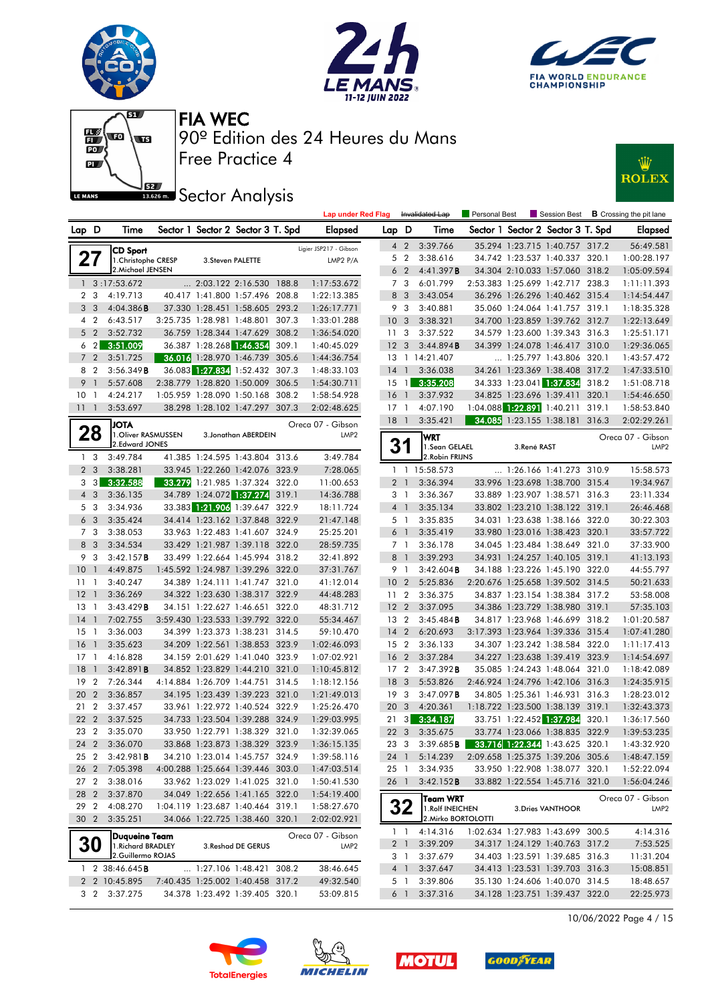







# **JEZ Sector Analysis**



|                             |                        |                                                                    |                      |       | <b>Lap under Red Flag</b> |                                  |                                  | Invalidated Lap              | Personal Best |                            | Session Best                                                       |       | <b>B</b> Crossing the pit lane        |
|-----------------------------|------------------------|--------------------------------------------------------------------|----------------------|-------|---------------------------|----------------------------------|----------------------------------|------------------------------|---------------|----------------------------|--------------------------------------------------------------------|-------|---------------------------------------|
| Lap D                       | Time                   | Sector 1 Sector 2 Sector 3 T. Spd                                  |                      |       | Elapsed                   | Lap D                            |                                  | Time                         |               |                            | Sector 1 Sector 2 Sector 3 T. Spd                                  |       | <b>Elapsed</b>                        |
|                             | <b>CD Sport</b>        |                                                                    |                      |       | Ligier JSP217 - Gibson    | $\overline{4}$                   | $\overline{2}$                   | 3:39.766                     |               |                            | 35.294 1:23.715 1:40.757 317.2                                     |       | 56:49.581                             |
| 27                          | 1. Christophe CRESP    | 3. Steven PALETTE                                                  |                      |       | LMP2 P/A                  | 5 <sub>2</sub>                   |                                  | 3:38.616                     |               |                            | 34.742 1:23.537 1:40.337 320.1                                     |       | 1:00:28.197                           |
|                             | 2. Michael JENSEN      |                                                                    |                      |       |                           | 6 <sub>2</sub>                   |                                  | 4:41.397B                    |               |                            | 34.304 2:10.033 1:57.060 318.2                                     |       | 1:05:09.594                           |
|                             | $1 \quad 3:17:53.672$  | 2:03.122 2:16.530 188.8                                            |                      |       | 1:17:53.672               | 7 <sub>3</sub>                   |                                  | 6:01.799                     |               |                            | 2:53.383 1:25.699 1:42.717 238.3                                   |       | 1:11:11.393                           |
| 2 <sub>3</sub>              | 4:19.713               | 40.417 1:41.800 1:57.496 208.8                                     |                      |       | 1:22:13.385               | 8                                | $\overline{\mathbf{3}}$          | 3:43.054                     |               |                            | 36.296 1:26.296 1:40.462 315.4                                     |       | 1:14:54.447                           |
| 3<br>- 3                    | 4:04.386B              | 37.330 1:28.451 1:58.605                                           |                      | 293.2 | 1:26:17.771               | 9                                | - 3                              | 3:40.881                     |               |                            | 35.060 1:24.064 1:41.757 319.1                                     |       | 1:18:35.328                           |
| 4 <sup>2</sup>              | 6:43.517               | 3:25.735 1:28.981 1:48.801                                         |                      | 307.3 | 1:33:01.288               | 10 <sub>3</sub>                  |                                  | 3:38.321                     |               |                            | 34.700 1:23.859 1:39.762 312.7                                     |       | 1:22:13.649                           |
| 5 <sub>2</sub>              | 3:52.732               | 36.759 1:28.344 1:47.629                                           |                      | 308.2 | 1:36:54.020               | 11                               | $\mathbf{3}$                     | 3:37.522                     |               |                            | 34.579 1:23.600 1:39.343 316.3                                     |       | 1:25:51.171                           |
| $6\quad2$                   | 3:51.009               | 36.387 1:28.268 1:46.354                                           |                      | 309.1 | 1:40:45.029               | 12                               | $\overline{\mathbf{3}}$          | 3:44.894B                    |               |                            | 34.399 1:24.078 1:46.417 310.0                                     |       | 1:29:36.065                           |
| 7 <sub>2</sub>              | 3:51.725               | 36.016 1:28.970 1:46.739                                           |                      | 305.6 | 1:44:36.754               |                                  |                                  | 13 1 14:21.407               |               |                            | 1:25.797 1:43.806 320.1                                            |       | 1:43:57.472                           |
| 8<br>$\overline{2}$         | 3:56.349B              | 36.083 1:27.834 1:52.432 307.3                                     |                      |       | 1:48:33.103               | $14-1$                           |                                  | 3:36.038                     |               |                            | 34.261 1:23.369 1:38.408 317.2                                     |       | 1:47:33.510                           |
| 9<br>$\overline{1}$         | 5:57.608               | 2:38.779 1:28.820 1:50.009                                         |                      | 306.5 | 1:54:30.711               | $15-1$                           |                                  | 3:35.208                     |               |                            | 34.333 1:23.041 1:37.834                                           | 318.2 | 1:51:08.718                           |
| 10<br>-1                    | 4:24.217               | 1:05.959 1:28.090 1:50.168                                         |                      | 308.2 | 1:58:54.928               | 16                               | $\overline{1}$                   | 3:37.932                     |               | 34.825 1:23.696 1:39.411   |                                                                    | 320.1 | 1:54:46.650                           |
| 111                         | 3:53.697               | 38.298 1:28.102 1:47.297 307.3                                     |                      |       | 2:02:48.625               | $17-1$                           |                                  | 4:07.190                     |               | 1:04.088 1:22.891 1:40.211 |                                                                    | 319.1 | 1:58:53.840                           |
|                             | <b>JOTA</b>            |                                                                    |                      |       | Oreca 07 - Gibson         | 18                               | $\overline{1}$                   | 3:35.421                     |               |                            | 34.085 1:23.155 1:38.181 316.3                                     |       | 2:02:29.261                           |
| 28                          | 1. Oliver RASMUSSEN    |                                                                    | 3. Jonathan ABERDEIN |       | LMP <sub>2</sub>          |                                  |                                  | wrt                          |               |                            |                                                                    |       | Oreca 07 - Gibson                     |
|                             | 2.Edward JONES         |                                                                    |                      |       |                           | 31                               |                                  | 1.Sean GELAEL                |               | 3.René RAST                |                                                                    |       | LMP <sub>2</sub>                      |
| 1 <sub>3</sub>              | 3:49.784               | 41.385 1:24.595 1:43.804 313.6                                     |                      |       | 3:49.784                  |                                  |                                  | 2. Robin FRIJNS              |               |                            |                                                                    |       |                                       |
| 2 <sub>3</sub>              | 3:38.281               | 33.945 1:22.260 1:42.076 323.9                                     |                      |       | 7:28.065                  |                                  |                                  | 1 1 15:58.573                |               |                            | $\ldots$ 1:26.166 1:41.273 310.9                                   |       | 15:58.573                             |
| 3<br>$\lceil 3 \rceil$      | 3:32.588               | 33.279 1:21.985 1:37.324                                           |                      | 322.0 | 11:00.653                 | 2 <sub>1</sub>                   |                                  | 3:36.394                     |               |                            | 33.996 1:23.698 1:38.700 315.4                                     |       | 19:34.967                             |
| $4 \quad 3$                 | 3:36.135               | 34.789 1:24.072 1:37.274 319.1                                     |                      |       | 14:36.788                 | 3 1                              |                                  | 3:36.367                     |               |                            | 33.889 1:23.907 1:38.571 316.3                                     |       | 23:11.334                             |
| 5 <sub>3</sub>              | 3:34.936               | 33.383 1:21.906 1:39.647 322.9                                     |                      |       | 18:11.724                 | 4 <sup>1</sup>                   |                                  | 3:35.134                     |               |                            | 33.802 1:23.210 1:38.122 319.1                                     |       | 26:46.468                             |
| 6 <sub>3</sub>              | 3:35.424               | 34.414 1:23.162 1:37.848 322.9                                     |                      |       | 21:47.148                 | 5 1                              |                                  | 3:35.835                     |               |                            | 34.031 1:23.638 1:38.166 322.0                                     |       | 30:22.303                             |
| 7 <sub>3</sub>              | 3:38.053               | 33.963 1:22.483 1:41.607 324.9                                     |                      |       | 25:25.201                 | 6 <sup>1</sup>                   |                                  | 3:35.419                     |               |                            | 33.980 1:23.016 1:38.423 320.1                                     |       | 33:57.722                             |
| 8 3<br>9 3                  | 3:34.534               | 33.429 1:21.987 1:39.118 322.0                                     |                      |       | 28:59.735                 | 7 <sub>1</sub><br>8 <sup>1</sup> |                                  | 3:36.178                     |               |                            | 34.045 1:23.484 1:38.649 321.0                                     |       | 37:33.900                             |
| $\overline{1}$              | 3:42.157B<br>4:49.875  | 33.499 1:22.664 1:45.994 318.2                                     |                      |       | 32:41.892                 |                                  |                                  | 3:39.293                     |               |                            | 34.931 1:24.257 1:40.105 319.1                                     |       | 41:13.193                             |
| 10 <sup>°</sup><br>11<br>-1 | 3:40.247               | 1:45.592 1:24.987 1:39.296 322.0<br>34.389 1:24.111 1:41.747 321.0 |                      |       | 37:31.767<br>41:12.014    | 9<br>10 <sup>°</sup>             | $\overline{1}$<br>$\overline{2}$ | $3:42.604$ B<br>5:25.836     |               |                            | 34.188 1:23.226 1:45.190 322.0<br>2:20.676 1:25.658 1:39.502 314.5 |       | 44:55.797<br>50:21.633                |
| 12<br>$\overline{1}$        | 3:36.269               | 34.322 1:23.630 1:38.317 322.9                                     |                      |       | 44:48.283                 | 11 <sub>2</sub>                  |                                  | 3:36.375                     |               |                            | 34.837 1:23.154 1:38.384 317.2                                     |       | 53:58.008                             |
| 13<br>-1                    | 3:43.429B              | 34.151 1:22.627 1:46.651 322.0                                     |                      |       | 48:31.712                 | 12 <sub>2</sub>                  |                                  | 3:37.095                     |               |                            | 34.386 1:23.729 1:38.980 319.1                                     |       | 57:35.103                             |
| 14<br>$\overline{1}$        | 7:02.755               | 3:59.430 1:23.533 1:39.792 322.0                                   |                      |       | 55:34.467                 | 13 2                             |                                  | 3:45.484B                    |               |                            | 34.817 1:23.968 1:46.699 318.2                                     |       | 1:01:20.587                           |
| 15<br>-1                    | 3:36.003               | 34.399 1:23.373 1:38.231 314.5                                     |                      |       | 59:10.470                 | $14 \quad 2$                     |                                  | 6:20.693                     |               |                            | 3:17.393 1:23.964 1:39.336 315.4                                   |       | 1:07:41.280                           |
| 16<br>$\overline{1}$        | 3:35.623               | 34.209 1:22.561 1:38.853 323.9                                     |                      |       | 1:02:46.093               | 15 2                             |                                  | 3:36.133                     |               |                            | 34.307 1:23.242 1:38.584 322.0                                     |       | 1:11:17.413                           |
| 17<br>-1                    | 4:16.828               | 34.159 2:01.629 1:41.040 323.9                                     |                      |       | 1:07:02.921               | 16 <sub>2</sub>                  |                                  | 3:37.284                     |               |                            | 34.227 1:23.638 1:39.419 323.9                                     |       | 1:14:54.697                           |
| 18<br>$\overline{1}$        | 3:42.891B              | 34.852 1:23.829 1:44.210 321.0                                     |                      |       | 1:10:45.812               | 17 <sup>2</sup>                  |                                  | 3:47.392B                    |               |                            | 35.085 1:24.243 1:48.064 321.0                                     |       | 1:18:42.089                           |
| 19<br>$\overline{2}$        | 7:26.344               | 4:14.884 1:26.709 1:44.751 314.5                                   |                      |       | 1:18:12.156               | 18                               | $\overline{\mathbf{3}}$          | 5:53.826                     |               |                            | 2:46.924 1:24.796 1:42.106 316.3                                   |       | 1:24:35.915                           |
| 20<br>$\overline{2}$        | 3:36.857               | 34.195 1:23.439 1:39.223 321.0                                     |                      |       | 1:21:49.013               | 19                               | - 3                              | 3:47.097B                    |               |                            | 34.805 1:25.361 1:46.931 316.3                                     |       | 1:28:23.012                           |
| $\overline{2}$<br>21        | 3:37.457               | 33.961 1:22.972 1:40.524 322.9                                     |                      |       | 1:25:26.470               | 20 3                             |                                  | 4:20.361                     |               |                            | 1:18.722 1:23.500 1:38.139 319.1                                   |       | 1:32:43.373                           |
| 22<br>$\overline{2}$        | 3:37.525               | 34.733 1:23.504 1:39.288 324.9                                     |                      |       | 1:29:03.995               | 21                               | 3                                | 3:34.187                     |               |                            | 33.751 1:22.452 1:37.984                                           | 320.1 | 1:36:17.560                           |
| 23 2                        | 3:35.070               | 33.950 1:22.791 1:38.329 321.0                                     |                      |       | 1:32:39.065               | 22 3                             |                                  | 3:35.675                     |               |                            | 33.774 1:23.066 1:38.835 322.9                                     |       | 1:39:53.235                           |
| 24 2                        | 3:36.070               | 33.868 1:23.873 1:38.329 323.9                                     |                      |       | 1:36:15.135               | 23 3                             |                                  | $3:39.685$ <b>B</b>          |               |                            | 33.716 1:22.344 1:43.625 320.1                                     |       | 1:43:32.920                           |
| 25 2                        | 3:42.981B              | 34.210 1:23.014 1:45.757 324.9                                     |                      |       | 1:39:58.116               | 24 1                             |                                  | 5:14.239                     |               |                            | 2:09.658 1:25.375 1:39.206 305.6                                   |       | 1:48:47.159                           |
| 26 2                        | 7:05.398               | 4:00.288 1:25.664 1:39.446 303.0                                   |                      |       | 1:47:03.514               | 25 1                             |                                  | 3:34.935                     |               |                            | 33.950 1:22.908 1:38.077 320.1                                     |       | 1:52:22.094                           |
| 27 2                        | 3:38.016               | 33.962 1:23.029 1:41.025 321.0                                     |                      |       | 1:50:41.530               | 26 1                             |                                  | 3:42.152B                    |               |                            | 33.882 1:22.554 1:45.716 321.0                                     |       | 1:56:04.246                           |
| 28 2                        | 3:37.870               | 34.049 1:22.656 1:41.165 322.0                                     |                      |       | 1:54:19.400               |                                  |                                  |                              |               |                            |                                                                    |       |                                       |
| 29 2                        | 4:08.270               | 1:04.119 1:23.687 1:40.464 319.1                                   |                      |       | 1:58:27.670               |                                  | 32                               | Team WRT<br>1. Rolf INEICHEN |               |                            | 3. Dries VANTHOOR                                                  |       | Oreca 07 - Gibson<br>LMP <sub>2</sub> |
| 30 2                        | 3:35.251               | 34.066 1:22.725 1:38.460 320.1                                     |                      |       | 2:02:02.921               |                                  |                                  | 2. Mirko BORTOLOTTI          |               |                            |                                                                    |       |                                       |
|                             | Duaueine Team          |                                                                    |                      |       | Oreca 07 - Gibson         | 1 <sub>1</sub>                   |                                  | 4:14.316                     |               |                            | 1:02.634 1:27.983 1:43.699 300.5                                   |       | 4:14.316                              |
| <b>30</b>                   | 1. Richard BRADLEY     |                                                                    | 3. Reshad DE GERUS   |       | LMP <sub>2</sub>          |                                  | 2 <sub>1</sub>                   | 3:39.209                     |               |                            | 34.317 1:24.129 1:40.763 317.2                                     |       | 7:53.525                              |
|                             | 2.Guillermo ROJAS      |                                                                    |                      |       |                           |                                  | 3 1                              | 3:37.679                     |               |                            | 34.403 1:23.591 1:39.685 316.3                                     |       | 11:31.204                             |
|                             | 1 2 38:46.645 <b>B</b> | $\ldots$ 1:27.106 1:48.421 308.2                                   |                      |       | 38:46.645                 | 4 1                              |                                  | 3:37.647                     |               |                            | 34.413 1:23.531 1:39.703 316.3                                     |       | 15:08.851                             |
|                             | 2 2 10:45.895          | 7:40.435 1:25.002 1:40.458 317.2                                   |                      |       | 49:32.540                 | 5 1                              |                                  | 3:39.806                     |               |                            | 35.130 1:24.606 1:40.070 314.5                                     |       | 18:48.657                             |
|                             | 3 2 3:37.275           | 34.378 1:23.492 1:39.405 320.1                                     |                      |       | 53:09.815                 |                                  | 6 1                              | 3:37.316                     |               |                            | 34.128 1:23.751 1:39.437 322.0                                     |       | 22:25.973                             |

10/06/2022 Page 4 / 15







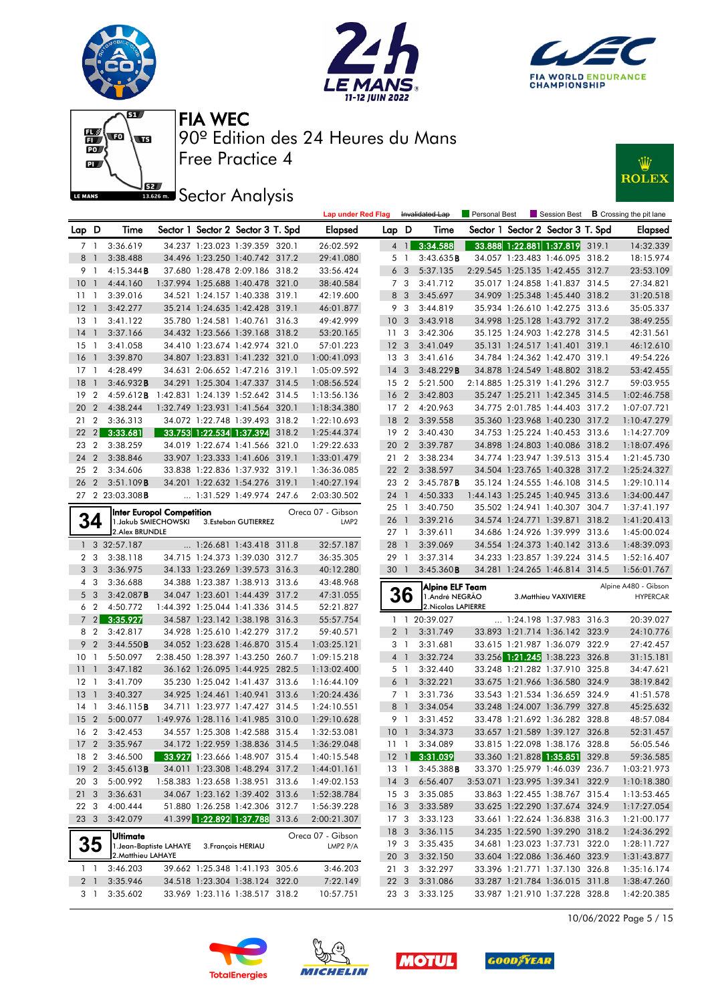











|                 |                          |                           |                                  |                                                                    |       | <b>Lap under Red Flag</b>  |                 |                                  | Invalidated Lap      | Personal Best | Session Best                                                     | <b>B</b> Crossing the pit lane |
|-----------------|--------------------------|---------------------------|----------------------------------|--------------------------------------------------------------------|-------|----------------------------|-----------------|----------------------------------|----------------------|---------------|------------------------------------------------------------------|--------------------------------|
| Lap D           |                          | Time                      |                                  | Sector 1 Sector 2 Sector 3 T. Spd                                  |       | <b>Elapsed</b>             | Lap D           |                                  | Time                 |               | Sector 1 Sector 2 Sector 3 T. Spd                                | <b>Elapsed</b>                 |
| 7 1             |                          | 3:36.619                  |                                  | 34.237 1:23.023 1:39.359 320.1                                     |       | 26:02.592                  |                 | $4 \mid$                         | 3:34.588             |               | 33.888 1:22.881 1:37.819 319.1                                   | 14:32.339                      |
| 8               | $\overline{1}$           | 3:38.488                  |                                  | 34.496 1:23.250 1:40.742 317.2                                     |       | 29:41.080                  |                 | 51                               | 3:43.635B            |               | 34.057 1:23.483 1:46.095 318.2                                   | 18:15.974                      |
| 9 1             |                          | $4:15.344$ <b>B</b>       |                                  | 37.680 1:28.478 2:09.186 318.2                                     |       | 33:56.424                  |                 | 6 <sub>3</sub>                   | 5:37.135             |               | 2:29.545 1:25.135 1:42.455 312.7                                 | 23:53.109                      |
| 10              | $\overline{1}$           | 4:44.160                  |                                  | 1:37.994 1:25.688 1:40.478 321.0                                   |       | 38:40.584                  |                 | 7 3                              | 3:41.712             |               | 35.017 1:24.858 1:41.837 314.5                                   | 27:34.821                      |
| 11              | $\overline{1}$           | 3:39.016                  |                                  | 34.521 1:24.157 1:40.338 319.1                                     |       | 42:19.600                  |                 | 8 3                              | 3:45.697             |               | 34.909 1:25.348 1:45.440 318.2                                   | 31:20.518                      |
| 12              | $\overline{\phantom{a}}$ | 3:42.277                  |                                  | 35.214 1:24.635 1:42.428 319.1                                     |       | 46:01.877                  |                 | 9 3                              | 3:44.819             |               | 35.934 1:26.610 1:42.275 313.6                                   | 35:05.337                      |
| 13              | $\overline{1}$           | 3:41.122                  |                                  | 35.780 1:24.581 1:40.761 316.3                                     |       | 49:42.999                  | 10 <sub>3</sub> |                                  | 3:43.918             |               | 34.998 1:25.128 1:43.792 317.2                                   | 38:49.255                      |
| 14              | $\overline{1}$           | 3:37.166                  |                                  | 34.432 1:23.566 1:39.168 318.2                                     |       | 53:20.165                  | 11 <sub>3</sub> |                                  | 3:42.306             |               | 35.125 1:24.903 1:42.278 314.5                                   | 42:31.561                      |
| $15-1$          |                          | 3:41.058                  |                                  | 34.410 1:23.674 1:42.974 321.0                                     |       | 57:01.223                  | 12 <sup>3</sup> |                                  | 3:41.049             |               | 35.131 1:24.517 1:41.401 319.1                                   | 46:12.610                      |
| 16              | $\overline{1}$           | 3:39.870                  |                                  | 34.807 1:23.831 1:41.232 321.0                                     |       | 1:00:41.093                | 13              | - 3                              | 3:41.616             |               | 34.784 1:24.362 1:42.470 319.1                                   | 49:54.226                      |
| 17              | $\overline{1}$           | 4:28.499                  |                                  | 34.631 2:06.652 1:47.216 319.1                                     |       | 1:05:09.592                | $14 \quad 3$    |                                  | 3:48.229B            |               | 34.878 1:24.549 1:48.802 318.2                                   | 53:42.455                      |
| 18              | $\overline{1}$           | 3:46.932B                 |                                  | 34.291 1:25.304 1:47.337 314.5                                     |       | 1:08:56.524                | 15 <sub>2</sub> |                                  | 5:21.500             |               | 2:14.885 1:25.319 1:41.296 312.7                                 | 59:03.955                      |
| 19              | $\overline{2}$           | 4:59.612B                 | 1:42.831 1:24.139 1:52.642 314.5 |                                                                    |       | 1:13:56.136                | 16              | $\overline{2}$                   | 3:42.803             |               | 35.247 1:25.211 1:42.345 314.5                                   | 1:02:46.758                    |
| 20              | $\overline{2}$           | 4:38.244                  |                                  | 1:32.749 1:23.931 1:41.564 320.1                                   |       | 1:18:34.380                | 17 <sub>2</sub> |                                  | 4:20.963             |               | 34.775 2:01.785 1:44.403 317.2                                   | 1:07:07.721                    |
| 21              | $\overline{2}$           | 3:36.313                  |                                  | 34.072 1:22.748 1:39.493 318.2                                     |       | 1:22:10.693                | 18              | $\overline{2}$                   | 3:39.558             |               | 35.360 1:23.968 1:40.230 317.2                                   | 1:10:47.279                    |
| 22              | 2                        | 3:33.681                  |                                  | 33.753 1:22.534 1:37.394                                           | 318.2 | 1:25:44.374                | 19 <sup>2</sup> |                                  | 3:40.430             |               | 34.753 1:25.224 1:40.453 313.6                                   | 1:14:27.709                    |
| 23              | $\overline{2}$           | 3:38.259                  |                                  | 34.019 1:22.674 1:41.566 321.0                                     |       | 1:29:22.633                | 20              | $\overline{2}$                   | 3:39.787             |               | 34.898 1:24.803 1:40.086 318.2                                   | 1:18:07.496                    |
| 24              | $\overline{2}$           | 3:38.846                  |                                  | 33.907 1:23.333 1:41.606 319.1                                     |       | 1:33:01.479                | 21 2            |                                  | 3:38.234             |               | 34.774 1:23.947 1:39.513 315.4                                   | 1:21:45.730                    |
| 25              | $\overline{2}$           | 3:34.606                  |                                  | 33.838 1:22.836 1:37.932 319.1                                     |       | 1:36:36.085                | 22 2            |                                  | 3:38.597             |               | 34.504 1:23.765 1:40.328 317.2                                   | 1:25:24.327                    |
| 26              | $\overline{2}$           | 3:51.109B                 |                                  | 34.201 1:22.632 1:54.276 319.1                                     |       | 1:40:27.194                | 23              | $\overline{2}$                   | $3:45.787$ <b>B</b>  |               | 35.124 1:24.555 1:46.108 314.5                                   | 1:29:10.114                    |
|                 |                          | 27 2 23:03.308B           |                                  | 1:31.529 1:49.974 247.6                                            |       | 2:03:30.502                | 24              | $\overline{1}$                   | 4:50.333             |               | 1:44.143 1:25.245 1:40.945 313.6                                 | 1:34:00.447                    |
|                 |                          | Inter Europol Competition |                                  |                                                                    |       | Oreca 07 - Gibson          | 25 1            |                                  | 3:40.750             |               | 35.502 1:24.941 1:40.307 304.7                                   | 1:37:41.197                    |
|                 | 34                       | 1. Jakub SMIECHOWSKI      |                                  | 3.Esteban GUTIERREZ                                                |       | LMP <sub>2</sub>           | 26 1            |                                  | 3:39.216             |               | 34.574 1:24.771 1:39.871 318.2                                   | 1:41:20.413                    |
|                 |                          | 2. Alex BRUNDLE           |                                  |                                                                    |       |                            | 27 <sub>1</sub> |                                  | 3:39.611             |               | 34.686 1:24.926 1:39.999 313.6                                   | 1:45:00.024                    |
|                 |                          | 1 3 32:57.187             |                                  | 1:26.681 1:43.418 311.8                                            |       | 32:57.187                  | 28              | $\overline{1}$                   | 3:39.069             |               | 34.554 1:24.373 1:40.142 313.6                                   | 1:48:39.093                    |
|                 | 2 3                      | 3:38.118                  |                                  | 34.715 1:24.373 1:39.030 312.7                                     |       | 36:35.305                  | 29 1            |                                  | 3:37.314             |               | 34.233 1:23.857 1:39.224 314.5                                   | 1:52:16.407                    |
| 3 <sub>3</sub>  |                          | 3:36.975                  |                                  | 34.133 1:23.269 1:39.573 316.3                                     |       | 40:12.280                  | 30              | $\overline{1}$                   | 3:45.360B            |               | 34.281 1:24.265 1:46.814 314.5                                   | 1:56:01.767                    |
|                 | 4 3                      | 3:36.688                  |                                  | 34.388 1:23.387 1:38.913 313.6                                     |       | 43:48.968                  |                 |                                  | Alpine ELF Team      |               |                                                                  | Alpine A480 - Gibson           |
| 5 <sup>3</sup>  |                          | 3:42.087B                 |                                  | 34.047 1:23.601 1:44.439 317.2                                     |       | 47:31.055                  |                 | <b>36</b>                        | 1. André NEGRÃO      |               | 3. Matthieu VAXIVIERE                                            | <b>HYPERCAR</b>                |
|                 | 6 <sub>2</sub>           | 4:50.772                  |                                  | 1:44.392 1:25.044 1:41.336 314.5                                   |       | 52:21.827                  |                 |                                  | 2. Nicolas LAPIERRE  |               |                                                                  |                                |
|                 | 72                       | 3:35.927                  |                                  | 34.587 1:23.142 1:38.198 316.3                                     |       | 55:57.754                  |                 | $1\quad1$                        | 20:39.027            |               | $\ldots$ 1:24.198 1:37.983 316.3                                 | 20:39.027                      |
| 8 2             |                          | 3:42.817                  |                                  | 34.928 1:25.610 1:42.279 317.2                                     |       | 59:40.571                  | 2 <sub>1</sub>  |                                  | 3:31.749             |               | 33.893 1:21.714 1:36.142 323.9                                   | 24:10.776                      |
| 9               | $\overline{2}$           | 3:44.550B                 |                                  | 34.052 1:23.628 1:46.870 315.4                                     |       | 1:03:25.121                |                 | 31                               | 3:31.681             |               | 33.615 1:21.987 1:36.079 322.9                                   | 27:42.457                      |
| 10 <sub>1</sub> |                          | 5:50.097                  |                                  | 2:38.450 1:28.397 1:43.250 260.7<br>36.162 1:26.095 1:44.925 282.5 |       | 1:09:15.218                |                 | 4 <sup>1</sup>                   | 3:32.724             |               | 33.256 1:21.245 1:38.223 326.8                                   | 31:15.181                      |
| 11<br>$12-1$    | $\overline{1}$           | 3:47.182                  |                                  | 35.230 1:25.042 1:41.437 313.6                                     |       | 1:13:02.400                | 6               | 5 <sub>1</sub><br>$\overline{1}$ | 3:32.440             |               | 33.248 1:21.282 1:37.910 325.8<br>33.675 1:21.966 1:36.580 324.9 | 34:47.621                      |
| 13              | $\overline{1}$           | 3:41.709<br>3:40.327      |                                  | 34.925 1:24.461 1:40.941 313.6                                     |       | 1:16:44.109<br>1:20:24.436 |                 |                                  | 3:32.221<br>3:31.736 |               | 33.543 1:21.534 1:36.659 324.9                                   | 38:19.842<br>41:51.578         |
| 14              | $\overline{1}$           | 3:46.115B                 |                                  | 34.711 1:23.977 1:47.427 314.5                                     |       | 1:24:10.551                |                 | 7 1<br>8 <sup>1</sup>            | 3:34.054             |               | 33.248 1:24.007 1:36.799 327.8                                   | 45:25.632                      |
| 15              | $\overline{2}$           | 5:00.077                  |                                  | 1:49.976 1:28.116 1:41.985 310.0                                   |       | 1:29:10.628                | 9               | $\overline{1}$                   | 3:31.452             |               | 33.478 1:21.692 1:36.282 328.8                                   | 48:57.084                      |
| 16 2            |                          | 3:42.453                  |                                  | 34.557 1:25.308 1:42.588 315.4                                     |       | 1:32:53.081                | 10 <sub>1</sub> |                                  | 3:34.373             |               | 33.657 1:21.589 1:39.127 326.8                                   | 52:31.457                      |
| 17 <sub>2</sub> |                          | 3:35.967                  |                                  | 34.172 1:22.959 1:38.836 314.5                                     |       | 1:36:29.048                |                 | 111                              | 3:34.089             |               | 33.815 1:22.098 1:38.176 328.8                                   | 56:05.546                      |
| 18 2            |                          | 3:46.500                  |                                  | 33.927 1:23.666 1:48.907 315.4                                     |       | 1:40:15.548                |                 |                                  | 12 1 3:31.039        |               | 33.360 1:21.828 1:35.851 329.8                                   | 59:36.585                      |
| 19 <sup>2</sup> |                          | 3:45.613B                 |                                  | 34.011 1:23.308 1:48.294 317.2                                     |       | 1:44:01.161                | $13-1$          |                                  | 3:45.388B            |               | 33.370 1:25.979 1:46.039 236.7                                   | 1:03:21.973                    |
| 20 3            |                          | 5:00.992                  |                                  | 1:58.383 1:23.658 1:38.951 313.6                                   |       | 1:49:02.153                | $14 \quad 3$    |                                  | 6:56.407             |               | 3:53.071 1:23.995 1:39.341 322.9                                 | 1:10:18.380                    |
| 21 3            |                          | 3:36.631                  |                                  | 34.067 1:23.162 1:39.402 313.6                                     |       | 1:52:38.784                | 15 3            |                                  | 3:35.085             |               | 33.863 1:22.455 1:38.767 315.4                                   | 1:13:53.465                    |
| 22 3            |                          | 4:00.444                  |                                  | 51.880 1:26.258 1:42.306 312.7                                     |       | 1:56:39.228                | 16 <sub>3</sub> |                                  | 3:33.589             |               | 33.625 1:22.290 1:37.674 324.9                                   | 1:17:27.054                    |
| 23 3            |                          | 3:42.079                  |                                  | 41.399 1:22.892 1:37.788 313.6                                     |       | 2:00:21.307                | 17 3            |                                  | 3:33.123             |               | 33.661 1:22.624 1:36.838 316.3                                   | 1:21:00.177                    |
|                 |                          |                           |                                  |                                                                    |       |                            | 18 <sup>3</sup> |                                  | 3:36.115             |               | 34.235 1:22.590 1:39.290 318.2                                   | 1:24:36.292                    |
|                 | 35                       | Ultimate                  | 1. Jean-Baptiste LAHAYE          | 3. François HERIAU                                                 |       | Oreca 07 - Gibson          | 19 <sub>3</sub> |                                  | 3:35.435             |               | 34.681 1:23.023 1:37.731 322.0                                   | 1:28:11.727                    |
|                 |                          | 2. Matthieu LAHAYE        |                                  |                                                                    |       | LMP2 P/A                   | 20 <sub>3</sub> |                                  | 3:32.150             |               | 33.604 1:22.086 1:36.460 323.9                                   | 1:31:43.877                    |
| 1 <sub>1</sub>  |                          | 3:46.203                  |                                  | 39.662 1:25.348 1:41.193 305.6                                     |       | 3:46.203                   | 21 3            |                                  | 3:32.297             |               | 33.396 1:21.771 1:37.130 326.8                                   | 1:35:16.174                    |
| 2 1             |                          | 3:35.946                  |                                  | 34.518 1:23.304 1:38.124 322.0                                     |       | 7:22.149                   | 22 <sub>3</sub> |                                  | 3:31.086             |               | 33.287 1:21.784 1:36.015 311.8                                   | 1:38:47.260                    |
|                 | 31                       | 3:35.602                  |                                  | 33.969 1:23.116 1:38.517 318.2                                     |       | 10:57.751                  | 23 3            |                                  | 3:33.125             |               | 33.987 1:21.910 1:37.228 328.8                                   | 1:42:20.385                    |
|                 |                          |                           |                                  |                                                                    |       |                            |                 |                                  |                      |               |                                                                  |                                |

10/06/2022 Page 5 / 15







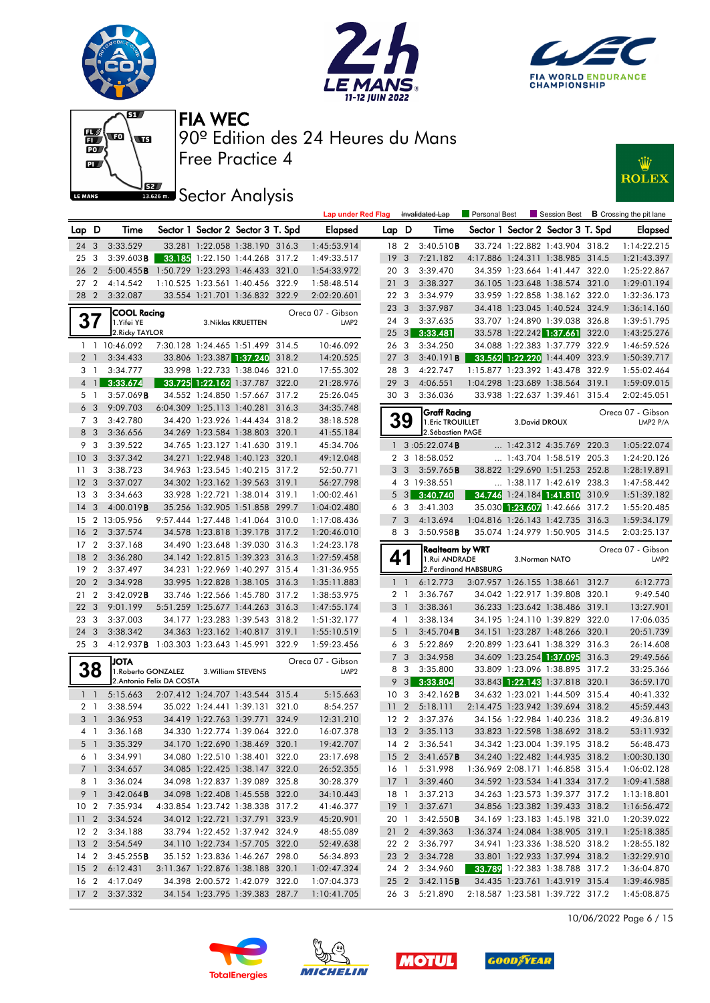











|                 |                |                        |                                  |                          |                                   |       | <b>Lap under Red Flag</b> |                 |                         | Invalidated Lap         | Personal Best |                            |                                   |       | $\blacksquare$ Session Best $\blacksquare$ B Crossing the pit lane |
|-----------------|----------------|------------------------|----------------------------------|--------------------------|-----------------------------------|-------|---------------------------|-----------------|-------------------------|-------------------------|---------------|----------------------------|-----------------------------------|-------|--------------------------------------------------------------------|
| Lap D           |                | Time                   |                                  |                          | Sector 1 Sector 2 Sector 3 T. Spd |       | <b>Elapsed</b>            | Lap D           |                         | Time                    |               |                            | Sector 1 Sector 2 Sector 3 T. Spd |       | <b>Elapsed</b>                                                     |
| 24 3            |                | 3:33.529               |                                  |                          | 33.281 1:22.058 1:38.190 316.3    |       | 1:45:53.914               | 18 2            |                         | 3:40.510B               |               |                            | 33.724 1:22.882 1:43.904 318.2    |       | 1:14:22.215                                                        |
| 25              | -3             | $3:39.603$ <b>B</b>    |                                  |                          | 33.185 1:22.150 1:44.268 317.2    |       | 1:49:33.517               | 19              | -3                      | 7:21.182                |               |                            | 4:17.886 1:24.311 1:38.985 314.5  |       | 1:21:43.397                                                        |
| 26              | $\overline{2}$ | 5:00.455B              |                                  |                          | 1:50.729 1:23.293 1:46.433 321.0  |       | 1:54:33.972               | 20 3            |                         | 3:39.470                |               |                            | 34.359 1:23.664 1:41.447 322.0    |       | 1:25:22.867                                                        |
| 27              | $\overline{2}$ | 4:14.542               |                                  |                          | 1:10.525 1:23.561 1:40.456 322.9  |       | 1:58:48.514               | 21 <sub>3</sub> |                         | 3:38.327                |               |                            | 36.105 1:23.648 1:38.574 321.0    |       | 1:29:01.194                                                        |
| 28 2            |                | 3:32.087               |                                  |                          | 33.554 1:21.701 1:36.832 322.9    |       | 2:02:20.601               | 22 3            |                         | 3:34.979                |               |                            | 33.959 1:22.858 1:38.162 322.0    |       | 1:32:36.173                                                        |
|                 |                | <b>COOL Racing</b>     |                                  |                          |                                   |       | Oreca 07 - Gibson         | 23 3            |                         | 3:37.987                |               |                            | 34.418 1:23.045 1:40.524 324.9    |       | 1:36:14.160                                                        |
| 37              |                | 1.Yifei YE             |                                  |                          | 3. Niklas KRUETTEN                |       | LMP <sub>2</sub>          | 24 3            |                         | 3:37.635                |               |                            | 33.707 1:24.890 1:39.038 326.8    |       | 1:39:51.795                                                        |
|                 |                | 2. Ricky TAYLOR        |                                  |                          |                                   |       |                           | $25 \quad 3$    |                         | 3:33.481                |               | 33.578 1:22.242 1:37.661   |                                   | 322.0 | 1:43:25.276                                                        |
|                 |                | 1 1 10:46.092          |                                  |                          | 7:30.128 1:24.465 1:51.499 314.5  |       | 10:46.092                 | 26 3            |                         | 3:34.250                |               |                            | 34.088 1:22.383 1:37.779 322.9    |       | 1:46:59.526                                                        |
| 2 <sub>1</sub>  |                | 3:34.433               |                                  |                          | 33.806 1:23.387 1:37.240          | 318.2 | 14:20.525                 | 27 <sub>3</sub> |                         | 3:40.191B               |               |                            | 33.562 1:22.220 1:44.409 323.9    |       | 1:50:39.717                                                        |
| 3               | $\overline{1}$ | 3:34.777               |                                  |                          | 33.998 1:22.733 1:38.046 321.0    |       | 17:55.302                 | 28 3            |                         | 4:22.747                |               | 1:15.877 1:23.392 1:43.478 |                                   | 322.9 | 1:55:02.464                                                        |
| $\overline{4}$  | $\mathbf{1}$   | 3:33.674               |                                  |                          | 33.725 1:22.162 1:37.787 322.0    |       | 21:28.976                 | 29              | $\overline{3}$          | 4:06.551                |               | 1:04.298 1:23.689 1:38.564 |                                   | 319.1 | 1:59:09.015                                                        |
| 5 1             |                | 3:57.069B              |                                  |                          | 34.552 1:24.850 1:57.667 317.2    |       | 25:26.045                 | 30 3            |                         | 3:36.036                |               |                            | 33.938 1:22.637 1:39.461 315.4    |       | 2:02:45.051                                                        |
|                 | 6 3            | 9:09.703               |                                  |                          | 6:04.309 1:25.113 1:40.281 316.3  |       | 34:35.748                 |                 |                         | <b>Graff Racing</b>     |               |                            |                                   |       | Oreca 07 - Gibson                                                  |
| 7               | -3             | 3:42.780               |                                  |                          | 34.420 1:23.926 1:44.434 318.2    |       | 38:18.528                 |                 | 39                      | 1. Eric TROUILLET       |               | 3. David DROUX             |                                   |       | LMP2 P/A                                                           |
|                 | 8 3            | 3:36.656               |                                  |                          | 34.269 1:23.584 1:38.803 320.1    |       | 41:55.184                 |                 |                         | 2. Sébastien PAGE       |               |                            |                                   |       |                                                                    |
| 9               | 3              | 3:39.522               |                                  |                          | 34.765 1:23.127 1:41.630 319.1    |       | 45:34.706                 |                 |                         | $1 \quad 3:05:22.074$ B |               |                            | $\ldots$ 1:42.312 4:35.769 220.3  |       | 1:05:22.074                                                        |
| 10 <sup>°</sup> | $\mathbf{3}$   | 3:37.342               |                                  |                          | 34.271 1:22.948 1:40.123 320.1    |       | 49:12.048                 |                 |                         | 2 3 18:58.052           |               |                            | 1:43.704 1:58.519 205.3           |       | 1:24:20.126                                                        |
| 11              | 3              | 3:38.723               |                                  |                          | 34.963 1:23.545 1:40.215 317.2    |       | 52:50.771                 | 3               | $\overline{3}$          | 3:59.765B               |               |                            | 38.822 1:29.690 1:51.253 252.8    |       | 1:28:19.891                                                        |
| 12              | 3              | 3:37.027               |                                  |                          | 34.302 1:23.162 1:39.563 319.1    |       | 56:27.798                 | 4               |                         | 3 19:38.551             |               |                            | $\ldots$ 1:38.117 1:42.619 238.3  |       | 1:47:58.442                                                        |
| 13              | 3              | 3:34.663               |                                  |                          | 33.928 1:22.721 1:38.014 319.1    |       | 1:00:02.461               | 5               | $\mathbf{3}$            | 3:40.740                |               |                            | 34.746 1:24.184 1:41.810 310.9    |       | 1:51:39.182                                                        |
| 14              | 3              | 4:00.019B              |                                  |                          | 35.256 1:32.905 1:51.858 299.7    |       | 1:04:02.480               | 6               | -3                      | 3:41.303                |               |                            | 35.030 1:23.607 1:42.666 317.2    |       | 1:55:20.485                                                        |
| 15              |                | 2 13:05.956            |                                  |                          | 9:57.444 1:27.448 1:41.064 310.0  |       | 1:17:08.436               | $\overline{7}$  | 3                       | 4:13.694                |               |                            | 1:04.816 1:26.143 1:42.735 316.3  |       | 1:59:34.179                                                        |
| 16              | $\overline{2}$ | 3:37.574               |                                  |                          | 34.578 1:23.818 1:39.178 317.2    |       | 1:20:46.010               |                 | 8 3                     | 3:50.958B               |               |                            | 35.074 1:24.979 1:50.905 314.5    |       | 2:03:25.137                                                        |
| 17              | $\overline{2}$ | 3:37.168               |                                  |                          | 34.490 1:23.648 1:39.030 316.3    |       | 1:24:23.178               |                 |                         | <b>Realteam by WRT</b>  |               |                            |                                   |       | Oreca 07 - Gibson                                                  |
| 18              | 2              | 3:36.280               |                                  |                          | 34.142 1:22.815 1:39.323 316.3    |       | 1:27:59.458               | 41              |                         | 1.Rui ANDRADE           |               | 3.Norman NATO              |                                   |       | LMP2                                                               |
| 19              | $\overline{2}$ | 3:37.497               |                                  |                          | 34.231 1:22.969 1:40.297 315.4    |       | 1:31:36.955               |                 |                         | 2.Ferdinand HABSBURG    |               |                            |                                   |       |                                                                    |
| 20              | $\overline{2}$ | 3:34.928               |                                  |                          | 33.995 1:22.828 1:38.105 316.3    |       | 1:35:11.883               |                 | $1\quad$                | 6:12.773                |               |                            | 3:07.957 1:26.155 1:38.661 312.7  |       | 6:12.773                                                           |
| 21              | $\overline{2}$ | 3:42.092B              |                                  |                          | 33.746 1:22.566 1:45.780 317.2    |       | 1:38:53.975               | 2 <sub>1</sub>  |                         | 3:36.767                |               |                            | 34.042 1:22.917 1:39.808 320.1    |       | 9:49.540                                                           |
| 22              | 3              | 9:01.199               |                                  |                          | 5:51.259 1:25.677 1:44.263 316.3  |       | 1:47:55.174               | 3 <sup>1</sup>  |                         | 3:38.361                |               |                            | 36.233 1:23.642 1:38.486 319.1    |       | 13:27.901                                                          |
| 23              | 3              | 3:37.003               |                                  |                          | 34.177 1:23.283 1:39.543 318.2    |       | 1:51:32.177               |                 | $4-1$                   | 3:38.134                |               |                            | 34.195 1:24.110 1:39.829 322.0    |       | 17:06.035                                                          |
| 24              | 3              | 3:38.342               |                                  |                          | 34.363 1:23.162 1:40.817 319.1    |       | 1:55:10.519               | 5               | $\overline{1}$          | 3:45.704B               |               |                            | 34.151 1:23.287 1:48.266 320.1    |       | 20:51.739                                                          |
| 25 <sub>3</sub> |                | 4:12.937B              | 1:03.303 1:23.643 1:45.991 322.9 |                          |                                   |       | 1:59:23.456               |                 | 6 3                     | 5:22.869                |               |                            | 2:20.899 1:23.641 1:38.329 316.3  |       | 26:14.608                                                          |
|                 |                | <b>ATOL</b>            |                                  |                          |                                   |       | Oreca 07 - Gibson         | $\overline{7}$  | $\overline{\mathbf{3}}$ | 3:34.958                |               |                            | 34.609 1:23.254 1:37.095 316.3    |       | 29:49.566                                                          |
|                 | 38             | 1. Roberto GONZALEZ    |                                  |                          | 3. William STEVENS                |       | LMP <sub>2</sub>          | 8               | $\mathbf{3}$            | 3:35.800                |               |                            | 33.809 1:23.096 1:38.895 317.2    |       | 33:25.366                                                          |
|                 |                |                        | 2. Antonio Felix DA COSTA        |                          |                                   |       |                           | 9               | $\mathbf{3}$            | 3:33.804                |               |                            | 33.843 1:22.143 1:37.818 320.1    |       | 36:59.170                                                          |
| 1 <sup>1</sup>  |                | 5:15.663               |                                  |                          | 2:07.412 1:24.707 1:43.544 315.4  |       | 5:15.663                  | 10 <sup>3</sup> |                         | 3:42.162B               |               |                            | 34.632 1:23.021 1:44.509 315.4    |       | 40:41.332                                                          |
| 2 <sub>1</sub>  |                | 3:38.594               |                                  |                          | 35.022 1:24.441 1:39.131 321.0    |       | 8:54.257                  | 11              | $\overline{2}$          | 5:18.111                |               |                            | 2:14.475 1:23.942 1:39.694 318.2  |       | 45:59.443                                                          |
| 3 <sup>1</sup>  |                | 3:36.953               |                                  | 34.419 1:22.763 1:39.771 |                                   | 324.9 | 12:31.210                 | 12 2            |                         | 3:37.376                |               |                            | 34.156 1:22.984 1:40.236 318.2    |       | 49:36.819                                                          |
| 4 1             |                | 3:36.168               |                                  |                          | 34.330 1:22.774 1:39.064 322.0    |       | 16:07.378                 | 13 2            |                         | 3:35.113                |               |                            | 33.823 1:22.598 1:38.692 318.2    |       | 53:11.932                                                          |
|                 | 5 1            | 3:35.329               |                                  |                          | 34.170 1:22.690 1:38.469 320.1    |       | 19:42.707                 |                 |                         | 14 2 3:36.541           |               |                            | 34.342 1:23.004 1:39.195 318.2    |       | 56:48.473                                                          |
|                 |                | 6 1 3:34.991           |                                  |                          | 34.080 1:22.510 1:38.401 322.0    |       | 23:17.698                 |                 |                         | 15 2 3:41.657 <b>B</b>  |               |                            | 34.240 1:22.482 1:44.935 318.2    |       | 1:00:30.130                                                        |
|                 | 7 <sup>1</sup> | 3:34.657               |                                  |                          | 34.085 1:22.425 1:38.147 322.0    |       | 26:52.355                 | 16 1            |                         | 5:31.998                |               |                            | 1:36.969 2:08.171 1:46.858 315.4  |       | 1:06:02.128                                                        |
|                 | 81             | 3:36.024               |                                  |                          | 34.098 1:22.837 1:39.089 325.8    |       | 30:28.379                 | 17 <sup>1</sup> |                         | 3:39.460                |               |                            | 34.592 1:23.534 1:41.334 317.2    |       | 1:09:41.588                                                        |
|                 | 9 1            | $3:42.064$ <b>B</b>    |                                  |                          | 34.098 1:22.408 1:45.558 322.0    |       | 34:10.443                 | 18 1            |                         | 3:37.213                |               |                            | 34.263 1:23.573 1:39.377 317.2    |       | 1:13:18.801                                                        |
|                 |                | 10 2 7:35.934          |                                  |                          | 4:33.854 1:23.742 1:38.338 317.2  |       | 41:46.377                 | 19 1            |                         | 3:37.671                |               |                            | 34.856 1:23.382 1:39.433 318.2    |       | 1:16:56.472                                                        |
|                 |                | 11 2 3:34.524          |                                  |                          | 34.012 1:22.721 1:37.791 323.9    |       | 45:20.901                 | 20 1            |                         | 3:42.550B               |               |                            | 34.169 1:23.183 1:45.198 321.0    |       | 1:20:39.022                                                        |
|                 |                | 12 2 3:34.188          |                                  |                          | 33.794 1:22.452 1:37.942 324.9    |       | 48:55.089                 |                 |                         | 21 2 4:39.363           |               |                            | 1:36.374 1:24.084 1:38.905 319.1  |       | 1:25:18.385                                                        |
|                 |                | 13 2 3:54.549          |                                  |                          | 34.110 1:22.734 1:57.705 322.0    |       | 52:49.638                 | 22 2            |                         | 3:36.797                |               |                            | 34.941 1:23.336 1:38.520 318.2    |       | 1:28:55.182                                                        |
|                 |                | 14 2 3:45.255 <b>B</b> |                                  |                          | 35.152 1:23.836 1:46.267 298.0    |       | 56:34.893                 |                 |                         | 23 2 3:34.728           |               |                            | 33.801 1:22.933 1:37.994 318.2    |       | 1:32:29.910                                                        |
|                 |                | 15 2 6:12.431          |                                  |                          | 3:11.367 1:22.876 1:38.188 320.1  |       | 1:02:47.324               | 24 2            |                         | 3:34.960                |               |                            | 33.789 1:22.383 1:38.788 317.2    |       | 1:36:04.870                                                        |
|                 |                | 16 2 4:17.049          |                                  |                          | 34.398 2:00.572 1:42.079 322.0    |       | 1:07:04.373               | 25 2            |                         | 3:42.115B               |               |                            | 34.435 1:23.761 1:43.919 315.4    |       | 1:39:46.985                                                        |
|                 |                | 17 2 3:37.332          |                                  |                          | 34.154 1:23.795 1:39.383 287.7    |       | 1:10:41.705               |                 |                         | 26 3 5:21.890           |               |                            | 2:18.587 1:23.581 1:39.722 317.2  |       | 1:45:08.875                                                        |

10/06/2022 Page 6 / 15







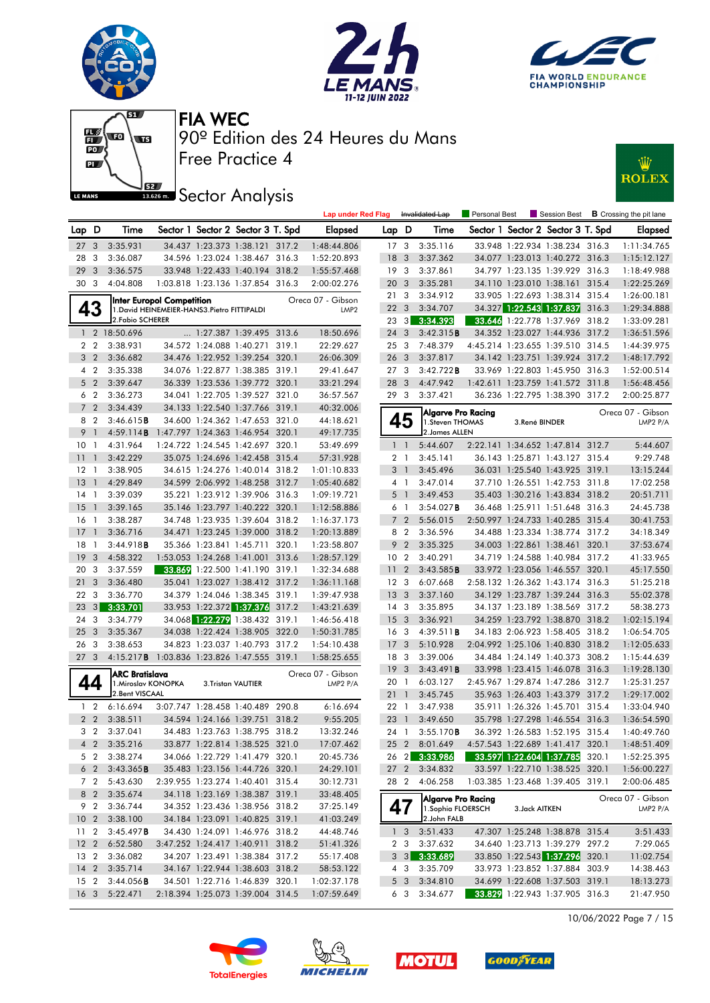







# **JEZ**<br>BREAD Sector Analysis



|                 |                |                           |                                              |                                   | <b>Lap under Red Flag</b> |                 |                         | Invalidated Lap    | Personal Best |                |                                   |       | Session Best <b>B</b> Crossing the pit lane |
|-----------------|----------------|---------------------------|----------------------------------------------|-----------------------------------|---------------------------|-----------------|-------------------------|--------------------|---------------|----------------|-----------------------------------|-------|---------------------------------------------|
| Lap D           |                | Time                      |                                              | Sector 1 Sector 2 Sector 3 T. Spd | Elapsed                   | Lap D           |                         | Time               |               |                | Sector 1 Sector 2 Sector 3 T. Spd |       | Elapsed                                     |
| 27 <sub>3</sub> |                | 3:35.931                  |                                              | 34.437 1:23.373 1:38.121 317.2    | 1:48:44.806               | 17 <sub>3</sub> |                         | 3:35.116           |               |                | 33.948 1:22.934 1:38.234 316.3    |       | 1:11:34.765                                 |
| 28              | 3              | 3:36.087                  |                                              | 34.596 1:23.024 1:38.467 316.3    | 1:52:20.893               | 18              | $\mathbf{3}$            | 3:37.362           |               |                | 34.077 1:23.013 1:40.272 316.3    |       | 1:15:12.127                                 |
| 29              | 3              | 3:36.575                  |                                              | 33.948 1:22.433 1:40.194 318.2    | 1:55:57.468               | 19              | - 3                     | 3:37.861           |               |                | 34.797 1:23.135 1:39.929 316.3    |       | 1:18:49.988                                 |
| 30 3            |                | 4:04.808                  |                                              | 1:03.818 1:23.136 1:37.854 316.3  | 2:00:02.276               | 20              | $\mathbf{3}$            | 3:35.281           |               |                | 34.110 1:23.010 1:38.161 315.4    |       | 1:22:25.269                                 |
|                 |                | Inter Europol Competition |                                              |                                   | Oreca 07 - Gibson         | 213             |                         | 3:34.912           |               |                | 33.905 1:22.693 1:38.314 315.4    |       | 1:26:00.181                                 |
|                 | 43             |                           | 1. David HEINEMEIER-HANS3. Pietro FITTIPALDI |                                   | LMP <sub>2</sub>          | 22 <sub>3</sub> |                         | 3:34.707           |               |                | 34.327 1:22.543 1:37.837 316.3    |       | 1:29:34.888                                 |
|                 |                | 2. Fabio SCHERER          |                                              |                                   |                           | 23 3            |                         | 3:34.393           |               |                | 33.646 1:22.778 1:37.969 318.2    |       | 1:33:09.281                                 |
|                 |                | 1 2 18:50.696             |                                              | 1:27.387 1:39.495 313.6           | 18:50.696                 | 24 3            |                         | 3:42.315B          |               |                | 34.352 1:23.027 1:44.936 317.2    |       | 1:36:51.596                                 |
| 2 <sub>2</sub>  |                | 3:38.931                  |                                              | 34.572 1:24.088 1:40.271 319.1    | 22:29.627                 | 253             |                         | 7:48.379           |               |                | 4:45.214 1:23.655 1:39.510 314.5  |       | 1:44:39.975                                 |
|                 | 3 <sub>2</sub> | 3:36.682                  |                                              | 34.476 1:22.952 1:39.254 320.1    | 26:06.309                 | 26 3            |                         | 3:37.817           |               |                | 34.142 1:23.751 1:39.924 317.2    |       | 1:48:17.792                                 |
| 4               | $\overline{2}$ | 3:35.338                  |                                              | 34.076 1:22.877 1:38.385 319.1    | 29:41.647                 | 273             |                         | 3:42.722B          |               |                | 33.969 1:22.803 1:45.950 316.3    |       | 1:52:00.514                                 |
|                 | 5 <sub>2</sub> | 3:39.647                  |                                              | 36.339 1:23.536 1:39.772 320.1    | 33:21.294                 | 28 3            |                         | 4:47.942           |               |                | 1:42.611 1:23.759 1:41.572 311.8  |       | 1:56:48.456                                 |
|                 | 6 2            | 3:36.273                  |                                              | 34.041 1:22.705 1:39.527 321.0    | 36:57.567                 | 293             |                         | 3:37.421           |               |                | 36.236 1:22.795 1:38.390 317.2    |       | 2:00:25.877                                 |
| $7^{\circ}$     | $\overline{2}$ | 3:34.439                  |                                              | 34.133 1:22.540 1:37.766 319.1    | 40:32.006                 |                 |                         | Algarve Pro Racing |               |                |                                   |       | Oreca 07 - Gibson                           |
| 8 2             |                | 3:46.615B                 |                                              | 34.600 1:24.362 1:47.653 321.0    | 44:18.621                 |                 | 45                      | 1. Steven THOMAS   |               | 3.René BINDER  |                                   |       | LMP2 P/A                                    |
| 9 <sub>1</sub>  |                | 4:59.114B                 |                                              | 1:47.797 1:24.363 1:46.954 320.1  | 49:17.735                 |                 |                         | 2. James ALLEN     |               |                |                                   |       |                                             |
| 10 <sub>1</sub> |                | 4:31.964                  |                                              | 1:24.722 1:24.545 1:42.697 320.1  | 53:49.699                 |                 | $1\quad$                | 5:44.607           |               |                | 2:22.141 1:34.652 1:47.814 312.7  |       | 5:44.607                                    |
| 11              | $\mathbf{1}$   | 3:42.229                  |                                              | 35.075 1:24.696 1:42.458 315.4    | 57:31.928                 |                 | 2 <sub>1</sub>          | 3:45.141           |               |                | 36.143 1:25.871 1:43.127 315.4    |       | 9:29.748                                    |
| 12              | $\overline{1}$ | 3:38.905                  |                                              | 34.615 1:24.276 1:40.014 318.2    | 1:01:10.833               |                 | 3 <sup>1</sup>          | 3:45.496           |               |                | 36.031 1:25.540 1:43.925 319.1    |       | 13:15.244                                   |
| 13              | $\overline{1}$ | 4:29.849                  |                                              | 34.599 2:06.992 1:48.258 312.7    | 1:05:40.682               |                 | 4 1                     | 3:47.014           |               |                | 37.710 1:26.551 1:42.753 311.8    |       | 17:02.258                                   |
| $14-1$          |                | 3:39.039                  |                                              | 35.221 1:23.912 1:39.906 316.3    | 1:09:19.721               |                 | $5-1$                   | 3:49.453           |               |                | 35.403 1:30.216 1:43.834 318.2    |       | 20:51.711                                   |
| 15              | $\overline{1}$ | 3:39.165                  |                                              | 35.146 1:23.797 1:40.222 320.1    | 1:12:58.886               |                 | 6 1                     | 3:54.027B          |               |                | 36.468 1:25.911 1:51.648 316.3    |       | 24:45.738                                   |
| 16              | $\overline{1}$ | 3:38.287                  |                                              | 34.748 1:23.935 1:39.604 318.2    | 1:16:37.173               |                 | 7 <sub>2</sub>          | 5:56.015           |               |                | 2:50.997 1:24.733 1:40.285 315.4  |       | 30:41.753                                   |
| 17              | $\overline{1}$ | 3:36.716                  |                                              | 34.471 1:23.245 1:39.000 318.2    | 1:20:13.889               |                 | 8 2                     | 3:36.596           |               |                | 34.488 1:23.334 1:38.774 317.2    |       | 34:18.349                                   |
| 18              | -1             | 3:44.918B                 |                                              | 35.366 1:23.841 1:45.711 320.1    | 1:23:58.807               |                 | 9 2                     | 3:35.325           |               |                | 34.003 1:22.861 1:38.461 320.1    |       | 37:53.674                                   |
| 19              | 3              | 4:58.322                  |                                              | 1:53.053 1:24.268 1:41.001 313.6  | 1:28:57.129               | 10 <sub>2</sub> |                         | 3:40.291           |               |                | 34.719 1:24.588 1:40.984 317.2    |       | 41:33.965                                   |
| 20              | 3              | 3:37.559                  |                                              | 33.869 1:22.500 1:41.190 319.1    | 1:32:34.688               | 11              | $\overline{2}$          | 3:43.585B          |               |                | 33.972 1:23.056 1:46.557 320.1    |       | 45:17.550                                   |
| 21              | 3              | 3:36.480                  |                                              | 35.041 1:23.027 1:38.412 317.2    | 1:36:11.168               | 12 <sup>3</sup> |                         | 6:07.668           |               |                | 2:58.132 1:26.362 1:43.174 316.3  |       | 51:25.218                                   |
| 22              | 3              | 3:36.770                  |                                              | 34.379 1:24.046 1:38.345 319.1    | 1:39:47.938               | 13 <sup>3</sup> |                         | 3:37.160           |               |                | 34.129 1:23.787 1:39.244 316.3    |       | 55:02.378                                   |
| 23              | 3              | 3:33.701                  |                                              | 33.953 1:22.372 1:37.376 317.2    | 1:43:21.639               | 14 3            |                         | 3:35.895           |               |                | 34.137 1:23.189 1:38.569 317.2    |       | 58:38.273                                   |
| 24              | 3              | 3:34.779                  |                                              | 34.068 1:22.279 1:38.432 319.1    | 1:46:56.418               | 15 <sub>3</sub> |                         | 3:36.921           |               |                | 34.259 1:23.792 1:38.870 318.2    |       | 1:02:15.194                                 |
| 25              | 3              | 3:35.367                  |                                              | 34.038 1:22.424 1:38.905 322.0    | 1:50:31.785               | 16 3            |                         | 4:39.511B          |               |                | 34.183 2:06.923 1:58.405 318.2    |       | 1:06:54.705                                 |
| 26              | -3             | 3:38.653                  |                                              | 34.823 1:23.037 1:40.793 317.2    | 1:54:10.438               | 17 <sub>3</sub> |                         | 5:10.928           |               |                | 2:04.992 1:25.106 1:40.830 318.2  |       | 1:12:05.633                                 |
| 27              | 3              | 4:15.217B                 |                                              | 1:03.836 1:23.826 1:47.555 319.1  | 1:58:25.655               | 18 3            |                         | 3:39.006           |               |                | 34.484 1:24.149 1:40.373 308.2    |       | 1:15:44.639                                 |
|                 |                | ARC Bratislava            |                                              |                                   | Oreca 07 - Gibson         | 19              | $\overline{\mathbf{3}}$ | 3:43.491B          |               |                | 33.998 1:23.415 1:46.078 316.3    |       | 1:19:28.130                                 |
| 44              |                | 1. Miroslav KONOPKA       |                                              | 3.Tristan VAUTIER                 | LMP2 P/A                  | 20 1            |                         | 6:03.127           |               |                | 2:45.967 1:29.874 1:47.286 312.7  |       | 1:25:31.257                                 |
|                 |                | 2. Bent VISCAAL           |                                              |                                   |                           | 211             |                         | 3:45.745           |               |                | 35.963 1:26.403 1:43.379 317.2    |       | 1:29:17.002                                 |
| 1 <sub>2</sub>  |                | 6:16.694                  |                                              | 3:07.747 1:28.458 1:40.489 290.8  | 6:16.694                  | 22 1            |                         | 3:47.938           |               |                | 35.911 1:26.326 1:45.701          | 315.4 | 1:33:04.940                                 |
| 2 <sub>2</sub>  |                | 3:38.511                  |                                              | 34.594 1:24.166 1:39.751 318.2    | 9:55.205                  | 23              | $\overline{1}$          | 3:49.650           |               |                | 35.798 1:27.298 1:46.554 316.3    |       | 1:36:54.590                                 |
|                 | 3 <sub>2</sub> | 3:37.041                  |                                              | 34.483 1:23.763 1:38.795 318.2    | 13:32.246                 | 24 1            |                         | 3:55.170B          |               |                | 36.392 1:26.583 1:52.195 315.4    |       | 1:40:49.760                                 |
|                 |                | 4 2 3:35.216              |                                              | 33.877 1:22.814 1:38.525 321.0    | 17:07.462                 |                 |                         | 25 2 8:01.649      |               |                | 4:57.543 1:22.689 1:41.417 320.1  |       | 1:48:51.409                                 |
|                 | 5 2            | 3:38.274                  |                                              | 34.066 1:22.729 1:41.479 320.1    | 20:45.736                 | 26 2            |                         | 3:33.986           |               |                | 33.597 1:22.604 1:37.785 320.1    |       | 1:52:25.395                                 |
|                 | 6 <sub>2</sub> | 3:43.365B                 |                                              | 35.483 1:23.156 1:44.726 320.1    | 24:29.101                 | 27 <sub>2</sub> |                         | 3:34.832           |               |                | 33.597 1:22.710 1:38.525 320.1    |       | 1:56:00.227                                 |
|                 | 7 <sub>2</sub> | 5:43.630                  |                                              | 2:39.955 1:23.274 1:40.401 315.4  | 30:12.731                 |                 | 282                     | 4:06.258           |               |                | 1:03.385 1:23.468 1:39.405 319.1  |       | 2:00:06.485                                 |
|                 | 8 2            | 3:35.674                  |                                              | 34.118 1:23.169 1:38.387 319.1    | 33:48.405                 |                 |                         | Algarve Pro Racing |               |                |                                   |       | Oreca 07 - Gibson                           |
| 9 2             |                | 3:36.744                  |                                              | 34.352 1:23.436 1:38.956 318.2    | 37:25.149                 |                 | 47                      | 1. Sophia FLOERSCH |               | 3. Jack AITKEN |                                   |       | LMP2 P/A                                    |
| 10 <sub>2</sub> |                | 3:38.100                  |                                              | 34.184 1:23.091 1:40.825 319.1    | 41:03.249                 |                 |                         | 2.John FALB        |               |                |                                   |       |                                             |
| 11 <sub>2</sub> |                | 3:45.497B                 |                                              | 34.430 1:24.091 1:46.976 318.2    | 44:48.746                 |                 | 1 <sub>3</sub>          | 3:51.433           |               |                | 47.307 1:25.248 1:38.878 315.4    |       | 3:51.433                                    |
| 12 <sub>2</sub> |                | 6:52.580                  |                                              | 3:47.252 1:24.417 1:40.911 318.2  | 51:41.326                 |                 | 2 3                     | 3:37.632           |               |                | 34.640 1:23.713 1:39.279 297.2    |       | 7:29.065                                    |
| 13 2            |                | 3:36.082                  |                                              | 34.207 1:23.491 1:38.384 317.2    | 55:17.408                 |                 | $3 \quad 3$             | 3:33.689           |               |                | 33.850 1:22.543 1:37.296 320.1    |       | 11:02.754                                   |
| $14 \quad 2$    |                | 3:35.714                  |                                              | 34.167 1:22.944 1:38.603 318.2    | 58:53.122                 |                 | 4 3                     | 3:35.709           |               |                | 33.973 1:23.852 1:37.884 303.9    |       | 14:38.463                                   |
| 15 <sub>2</sub> |                | 3:44.056B                 |                                              | 34.501 1:22.716 1:46.839 320.1    | 1:02:37.178               |                 | 5 <sub>3</sub>          | 3:34.810           |               |                | 34.699 1:22.608 1:37.503 319.1    |       | 18:13.273                                   |
| 16 <sub>3</sub> |                | 5:22.471                  |                                              | 2:18.394 1:25.073 1:39.004 314.5  | 1:07:59.649               |                 | 6 3                     | 3:34.677           |               |                | 33.829 1:22.943 1:37.905 316.3    |       | 21:47.950                                   |









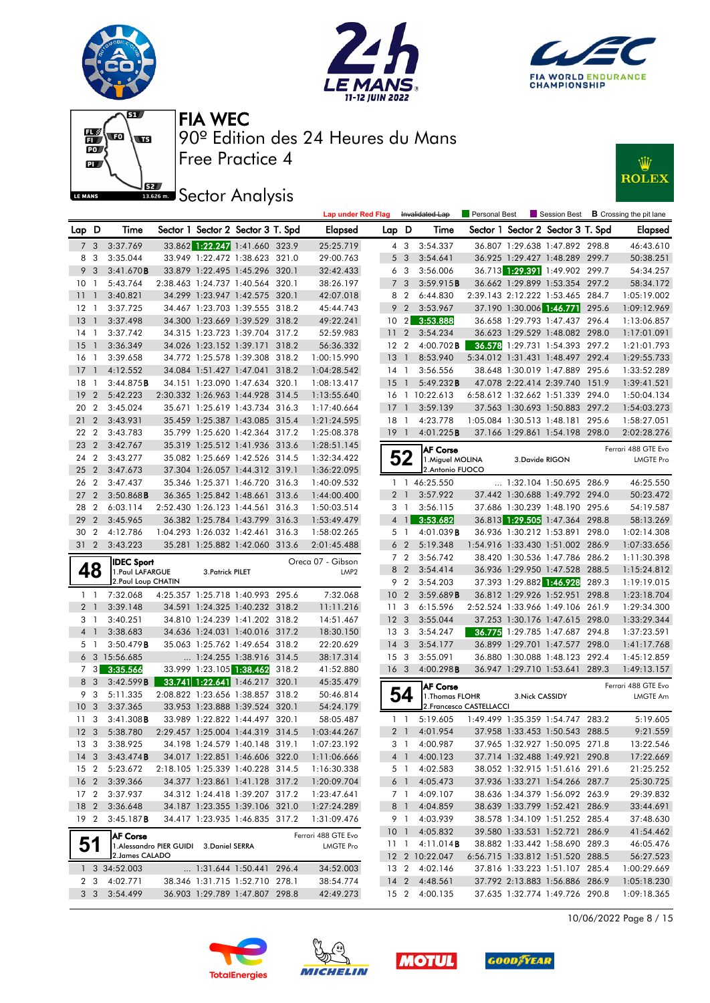







# **JEZ**<br>BREAD Sector Analysis



|                 |                 |                          |                                        |                  |                                                                  | <b>Lap under Red Flag</b> |                 |                | Invalidated Lap                      | Personal Best            |                 |                                                                  | Session Best <b>B</b> Crossing the pit lane |
|-----------------|-----------------|--------------------------|----------------------------------------|------------------|------------------------------------------------------------------|---------------------------|-----------------|----------------|--------------------------------------|--------------------------|-----------------|------------------------------------------------------------------|---------------------------------------------|
| Lap D           |                 | Time                     |                                        |                  | Sector 1 Sector 2 Sector 3 T. Spd                                | Elapsed                   | Lap D           |                | Time                                 |                          |                 | Sector 1 Sector 2 Sector 3 T. Spd                                | <b>Elapsed</b>                              |
|                 | 7 <sub>3</sub>  | 3:37.769                 |                                        |                  | 33.862 1:22.247 1:41.660 323.9                                   | 25:25.719                 |                 | 4 3            | 3:54.337                             |                          |                 | 36.807 1:29.638 1:47.892 298.8                                   | 46:43.610                                   |
|                 | 8 3             | 3:35.044                 |                                        |                  | 33.949 1:22.472 1:38.623 321.0                                   | 29:00.763                 |                 | 5 <sub>3</sub> | 3:54.641                             |                          |                 | 36.925 1:29.427 1:48.289 299.7                                   | 50:38.251                                   |
|                 | 9 <sub>3</sub>  | 3:41.670B                |                                        |                  | 33.879 1:22.495 1:45.296 320.1                                   | 32:42.433                 |                 | 6 <sub>3</sub> | 3:56.006                             |                          |                 | 36.713 1:29.391 1:49.902 299.7                                   | 54:34.257                                   |
| 10 <sub>1</sub> |                 | 5:43.764                 |                                        |                  | 2:38.463 1:24.737 1:40.564 320.1                                 | 38:26.197                 |                 | 7 <sub>3</sub> | 3:59.915B                            |                          |                 | 36.662 1:29.899 1:53.354 297.2                                   | 58:34.172                                   |
| 111             |                 | 3:40.821                 |                                        |                  | 34.299 1:23.947 1:42.575 320.1                                   | 42:07.018                 |                 | 8 2            | 6:44.830                             |                          |                 | 2:39.143 2:12.222 1:53.465 284.7                                 | 1:05:19.002                                 |
| $12-1$          |                 | 3:37.725                 |                                        |                  | 34.467 1:23.703 1:39.555 318.2                                   | 45:44.743                 |                 | 9 <sub>2</sub> | 3:53.967                             |                          |                 | 37.190 1:30.006 1:46.771 295.6                                   | 1:09:12.969                                 |
| $13-1$          |                 | 3:37.498                 |                                        |                  | 34.300 1:23.669 1:39.529 318.2                                   | 49:22.241                 | 10              | $\mathbf{2}$   | 3:53.888                             |                          |                 | 36.658 1:29.793 1:47.437 296.4                                   | 1:13:06.857                                 |
| 14 1            |                 | 3:37.742                 |                                        |                  | 34.315 1:23.723 1:39.704 317.2                                   | 52:59.983                 | 11 <sub>2</sub> |                | 3:54.234                             |                          |                 | 36.623 1:29.529 1:48.082 298.0                                   | 1:17:01.091                                 |
| $15-1$          |                 | 3:36.349                 |                                        |                  | 34.026 1:23.152 1:39.171 318.2                                   | 56:36.332                 | 12 <sub>2</sub> |                | $4:00.702$ <b>B</b>                  |                          |                 | 36.578 1:29.731 1:54.393 297.2                                   | 1:21:01.793                                 |
| 16 <sub>1</sub> |                 | 3:39.658                 |                                        |                  | 34.772 1:25.578 1:39.308 318.2                                   | 1:00:15.990               | 13 <sup>1</sup> |                | 8:53.940                             |                          |                 | 5:34.012 1:31.431 1:48.497 292.4                                 | 1:29:55.733                                 |
| $17-1$          |                 | 4:12.552                 |                                        |                  | 34.084 1:51.427 1:47.041 318.2                                   | 1:04:28.542               | $14-1$          |                | 3:56.556                             |                          |                 | 38.648 1:30.019 1:47.889 295.6                                   | 1:33:52.289                                 |
| $18-1$          |                 | 3:44.875B                |                                        |                  | 34.151 1:23.090 1:47.634 320.1                                   | 1:08:13.417               | 15              | $\overline{1}$ | 5:49.232B                            |                          |                 | 47.078 2:22.414 2:39.740 151.9                                   | 1:39:41.521                                 |
| 19              | $\overline{2}$  | 5:42.223                 |                                        |                  | 2:30.332 1:26.963 1:44.928 314.5                                 | 1:13:55.640               |                 |                | 16 1 10:22.613                       |                          |                 | 6:58.612 1:32.662 1:51.339 294.0                                 | 1:50:04.134                                 |
| 20              | $\overline{2}$  | 3:45.024                 |                                        |                  | 35.671 1:25.619 1:43.734 316.3                                   | 1:17:40.664               | $17-1$          |                | 3:59.139                             |                          |                 | 37.563 1:30.693 1:50.883 297.2                                   | 1:54:03.273                                 |
| 21 2            |                 | 3:43.931                 |                                        |                  | 35.459 1:25.387 1:43.085 315.4                                   | 1:21:24.595               | $18-1$          |                | 4:23.778                             |                          |                 | 1:05.084 1:30.513 1:48.181 295.6                                 | 1:58:27.051                                 |
| 22 2            |                 | 3:43.783                 |                                        |                  | 35.799 1:25.620 1:42.364 317.2                                   | 1:25:08.378               | $19-1$          |                | 4:01.225B                            |                          |                 | 37.166 1:29.861 1:54.198 298.0                                   | 2:02:28.276                                 |
| 23 2            |                 | 3:42.767                 |                                        |                  | 35.319 1:25.512 1:41.936 313.6                                   | 1:28:51.145               |                 |                | <b>AF Corse</b>                      |                          |                 |                                                                  | Ferrari 488 GTE Evo                         |
| 24 2            |                 | 3:43.277                 |                                        |                  | 35.082 1:25.669 1:42.526 314.5                                   | 1:32:34.422               |                 | 52             | 1. Miguel MOLINA                     |                          | 3.Davide RIGON  |                                                                  | <b>LMGTE Pro</b>                            |
| 25 2            |                 | 3:47.673                 |                                        |                  | 37.304 1:26.057 1:44.312 319.1                                   | 1:36:22.095               |                 |                | 2. Antonio FUOCO                     |                          |                 |                                                                  |                                             |
| 26 2            |                 | 3:47.437                 |                                        |                  | 35.346 1:25.371 1:46.720 316.3                                   | 1:40:09.532               |                 |                | 1 1 46:25.550                        |                          |                 | 1:32.104 1:50.695 286.9                                          | 46:25.550                                   |
| 27 <sub>2</sub> |                 | $3:50.868$ <b>B</b>      |                                        |                  | 36.365 1:25.842 1:48.661 313.6                                   | 1:44:00.400               |                 | 2 <sub>1</sub> | 3:57.922                             |                          |                 | 37.442 1:30.688 1:49.792 294.0                                   | 50:23.472                                   |
| 28 2            |                 | 6:03.114                 |                                        |                  | 2:52.430 1:26.123 1:44.561 316.3                                 | 1:50:03.514               |                 | 3 1            | 3:56.115                             |                          |                 | 37.686 1:30.239 1:48.190 295.6                                   | 54:19.587                                   |
| 29 2            |                 | 3:45.965                 |                                        |                  | 36.382 1:25.784 1:43.799 316.3                                   | 1:53:49.479               |                 | $4 \mid$       | 3:53.682                             |                          |                 | 36.813 1:29.505 1:47.364 298.8                                   | 58:13.269                                   |
| 30 2            |                 | 4:12.786                 |                                        |                  | 1:04.293 1:26.032 1:42.461 316.3                                 | 1:58:02.265               |                 | 5 1            | $4:01.039$ <b>B</b>                  |                          |                 | 36.936 1:30.212 1:53.891 298.0                                   | 1:02:14.308                                 |
| $31\quad2$      |                 | 3:43.223                 |                                        |                  | 35.281 1:25.882 1:42.060 313.6                                   | 2:01:45.488               |                 | 6 <sub>2</sub> | 5:19.348                             |                          |                 | 1:54.916 1:33.430 1:51.002 286.9                                 | 1:07:33.656                                 |
|                 |                 | <b>IDEC Sport</b>        |                                        |                  |                                                                  | Oreca 07 - Gibson         |                 | 7 2            | 3:56.742                             |                          |                 | 38.420 1:30.536 1:47.786 286.2                                   | 1:11:30.398                                 |
|                 |                 |                          |                                        |                  |                                                                  |                           |                 |                |                                      |                          |                 |                                                                  |                                             |
|                 | 48              | 1. Paul LAFARGUE         |                                        | 3. Patrick PILET |                                                                  | LMP <sub>2</sub>          |                 | 8 2            | 3:54.414                             |                          |                 | 36.936 1:29.950 1:47.528 288.5                                   | 1:15:24.812                                 |
|                 |                 | 2.Paul Loup CHATIN       |                                        |                  |                                                                  |                           |                 | 9 2            | 3:54.203                             |                          |                 | 37.393 1:29.882 1:46.928 289.3                                   | 1:19:19.015                                 |
|                 | $1\quad$        | 7:32.068                 |                                        |                  | 4:25.357 1:25.718 1:40.993 295.6                                 | 7:32.068                  | 10 <sub>2</sub> |                | 3:59.689B                            |                          |                 | 36.812 1:29.926 1:52.951 298.8                                   | 1:23:18.704                                 |
|                 | 2 <sub>1</sub>  | 3:39.148                 |                                        |                  | 34.591 1:24.325 1:40.232 318.2                                   | 11:11.216                 | 11 <sub>3</sub> |                | 6:15.596                             |                          |                 | 2:52.524 1:33.966 1:49.106 261.9                                 | 1:29:34.300                                 |
|                 | 3 1             | 3:40.251                 |                                        |                  | 34.810 1:24.239 1:41.202 318.2                                   | 14:51.467                 | 12 <sub>3</sub> |                | 3:55.044                             |                          |                 | 37.253 1:30.176 1:47.615 298.0                                   | 1:33:29.344                                 |
|                 | 4 <sup>1</sup>  | 3:38.683                 |                                        |                  | 34.636 1:24.031 1:40.016 317.2                                   | 18:30.150                 | 13 <sub>3</sub> |                | 3:54.247                             |                          |                 | 36.775 1:29.785 1:47.687 294.8                                   | 1:37:23.591                                 |
|                 | 5 <sub>1</sub>  | 3:50.479B                |                                        |                  | 35.063 1:25.762 1:49.654 318.2                                   | 22:20.629                 | $14 \quad 3$    |                | 3:54.177                             |                          |                 | 36.899 1:29.701 1:47.577 298.0                                   | 1:41:17.768                                 |
|                 |                 | 6 3 15:56.685            |                                        |                  | 1:24.255 1:38.916 314.5                                          | 38:17.314                 | 15 <sub>3</sub> |                | 3:55.091                             |                          |                 | 36.880 1:30.088 1:48.123 292.4                                   | 1:45:12.859                                 |
|                 | $7 \quad 3$     | 3:35.566                 |                                        |                  | 33.999 1:23.105 1:38.462 318.2                                   | 41:52.880                 | 16 <sub>3</sub> |                | 4:00.298B                            |                          |                 | 36.947 1:29.710 1:53.641 289.3                                   | 1:49:13.157                                 |
|                 | 8 3             | 3:42.599B                |                                        |                  | 33.741 1:22.641 1:46.217 320.1                                   | 45:35.479                 |                 |                | <b>AF Corse</b>                      |                          |                 |                                                                  | Ferrari 488 GTE Evo                         |
|                 | 9 3             | 5:11.335                 |                                        |                  | 2:08.822 1:23.656 1:38.857 318.2                                 | 50:46.814                 |                 | 54             | 1. Thomas FLOHR                      |                          | 3. Nick CASSIDY |                                                                  | LMGTE Am                                    |
| 10 <sub>3</sub> |                 | 3:37.365                 |                                        |                  | 33.953 1:23.888 1:39.524 320.1                                   | 54:24.179                 |                 |                |                                      | 2. Francesco CASTELLACCI |                 |                                                                  |                                             |
| 11 <sub>3</sub> |                 | 3:41.308B                |                                        |                  | 33.989 1:22.822 1:44.497 320.1                                   | 58:05.487                 |                 | $1\quad$       | 5:19.605                             |                          |                 | 1:49.499 1:35.359 1:54.747 283.2                                 | 5:19.605                                    |
|                 |                 | 12 3 5:38.780            |                                        |                  | 2:29.457 1:25.004 1:44.319 314.5                                 | 1:03:44.267               |                 | 2 <sub>1</sub> | 4:01.954                             |                          |                 | 37.958 1:33.453 1:50.543 288.5                                   | 9:21.559                                    |
|                 |                 | 13 3 3:38.925            |                                        |                  | 34.198 1:24.579 1:40.148 319.1                                   | 1:07:23.192               |                 |                | 3 1 4:00.987                         |                          |                 | 37.965 1:32.927 1:50.095 271.8                                   | 13:22.546                                   |
|                 |                 | 14 3 3:43.474 <b>B</b>   |                                        |                  | 34.017 1:22.851 1:46.606 322.0                                   | 1:11:06.666               |                 |                | 4 1 4:00.123                         |                          |                 | 37.714 1:32.488 1:49.921 290.8                                   | 17:22.669                                   |
|                 |                 | 15 2 5:23.672            |                                        |                  | 2:18.105 1:25.339 1:40.228 314.5                                 | 1:16:30.338               |                 | 5 1            | 4:02.583                             |                          |                 | 38.052 1:32.915 1:51.616 291.6                                   | 21:25.252                                   |
|                 |                 | 16 2 3:39.366            |                                        |                  | 34.377 1:23.861 1:41.128 317.2                                   | 1:20:09.704               |                 | 6 1            | 4:05.473                             |                          |                 | 37.936 1:33.271 1:54.266 287.7                                   | 25:30.725                                   |
|                 |                 | 17 2 3:37.937            |                                        |                  | 34.312 1:24.418 1:39.207 317.2                                   | 1:23:47.641               |                 | 7 1            | 4:09.107                             |                          |                 | 38.636 1:34.379 1:56.092 263.9                                   | 29:39.832                                   |
|                 |                 | 18 2 3:36.648            |                                        |                  | 34.187 1:23.355 1:39.106 321.0                                   | 1:27:24.289               |                 | 8 1            | 4:04.859                             |                          |                 | 38.639 1:33.799 1:52.421 286.9                                   | 33:44.691                                   |
|                 | 19 <sub>2</sub> | $3:45.187$ <b>B</b>      |                                        |                  | 34.417 1:23.935 1:46.835 317.2                                   | 1:31:09.476               |                 | 9 1            | 4:03.939                             |                          |                 | 38.578 1:34.109 1:51.252 285.4                                   | 37:48.630                                   |
|                 |                 | <b>AF Corse</b>          |                                        |                  |                                                                  | Ferrari 488 GTE Evo       | 101             |                | 4:05.832                             |                          |                 | 39.580 1:33.531 1:52.721 286.9                                   | 41:54.462                                   |
|                 | 51              |                          | 1.Alessandro PIER GUIDI 3.Daniel SERRA |                  |                                                                  | LMGTE Pro                 |                 |                | $11 \quad 1 \quad 4:11.014$ <b>B</b> |                          |                 | 38.882 1:33.442 1:58.690 289.3                                   | 46:05.476                                   |
|                 |                 | 2. James CALADO          |                                        |                  |                                                                  |                           |                 |                | 12 2 10:22.047                       |                          |                 | 6:56.715 1:33.812 1:51.520 288.5                                 | 56:27.523                                   |
|                 |                 | 1 3 34:52.003            |                                        |                  | 1:31.644 1:50.441 296.4                                          | 34:52.003                 |                 |                | 13 2 4:02.146                        |                          |                 | 37.816 1:33.223 1:51.107 285.4                                   | 1:00:29.669                                 |
|                 | 2 3             | 4:02.771<br>3 3 3:54.499 |                                        |                  | 38.346 1:31.715 1:52.710 278.1<br>36.903 1:29.789 1:47.807 298.8 | 38:54.774<br>42:49.273    |                 |                | 14 2 4:48.561<br>15 2 4:00.135       |                          |                 | 37.792 2:13.883 1:56.886 286.9<br>37.635 1:32.774 1:49.726 290.8 | 1:05:18.230<br>1:09:18.365                  |

10/06/2022 Page 8 / 15







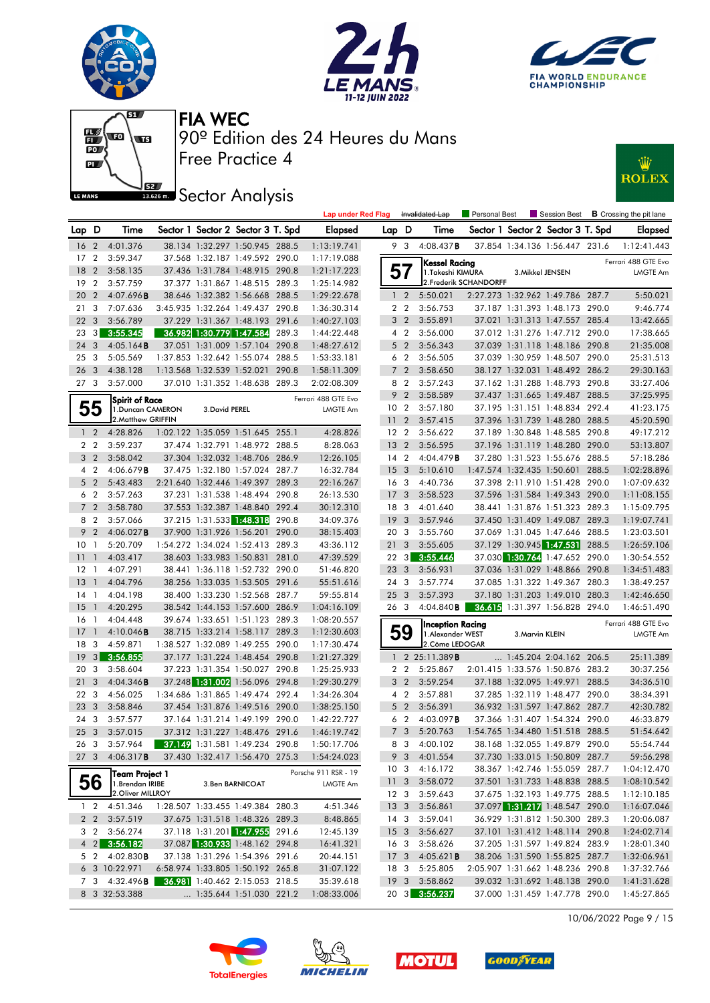







# **JEZ Sector Analysis**



|                 |                |                       |                          |                                       |       | <b>Lap under Red Flag</b> |                 |                | Invalidated Lap         | Personal Best          |                          | Session Best                      |       | <b>B</b> Crossing the pit lane |
|-----------------|----------------|-----------------------|--------------------------|---------------------------------------|-------|---------------------------|-----------------|----------------|-------------------------|------------------------|--------------------------|-----------------------------------|-------|--------------------------------|
| Lap D           |                | Time                  |                          | Sector 1 Sector 2 Sector 3 T. Spd     |       | <b>Elapsed</b>            | Lap D           |                | Time                    |                        |                          | Sector 1 Sector 2 Sector 3 T. Spd |       | Elapsed                        |
| 16 <sub>2</sub> |                | 4:01.376              |                          | 38.134 1:32.297 1:50.945 288.5        |       | 1:13:19.741               |                 | 93             | 4:08.437B               |                        |                          | 37.854 1:34.136 1:56.447 231.6    |       | 1:12:41.443                    |
| 17 <sub>2</sub> |                | 3:59.347              |                          | 37.568 1:32.187 1:49.592 290.0        |       | 1:17:19.088               |                 |                | Kessel Racing           |                        |                          |                                   |       | Ferrari 488 GTE Evo            |
| 18              | $\overline{2}$ | 3:58.135              |                          | 37.436 1:31.784 1:48.915 290.8        |       | 1:21:17.223               | 57              |                | 1.Takeshi KIMURA        |                        | 3. Mikkel JENSEN         |                                   |       | <b>LMGTE Am</b>                |
| 19              | $\overline{2}$ | 3:57.759              |                          | 37.377 1:31.867 1:48.515 289.3        |       | 1:25:14.982               |                 |                |                         | 2. Frederik SCHANDORFF |                          |                                   |       |                                |
| 20 2            |                | 4:07.696B             |                          | 38.646 1:32.382 1:56.668 288.5        |       | 1:29:22.678               |                 | 1 <sub>2</sub> | 5:50.021                |                        |                          | 2:27.273 1:32.962 1:49.786 287.7  |       | 5:50.021                       |
| 21 3            |                | 7:07.636              |                          | 3:45.935 1:32.264 1:49.437 290.8      |       | 1:36:30.314               |                 | 2 <sub>2</sub> | 3:56.753                |                        |                          | 37.187 1:31.393 1:48.173 290.0    |       | 9:46.774                       |
| 22 <sub>3</sub> |                | 3:56.789              |                          | 37.229 1:31.367 1:48.193 291.6        |       | 1:40:27.103               |                 | 3 <sub>2</sub> | 3:55.891                |                        |                          | 37.021 1:31.313 1:47.557 285.4    |       | 13:42.665                      |
| 23              | 3              | 3:55.345              | 36.982 1:30.779 1:47.584 |                                       | 289.3 | 1:44:22.448               |                 | 4 2            | 3:56.000                |                        |                          | 37.012 1:31.276 1:47.712 290.0    |       | 17:38.665                      |
| 24              | 3              | 4:05.164B             |                          | 37.051 1:31.009 1:57.104 290.8        |       | 1:48:27.612               |                 | 5 <sub>2</sub> | 3:56.343                |                        |                          | 37.039 1:31.118 1:48.186 290.8    |       | 21:35.008                      |
| 253             |                | 5:05.569              |                          | 1:37.853 1:32.642 1:55.074 288.5      |       | 1:53:33.181               |                 | 6 <sub>2</sub> | 3:56.505                |                        |                          | 37.039 1:30.959 1:48.507 290.0    |       | 25:31.513                      |
| 26 <sub>3</sub> |                | 4:38.128              |                          | 1:13.568 1:32.539 1:52.021            | 290.8 | 1:58:11.309               |                 | 7 <sup>2</sup> | 3:58.650                |                        |                          | 38.127 1:32.031 1:48.492 286.2    |       | 29:30.163                      |
| 27 <sub>3</sub> |                | 3:57.000              |                          | 37.010 1:31.352 1:48.638 289.3        |       | 2:02:08.309               | 8               | $\overline{2}$ | 3:57.243                |                        |                          | 37.162 1:31.288 1:48.793 290.8    |       | 33:27.406                      |
|                 |                | Spirit of Race        |                          |                                       |       | Ferrari 488 GTE Evo       | 9               | $\overline{2}$ | 3:58.589                |                        |                          | 37.437 1:31.665 1:49.487 288.5    |       | 37:25.995                      |
|                 | 55             | 1. Duncan CAMERON     | 3. David PEREL           |                                       |       | <b>LMGTE Am</b>           | 10 <sub>2</sub> |                | 3:57.180                |                        |                          | 37.195 1:31.151 1:48.834 292.4    |       | 41:23.175                      |
|                 |                | 2. Matthew GRIFFIN    |                          |                                       |       |                           | 11 <sub>2</sub> |                | 3:57.415                |                        |                          | 37.396 1:31.739 1:48.280 288.5    |       | 45:20.590                      |
|                 | 1 <sub>2</sub> | 4:28.826              |                          | 1:02.122 1:35.059 1:51.645 255.1      |       | 4:28.826                  | 12 <sub>2</sub> |                | 3:56.622                |                        |                          | 37.189 1:30.848 1:48.585 290.8    |       | 49:17.212                      |
|                 | 2 <sub>2</sub> | 3:59.237              |                          | 37.474 1:32.791 1:48.972 288.5        |       | 8:28.063                  | 13 <sub>2</sub> |                | 3:56.595                |                        |                          | 37.196 1:31.119 1:48.280 290.0    |       | 53:13.807                      |
|                 | 3 <sub>2</sub> | 3:58.042              |                          | 37.304 1:32.032 1:48.706 286.9        |       | 12:26.105                 | $14 \quad 2$    |                | 4:04.479B               |                        |                          | 37.280 1:31.523 1:55.676 288.5    |       | 57:18.286                      |
|                 | 4 <sup>2</sup> | 4:06.679B             |                          | 37.475 1:32.180 1:57.024 287.7        |       | 16:32.784                 | 15 <sub>3</sub> |                | 5:10.610                |                        |                          | 1:47.574 1:32.435 1:50.601        | 288.5 | 1:02:28.896                    |
|                 | 5 <sub>2</sub> | 5:43.483              |                          | 2:21.640 1:32.446 1:49.397 289.3      |       | 22:16.267                 | 16              | $\mathbf{3}$   | 4:40.736                |                        | 37.398 2:11.910 1:51.428 |                                   | 290.0 | 1:07:09.632                    |
|                 | 6 <sub>2</sub> | 3:57.263              |                          | 37.231 1:31.538 1:48.494 290.8        |       | 26:13.530                 | 17              | -3             | 3:58.523                |                        |                          | 37.596 1:31.584 1:49.343 290.0    |       | 1:11:08.155                    |
|                 | 7 <sub>2</sub> | 3:58.780              |                          | 37.553 1:32.387 1:48.840 292.4        |       | 30:12.310                 | 18              | 3              | 4:01.640                |                        |                          | 38.441 1:31.876 1:51.323 289.3    |       | 1:15:09.795                    |
|                 | 8 2            | 3:57.066              |                          | 37.215 1:31.533 1:48.318              | 290.8 | 34:09.376                 | 19              | $\mathbf{3}$   | 3:57.946                |                        |                          | 37.450 1:31.409 1:49.087          | 289.3 | 1:19:07.741                    |
|                 | 9 <sub>2</sub> | 4:06.027 <b>B</b>     |                          | 37.900 1:31.926 1:56.201              | 290.0 | 38:15.403                 | 20              | 3              | 3:55.760                |                        |                          | 37.069 1:31.045 1:47.646 288.5    |       | 1:23:03.501                    |
| 10 <sub>1</sub> |                | 5:20.709              |                          | 1:54.272 1:34.024 1:52.413 289.3      |       | 43:36.112                 | 21              | 3              | 3:55.605                |                        |                          | 37.129 1:30.945 1:47.531          | 288.5 | 1:26:59.106                    |
| 11              | $\overline{1}$ | 4:03.417              |                          | 38.603 1:33.983 1:50.831 281.0        |       | 47:39.529                 | $22 \quad 3$    |                | 3:55.446                |                        |                          | 37.030 1:30.764 1:47.652 290.0    |       | 1:30:54.552                    |
| $12-1$          |                | 4:07.291              |                          | 38.441 1:36.118 1:52.732 290.0        |       | 51:46.820                 | 23              | $\mathbf{3}$   | 3:56.931                |                        |                          | 37.036 1:31.029 1:48.866 290.8    |       | 1:34:51.483                    |
| 13              | $\overline{1}$ | 4:04.796              |                          | 38.256 1:33.035 1:53.505 291.6        |       | 55:51.616                 | 24              | $\mathbf{3}$   | 3:57.774                |                        |                          | 37.085 1:31.322 1:49.367 280.3    |       | 1:38:49.257                    |
| 14 1            |                | 4:04.198              |                          | 38.400 1:33.230 1:52.568 287.7        |       | 59:55.814                 | 25              | -3             | 3:57.393                |                        |                          | 37.180 1:31.203 1:49.010 280.3    |       | 1:42:46.650                    |
| 15              | $\overline{1}$ | 4:20.295              |                          | 38.542 1:44.153 1:57.600 286.9        |       | 1:04:16.109               | 26 3            |                | 4:04.840B               |                        |                          | 36.615 1:31.397 1:56.828 294.0    |       | 1:46:51.490                    |
| 16              | $\overline{1}$ | 4:04.448              |                          | 39.674 1:33.651 1:51.123 289.3        |       | 1:08:20.557               |                 |                | <b>Inception Racing</b> |                        |                          |                                   |       | Ferrari 488 GTE Evo            |
| 17              | $\overline{1}$ | 4:10.046B             |                          | 38.715 1:33.214 1:58.117 289.3        |       | 1:12:30.603               |                 | 59             | 1. Alexander WEST       |                        | 3. Marvin KLEIN          |                                   |       | <b>LMGTE Am</b>                |
| 18              | 3              | 4:59.871              |                          | 1:38.527 1:32.089 1:49.255 290.0      |       | 1:17:30.474               |                 |                | 2.Côme LEDOGAR          |                        |                          |                                   |       |                                |
| 19              | 3              | 3:56.855              |                          | 37.177 1:31.224 1:48.454 290.8        |       | 1:21:27.329               |                 |                | 1 2 25:11.389 <b>B</b>  |                        |                          | 1:45.204 2:04.162 206.5           |       | 25:11.389                      |
| 20              | 3              | 3:58.604              |                          | 37.223 1:31.354 1:50.027 290.8        |       | 1:25:25.933               |                 | 2 <sub>2</sub> | 5:25.867                |                        |                          | 2:01.415 1:33.576 1:50.876 283.2  |       | 30:37.256                      |
| 21              | 3              | 4:04.346B             |                          | 37.248 1:31.002 1:56.096 294.8        |       | 1:29:30.279               |                 | 3 <sub>2</sub> | 3:59.254                |                        |                          | 37.188 1:32.095 1:49.971 288.5    |       | 34:36.510                      |
| 22 3            |                | 4:56.025              |                          | 1:34.686 1:31.865 1:49.474 292.4      |       | 1:34:26.304               |                 | 4 2            | 3:57.881                |                        |                          | 37.285 1:32.119 1:48.477 290.0    |       | 38:34.391                      |
| 23 3            |                | 3:58.846              |                          | 37.454 1:31.876 1:49.516 290.0        |       | 1:38:25.150               |                 | 5 <sub>2</sub> | 3:56.391                |                        |                          | 36.932 1:31.597 1:47.862 287.7    |       | 42:30.782                      |
| 24 3            |                | 3:57.577              |                          | 37.164 1:31.214 1:49.199 290.0        |       | 1:42:22.727               | 6               | $\overline{2}$ | 4:03.097B               |                        | 37.366 1:31.407 1:54.324 |                                   | 290.0 | 46:33.879                      |
| 25 <sub>3</sub> |                | 3:57.015              |                          | 37.312 1:31.227 1:48.476 291.6        |       | 1:46:19.742               |                 | 7 <sub>3</sub> | 5:20.763                |                        |                          | 1:54.765 1:34.480 1:51.518 288.5  |       | 51:54.642                      |
|                 | 263            | 3:57.964              |                          | <b>37.149</b> 1:31.581 1:49.234 290.8 |       | 1:50:17.706               |                 | 83             | 4:00.102                |                        |                          | 38.168 1:32.055 1:49.879 290.0    |       | 55:54.744                      |
| 27 <sub>3</sub> |                | 4:06.317B             |                          | 37.430 1:32.417 1:56.470 275.3        |       | 1:54:24.023               |                 |                | 9 3 4:01.554            |                        |                          | 37.730 1:33.015 1:50.809 287.7    |       | 59:56.298                      |
|                 |                | Team Project 1        |                          |                                       |       | Porsche 911 RSR - 19      | 10 <sub>3</sub> |                | 4:16.172                |                        |                          | 38.367 1:42.746 1:55.059 287.7    |       | 1:04:12.470                    |
|                 | 56             | 1. Brendan IRIBE      |                          | 3.Ben BARNICOAT                       |       | LMGTE Am                  | 11 <sub>3</sub> |                | 3:58.072                |                        |                          | 37.501 1:31.733 1:48.838 288.5    |       | 1:08:10.542                    |
|                 |                | 2. Oliver MILLROY     |                          |                                       |       |                           |                 | 12 3           | 3:59.643                |                        |                          | 37.675 1:32.193 1:49.775 288.5    |       | 1:12:10.185                    |
|                 |                | 1 2 4:51.346          |                          | 1:28.507 1:33.455 1:49.384 280.3      |       | 4:51.346                  | 133             |                | 3:56.861                |                        |                          | 37.097 1:31.217 1:48.547 290.0    |       | 1:16:07.046                    |
|                 | $2\quad 2$     | 3:57.519              |                          | 37.675 1:31.518 1:48.326 289.3        |       | 8:48.865                  | 14 <sub>3</sub> |                | 3:59.041                |                        |                          | 36.929 1:31.812 1:50.300 289.3    |       | 1:20:06.087                    |
|                 | 3 2            | 3:56.274              |                          | 37.118 1:31.201 1:47.955 291.6        |       | 12:45.139                 | 15 <sub>3</sub> |                | 3:56.627                |                        |                          | 37.101 1:31.412 1:48.114 290.8    |       | 1:24:02.714                    |
|                 |                | 4 2 3:56.182          |                          | 37.087 1:30.933 1:48.162 294.8        |       | 16:41.321                 | 16 <sub>3</sub> |                | 3:58.626                |                        |                          | 37.205 1:31.597 1:49.824 283.9    |       | 1:28:01.340                    |
|                 | 5 2            | 4:02.830B             |                          | 37.138 1:31.296 1:54.396 291.6        |       | 20:44.151                 | 17 <sub>3</sub> |                | 4:05.621B               |                        |                          | 38.206 1:31.590 1:55.825 287.7    |       | 1:32:06.961                    |
|                 |                | 6 3 10:22.971         |                          | 6:58.974 1:33.805 1:50.192 265.8      |       | 31:07.122                 | 18 3            |                | 5:25.805                |                        |                          | 2:05.907 1:31.662 1:48.236 290.8  |       | 1:37:32.766                    |
|                 |                | 7 3 4:32.496 <b>B</b> |                          | 36.981 1:40.462 2:15.053 218.5        |       | 35:39.618                 | 19 3            |                | 3:58.862                |                        |                          | 39.032 1:31.692 1:48.138 290.0    |       | 1:41:31.628                    |
|                 |                | 8 3 32:53.388         |                          | $\ldots$ 1:35.644 1:51.030 221.2      |       | 1:08:33.006               |                 |                | 20 3 3:56.237           |                        |                          | 37.000 1:31.459 1:47.778 290.0    |       | 1:45:27.865                    |

10/06/2022 Page 9 / 15







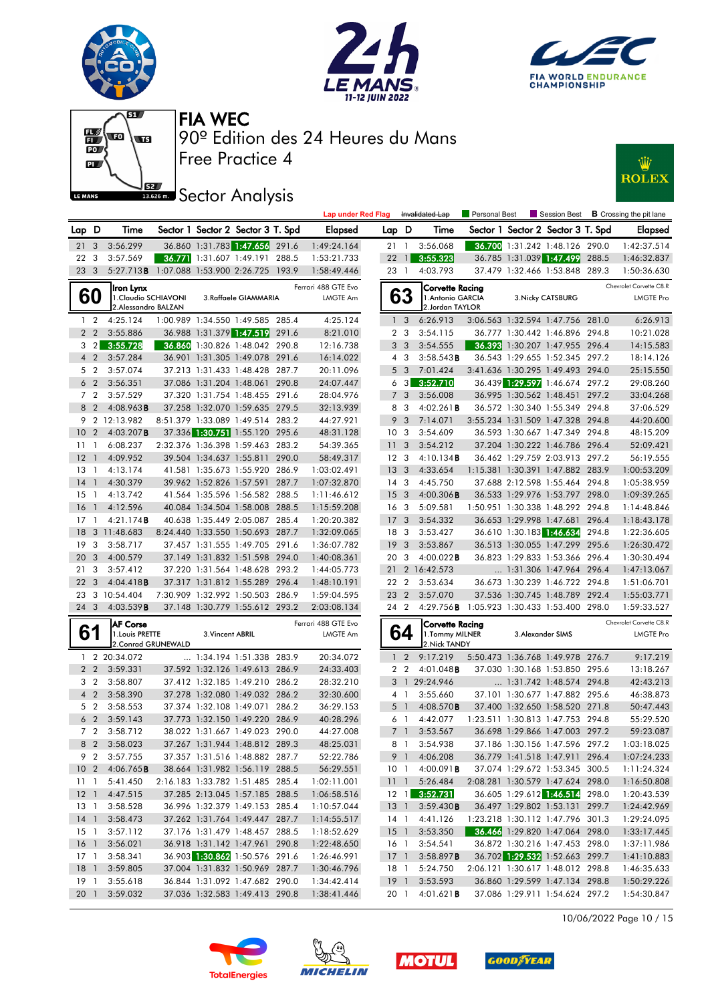











|       |                         |                                            |                  |                                                                    | <b>Lap under Red Flag</b>       |       |                         | Invalidated Lap                             | Personal Best |                                                                  |       | Session Best <b>B</b> Crossing the pit lane |
|-------|-------------------------|--------------------------------------------|------------------|--------------------------------------------------------------------|---------------------------------|-------|-------------------------|---------------------------------------------|---------------|------------------------------------------------------------------|-------|---------------------------------------------|
| Lap D |                         | Time                                       |                  | Sector 1 Sector 2 Sector 3 T. Spd                                  | <b>Elapsed</b>                  | Lap D |                         | Time                                        |               | Sector 1 Sector 2 Sector 3 T. Spd                                |       | <b>Elapsed</b>                              |
|       | $21 \quad 3$            | 3:56.299                                   |                  | 36.860 1:31.783 1:47.656 291.6                                     | 1:49:24.164                     |       | $21 \quad 1$            | 3:56.068                                    |               | 36.700 1:31.242 1:48.126 290.0                                   |       | 1:42:37.514                                 |
|       | 22 3                    | 3:57.569                                   |                  | 36.771 1:31.607 1:49.191 288.5                                     | 1:53:21.733                     | 22    | $\overline{1}$          | 3:55.323                                    |               | 36.785 1:31.039 1:47.499                                         | 288.5 | 1:46:32.837                                 |
|       | 23 3                    | 5:27.713B 1:07.088 1:53.900 2:26.725 193.9 |                  |                                                                    | 1:58:49.446                     |       | 23 1                    | 4:03.793                                    |               | 37.479 1:32.466 1:53.848 289.3                                   |       | 1:50:36.630                                 |
|       |                         | liron Lynx                                 |                  |                                                                    | Ferrari 488 GTE Evo             |       |                         | Corvette Racing                             |               |                                                                  |       | Chevrolet Corvette C8.R                     |
|       | 60                      | 1.Claudio SCHIAVONI                        |                  | 3.Raffaele GIAMMARIA                                               | LMGTE Am                        |       | 63                      | 1. Antonio GARCIA                           |               | 3. Nicky CATSBURG                                                |       | <b>LMGTE Pro</b>                            |
|       |                         | 2.Alessandro BALZAN                        |                  |                                                                    |                                 |       |                         | 2.Jordan TAYLOR                             |               |                                                                  |       |                                             |
|       | $1\quad2$               | 4:25.124                                   |                  | 1:00.989 1:34.550 1:49.585 285.4                                   | 4:25.124                        |       | 1 <sub>3</sub>          | 6:26.913                                    |               | 3:06.563 1:32.594 1:47.756 281.0                                 |       | 6:26.913                                    |
|       | 2 <sub>2</sub>          | 3:55.886                                   |                  | 36.988 1:31.379 1:47.519 291.6                                     | 8:21.010                        |       | 2 <sub>3</sub>          | 3:54.115                                    |               | 36.777 1:30.442 1:46.896 294.8                                   |       | 10:21.028                                   |
|       | $3 \quad 2$             | 3:55.728                                   |                  | 36.860 1:30.826 1:48.042 290.8                                     | 12:16.738                       |       | 3 <sub>3</sub>          | 3:54.555                                    |               | 36.393 1:30.207 1:47.955 296.4                                   |       | 14:15.583                                   |
|       | 4 <sup>2</sup>          | 3:57.284                                   |                  | 36.901 1:31.305 1:49.078 291.6                                     | 16:14.022                       |       | $4 \quad 3$             | 3:58.543B                                   |               | 36.543 1:29.655 1:52.345 297.2                                   |       | 18:14.126                                   |
|       | 5 <sub>2</sub>          | 3:57.074                                   |                  | 37.213 1:31.433 1:48.428 287.7                                     | 20:11.096                       |       | 5 <sub>3</sub>          | 7:01.424                                    |               | 3:41.636 1:30.295 1:49.493 294.0                                 |       | 25:15.550                                   |
|       | 6 <sub>2</sub>          | 3:56.351                                   |                  | 37.086 1:31.204 1:48.061 290.8                                     | 24:07.447                       |       | 6 3                     | 3:52.710                                    |               | 36.439 1:29.597 1:46.674 297.2                                   |       | 29:08.260                                   |
|       | 7 2                     | 3:57.529                                   |                  | 37.320 1:31.754 1:48.455 291.6                                     | 28:04.976                       |       | 7 <sup>3</sup>          | 3:56.008                                    |               | 36.995 1:30.562 1:48.451                                         | 297.2 | 33:04.268                                   |
|       | 8 2                     | 4:08.963B                                  |                  | 37.258 1:32.070 1:59.635 279.5                                     | 32:13.939                       |       | 8 3                     | 4:02.261B                                   |               | 36.572 1:30.340 1:55.349 294.8                                   |       | 37:06.529                                   |
|       |                         | 9 2 12:13.982                              |                  | 8:51.379 1:33.089 1:49.514 283.2                                   | 44:27.921                       | 9     | $\overline{\mathbf{3}}$ | 7:14.071                                    |               | 3:55.234 1:31.509 1:47.328 294.8                                 |       | 44:20.600                                   |
|       | 10 <sub>2</sub>         | 4:03.207B                                  |                  | 37.336 1:30.751 1:55.120 295.6                                     | 48:31.128                       |       | 10 <sub>3</sub>         | 3:54.609                                    |               | 36.593 1:30.667 1:47.349 294.8                                   |       | 48:15.209                                   |
|       | $11 - 1$                | 6:08.237                                   |                  | 2:32.376 1:36.398 1:59.463 283.2                                   | 54:39.365                       |       | 11 <sub>3</sub>         | 3:54.212                                    |               | 37.204 1:30.222 1:46.786 296.4                                   |       | 52:09.421                                   |
| 12    | $\overline{1}$          | 4:09.952                                   |                  | 39.504 1:34.637 1:55.811 290.0                                     | 58:49.317                       |       | 12 <sup>3</sup>         | 4:10.134B                                   |               | 36.462 1:29.759 2:03.913 297.2                                   |       | 56:19.555                                   |
|       | 13 1                    | 4:13.174                                   |                  | 41.581 1:35.673 1:55.920 286.9                                     | 1:03:02.491                     |       | 13 <sub>3</sub>         | 4:33.654                                    |               | 1:15.381 1:30.391 1:47.882 283.9                                 |       | 1:00:53.209                                 |
| 14    | $\overline{1}$          | 4:30.379                                   |                  | 39.962 1:52.826 1:57.591 287.7                                     | 1:07:32.870                     |       | $14 \quad 3$            | 4:45.750                                    |               | 37.688 2:12.598 1:55.464 294.8                                   |       | 1:05:38.959                                 |
| 15    | $\overline{1}$          | 4:13.742                                   |                  | 41.564 1:35.596 1:56.582 288.5                                     | 1:11:46.612                     |       | 15 <sub>3</sub>         | 4:00.306B                                   |               | 36.533 1:29.976 1:53.797 298.0                                   |       | 1:09:39.265                                 |
| 16    | $\overline{1}$          | 4:12.596                                   |                  | 40.084 1:34.504 1:58.008 288.5                                     | 1:15:59.208                     |       | 16 <sub>3</sub>         | 5:09.581                                    |               | 1:50.951 1:30.338 1:48.292 294.8                                 |       | 1:14:48.846                                 |
|       | $17-1$                  | 4:21.174B                                  |                  | 40.638 1:35.449 2:05.087 285.4                                     | 1:20:20.382                     |       | 17 <sub>3</sub>         | 3:54.332                                    |               | 36.653 1:29.998 1:47.681 296.4                                   |       | 1:18:43.178                                 |
| 18    |                         | 3 11:48.683                                |                  | 8:24.440 1:33.550 1:50.693 287.7                                   | 1:32:09.065<br>1:36:07.782      |       | 18 3                    | 3:53.427                                    |               | 36.610 1:30.183 1:46.634                                         | 294.8 | 1:22:36.605<br>1:26:30.472                  |
| 19    | 3                       | 3:58.717                                   |                  | 37.457 1:31.555 1:49.705 291.6                                     |                                 | 19    | $\mathbf{3}$            | 3:53.867                                    |               | 36.513 1:30.055 1:47.299 295.6                                   |       |                                             |
| 20    | $\overline{\mathbf{3}}$ | 4:00.579                                   |                  | 37.149 1:31.832 1:51.598 294.0<br>37.220 1:31.564 1:48.628 293.2   | 1:40:08.361                     |       | 20 3                    | 4:00.022B                                   |               | 36.823 1:29.833 1:53.366 296.4                                   |       | 1:30:30.494                                 |
|       | 213<br>22 <sub>3</sub>  | 3:57.412                                   |                  |                                                                    | 1:44:05.773                     |       | 22 2                    | 21 2 16:42.573                              |               | 1:31.306 1:47.964 296.4                                          |       | 1:47:13.067                                 |
| 23    |                         | 4:04.418B<br>3 10:54.404                   |                  | 37.317 1:31.812 1:55.289 296.4<br>7:30.909 1:32.992 1:50.503 286.9 | 1:48:10.191<br>1:59:04.595      |       | 23 2                    | 3:53.634<br>3:57.070                        |               | 36.673 1:30.239 1:46.722 294.8<br>37.536 1:30.745 1:48.789 292.4 |       | 1:51:06.701                                 |
|       | 24 3                    | 4:03.539B                                  |                  | 37.148 1:30.779 1:55.612 293.2                                     | 2:03:08.134                     |       | 24 2                    | 4:29.756 B 1:05.923 1:30.433 1:53.400 298.0 |               |                                                                  |       | 1:55:03.771<br>1:59:33.527                  |
|       |                         |                                            |                  |                                                                    |                                 |       |                         |                                             |               |                                                                  |       |                                             |
|       | 61                      | <b>AF Corse</b><br>1. Louis PRETTE         | 3. Vincent ABRIL |                                                                    | Ferrari 488 GTE Evo<br>LMGTE Am |       | 64                      | <b>Corvette Racing</b><br>1. Tommy MILNER   |               | 3. Alexander SIMS                                                |       | Chevrolet Corvette C8.R<br><b>LMGTE Pro</b> |
|       |                         | 2. Conrad GRUNEWALD                        |                  |                                                                    |                                 |       |                         | 2. Nick TANDY                               |               |                                                                  |       |                                             |
|       |                         | 1 2 20:34.072                              |                  | 1:34.194 1:51.338 283.9                                            | 20:34.072                       |       | 1 <sub>2</sub>          | 9:17.219                                    |               | 5:50.473 1:36.768 1:49.978 276.7                                 |       | 9:17.219                                    |
|       | 2 <sub>2</sub>          | 3:59.331                                   |                  | 37.592 1:32.126 1:49.613 286.9                                     | 24:33.403                       |       | 2 <sub>2</sub>          | $4:01.048$ B                                |               | 37.030 1:30.168 1:53.850 295.6                                   |       | 13:18.267                                   |
|       | 3 <sub>2</sub>          | 3:58.807                                   |                  | 37.412 1:32.185 1:49.210 286.2                                     | 28:32.210                       |       |                         | 3 1 29:24.946                               |               | 1:31.742 1:48.574 294.8                                          |       | 42:43.213                                   |
|       | 4 <sup>2</sup>          | 3:58.390                                   |                  | 37.278 1:32.080 1:49.032 286.2                                     | 32:30.600                       |       | 4 1                     | 3:55.660                                    |               | 37.101 1:30.677 1:47.882 295.6                                   |       | 46:38.873                                   |
|       | 5 <sub>2</sub>          | 3:58.553                                   |                  | 37.374 1:32.108 1:49.071 286.2                                     | 36:29.153                       |       | 5 <sub>1</sub>          | 4:08.570B                                   |               | 37.400 1:32.650 1:58.520 271.8                                   |       | 50:47.443                                   |
|       | 6 <sub>2</sub>          | 3:59.143                                   |                  | 37.773 1:32.150 1:49.220 286.9                                     | 40:28.296                       |       | 61                      | 4:42.077                                    |               | 1:23.511 1:30.813 1:47.753 294.8                                 |       | 55:29.520                                   |
|       | 7 2                     | 3:58.712                                   |                  | 38.022 1:31.667 1:49.023 290.0                                     | 44:27.008                       |       | 7 <sup>1</sup>          | 3:53.567                                    |               | 36.698 1:29.866 1:47.003 297.2                                   |       | 59:23.087                                   |
|       |                         | 8 2 3:58.023                               |                  | 37.267 1:31.944 1:48.812 289.3                                     | 48:25.031                       |       |                         | 8 1 3:54.938                                |               | 37.186 1:30.156 1:47.596 297.2                                   |       | 1:03:18.025                                 |
|       |                         | 9 2 3:57.755                               |                  | 37.357 1:31.516 1:48.882 287.7                                     | 52:22.786                       |       |                         | 9 1 4:06.208                                |               | 36.779 1:41.518 1:47.911 296.4                                   |       | 1:07:24.233                                 |
|       |                         | 10 2 4:06.765 <b>B</b>                     |                  | 38.664 1:31.982 1:56.119 288.5                                     | 56:29.551                       |       |                         | 10 1 4:00.091 <b>B</b>                      |               | 37.074 1:29.672 1:53.345 300.5                                   |       | 1:11:24.324                                 |
|       | $11 \quad 1$            | 5:41.450                                   |                  | 2:16.183 1:33.782 1:51.485 285.4                                   | 1:02:11.001                     |       |                         | 11 1 5:26.484                               |               | 2:08.281 1:30.579 1:47.624 298.0                                 |       | 1:16:50.808                                 |
|       |                         | 12 1 4:47.515                              |                  | 37.285 2:13.045 1:57.185 288.5                                     | 1:06:58.516                     |       |                         | 12 1 3:52.731                               |               | 36.605 1:29.612 1:46.514 298.0                                   |       | 1:20:43.539                                 |
|       |                         | 13 1 3:58.528                              |                  | 36.996 1:32.379 1:49.153 285.4                                     | 1:10:57.044                     |       |                         | 13 1 3:59.430 <b>B</b>                      |               | 36.497 1:29.802 1:53.131 299.7                                   |       | 1:24:42.969                                 |
|       |                         | 14 1 3:58.473                              |                  | 37.262 1:31.764 1:49.447 287.7                                     | 1:14:55.517                     |       |                         | 14 1 4:41.126                               |               | 1:23.218 1:30.112 1:47.796 301.3                                 |       | 1:29:24.095                                 |
|       |                         | 15 1 3:57.112                              |                  | 37.176 1:31.479 1:48.457 288.5                                     | 1:18:52.629                     |       |                         | 15 1 3:53.350                               |               | 36.466 1:29.820 1:47.064 298.0                                   |       | 1:33:17.445                                 |
|       |                         | 16 1 3:56.021                              |                  | 36.918 1:31.142 1:47.961 290.8                                     | 1:22:48.650                     |       | 16 1                    | 3:54.541                                    |               | 36.872 1:30.216 1:47.453 298.0                                   |       | 1:37:11.986                                 |
|       |                         | 17 1 3:58.341                              |                  | 36.903 1:30.862 1:50.576 291.6                                     | 1:26:46.991                     |       |                         | 17 1 3:58.897 <b>B</b>                      |               | 36.702 1:29.532 1:52.663 299.7                                   |       | 1:41:10.883                                 |
|       |                         | 18 1 3:59.805                              |                  | 37.004 1:31.832 1:50.969 287.7                                     | 1:30:46.796                     |       | 18 1                    | 5:24.750                                    |               | 2:06.121 1:30.617 1:48.012 298.8                                 |       | 1:46:35.633                                 |
|       |                         | 19 1 3:55.618                              |                  | 36.844 1:31.092 1:47.682 290.0                                     | 1:34:42.414                     |       |                         | 19 1 3:53.593                               |               | 36.860 1:29.599 1:47.134 298.8                                   |       | 1:50:29.226                                 |
|       |                         | 20 1 3:59.032                              |                  | 37.036 1:32.583 1:49.413 290.8                                     | 1:38:41.446                     |       |                         | 20 1 4:01.621 <b>B</b>                      |               | 37.086 1:29.911 1:54.624 297.2                                   |       | 1:54:30.847                                 |

10/06/2022 Page 10 / 15







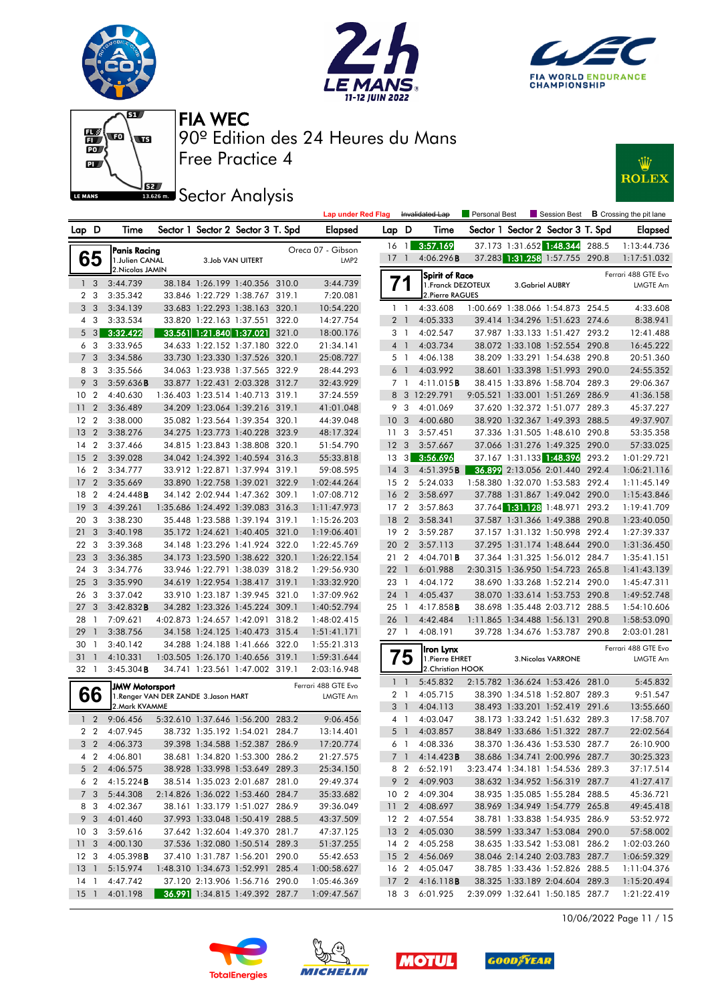











|                 |                |                       |                                       |                                   | <b>Lap under Red Flag</b> |                 |                 | Invalidated Lap         | <b>Personal Best</b> |                  | Session Best                      |       | <b>B</b> Crossing the pit lane |
|-----------------|----------------|-----------------------|---------------------------------------|-----------------------------------|---------------------------|-----------------|-----------------|-------------------------|----------------------|------------------|-----------------------------------|-------|--------------------------------|
| Lap D           |                | Time                  |                                       | Sector 1 Sector 2 Sector 3 T. Spd | Elapsed                   | Lap D           |                 | Time                    |                      |                  | Sector 1 Sector 2 Sector 3 T. Spd |       | <b>Elapsed</b>                 |
|                 |                | <b>Panis Racing</b>   |                                       |                                   | Oreca 07 - Gibson         | $16 \quad 1$    |                 | 3:57.169                |                      |                  | 37.173 1:31.652 1:48.344          | 288.5 | 1:13:44.736                    |
|                 | 65             | 1.Julien CANAL        |                                       | 3.Job VAN UITERT                  | LMP <sub>2</sub>          | 17              | $\overline{1}$  | 4:06.296B               |                      |                  | 37.283 1:31.258 1:57.755 290.8    |       | 1:17:51.032                    |
|                 |                | 2. Nicolas JAMIN      |                                       |                                   |                           |                 |                 | <b>Spirit of Race</b>   |                      |                  |                                   |       | Ferrari 488 GTE Evo            |
|                 | 1 <sub>3</sub> | 3:44.739              |                                       | 38.184 1:26.199 1:40.356 310.0    | 3:44.739                  |                 |                 | 1. Franck DEZOTEUX      |                      | 3. Gabriel AUBRY |                                   |       | <b>LMGTE Am</b>                |
|                 | 2 <sub>3</sub> | 3:35.342              |                                       | 33.846 1:22.729 1:38.767 319.1    | 7:20.081                  |                 |                 | 2. Pierre RAGUES        |                      |                  |                                   |       |                                |
|                 | 3 <sub>3</sub> | 3:34.139              |                                       | 33.683 1:22.293 1:38.163 320.1    | 10:54.220                 |                 | $1\quad$        | 4:33.608                |                      |                  | 1:00.669 1:38.066 1:54.873 254.5  |       | 4:33.608                       |
|                 | 4 3            | 3:33.534              |                                       | 33.820 1:22.163 1:37.551 322.0    | 14:27.754                 |                 | 2 <sub>1</sub>  | 4:05.333                |                      |                  | 39.414 1:34.296 1:51.623 274.6    |       | 8:38.941                       |
|                 | $5 \quad 3$    | 3:32.422              |                                       | 33.561 1:21.840 1:37.021 321.0    | 18:00.176                 |                 | 3 1             | 4:02.547                |                      |                  | 37.987 1:33.133 1:51.427 293.2    |       | 12:41.488                      |
| 6               | - 3            | 3:33.965              |                                       | 34.633 1:22.152 1:37.180 322.0    | 21:34.141                 |                 | 4 <sup>1</sup>  | 4:03.734                |                      |                  | 38.072 1:33.108 1:52.554 290.8    |       | 16:45.222                      |
|                 | 7 <sub>3</sub> | 3:34.586              |                                       | 33.730 1:23.330 1:37.526 320.1    | 25:08.727                 |                 | 5 1             | 4:06.138                |                      |                  | 38.209 1:33.291 1:54.638 290.8    |       | 20:51.360                      |
|                 | 8 3            | 3:35.566              |                                       | 34.063 1:23.938 1:37.565 322.9    | 28:44.293                 |                 | 6 1             | 4:03.992                |                      |                  | 38.601 1:33.398 1:51.993 290.0    |       | 24:55.352                      |
|                 | 9 <sub>3</sub> | 3:59.636B             |                                       | 33.877 1:22.431 2:03.328 312.7    | 32:43.929                 |                 | 7 <sub>1</sub>  | 4:11.015B               |                      |                  | 38.415 1:33.896 1:58.704 289.3    |       | 29:06.367                      |
| 10              | $\overline{2}$ | 4:40.630              |                                       | 1:36.403 1:23.514 1:40.713 319.1  | 37:24.559                 |                 |                 | 8 3 12:29.791           |                      |                  | 9:05.521 1:33.001 1:51.269        | 286.9 | 41:36.158                      |
| 11              | $\overline{2}$ | 3:36.489              |                                       | 34.209 1:23.064 1:39.216 319.1    | 41:01.048                 |                 | 9 3             | 4:01.069                |                      |                  | 37.620 1:32.372 1:51.077 289.3    |       | 45:37.227                      |
| 12 <sub>2</sub> |                | 3:38.000              |                                       | 35.082 1:23.564 1:39.354 320.1    | 44:39.048                 | 10 <sub>3</sub> |                 | 4:00.680                |                      |                  | 38.920 1:32.367 1:49.393 288.5    |       | 49:37.907                      |
| 13              | $\overline{2}$ | 3:38.276              |                                       | 34.275 1:23.773 1:40.228 323.9    | 48:17.324                 | 11 <sub>3</sub> |                 | 3:57.451                |                      |                  | 37.336 1:31.505 1:48.610 290.8    |       | 53:35.358                      |
| 14              | $\overline{2}$ | 3:37.466              |                                       | 34.815 1:23.843 1:38.808 320.1    | 51:54.790                 | 12 <sup>3</sup> |                 | 3:57.667                |                      |                  | 37.066 1:31.276 1:49.325 290.0    |       | 57:33.025                      |
| 15              | $\overline{2}$ | 3:39.028              |                                       | 34.042 1:24.392 1:40.594 316.3    | 55:33.818                 | 13 <sub>3</sub> |                 | 3:56.696                |                      |                  | 37.167 1:31.133 1:48.396          | 293.2 | 1:01:29.721                    |
| 16 2            |                | 3:34.777              |                                       | 33.912 1:22.871 1:37.994 319.1    | 59:08.595                 | 14              | 3               | 4:51.395B               |                      |                  | 36.899 2:13.056 2:01.440 292.4    |       | 1:06:21.116                    |
| 17              | $\overline{2}$ | 3:35.669              |                                       | 33.890 1:22.758 1:39.021 322.9    | 1:02:44.264               | 15 <sub>2</sub> |                 | 5:24.033                |                      |                  | 1:58.380 1:32.070 1:53.583 292.4  |       | 1:11:45.149                    |
| 18              | $\overline{2}$ | 4:24.448B             |                                       | 34.142 2:02.944 1:47.362 309.1    | 1:07:08.712               | 16 <sub>2</sub> |                 | 3:58.697                |                      |                  | 37.788 1:31.867 1:49.042 290.0    |       | 1:15:43.846                    |
| 19              | $\mathbf{3}$   | 4:39.261              |                                       | 1:35.686 1:24.492 1:39.083 316.3  | 1:11:47.973               | 17 <sub>2</sub> |                 | 3:57.863                |                      |                  | 37.764 1:31.128 1:48.971 293.2    |       | 1:19:41.709                    |
| 20              | -3             | 3:38.230              |                                       | 35.448 1:23.588 1:39.194 319.1    | 1:15:26.203               | 18 2            |                 | 3:58.341                |                      |                  | 37.587 1:31.366 1:49.388 290.8    |       | 1:23:40.050                    |
| 21              | 3              | 3:40.198              |                                       | 35.172 1:24.621 1:40.405 321.0    | 1:19:06.401               | 19 <sup>2</sup> |                 | 3:59.287                |                      |                  | 37.157 1:31.132 1:50.998 292.4    |       | 1:27:39.337                    |
| 22              | 3              | 3:39.368              |                                       | 34.148 1:23.296 1:41.924 322.0    | 1:22:45.769               | 20 2            |                 | 3:57.113                |                      |                  | 37.295 1:31.174 1:48.644 290.0    |       | 1:31:36.450                    |
| 23              | $\overline{3}$ | 3:36.385              |                                       | 34.173 1:23.590 1:38.622 320.1    | 1:26:22.154               | 21 2            |                 | 4:04.701 <b>B</b>       |                      |                  | 37.364 1:31.325 1:56.012 284.7    |       | 1:35:41.151                    |
| 24              | 3              | 3:34.776              |                                       | 33.946 1:22.791 1:38.039 318.2    | 1:29:56.930               | 221             |                 | 6:01.988                |                      |                  | 2:30.315 1:36.950 1:54.723 265.8  |       | 1:41:43.139                    |
| 25              | $\overline{3}$ | 3:35.990              |                                       | 34.619 1:22.954 1:38.417 319.1    | 1:33:32.920               | 23 1            |                 | 4:04.172                |                      |                  | 38.690 1:33.268 1:52.214 290.0    |       | 1:45:47.311                    |
| 26              | 3              | 3:37.042              |                                       | 33.910 1:23.187 1:39.945 321.0    | 1:37:09.962               | 24 1            |                 | 4:05.437                |                      |                  | 38.070 1:33.614 1:53.753 290.8    |       | 1:49:52.748                    |
| 27              | 3              | 3:42.832B             |                                       | 34.282 1:23.326 1:45.224 309.1    | 1:40:52.794               | 25 1            |                 | $4:17.858$ <b>B</b>     |                      |                  | 38.698 1:35.448 2:03.712 288.5    |       | 1:54:10.606                    |
| 28              | -1             | 7:09.621              |                                       | 4:02.873 1:24.657 1:42.091 318.2  | 1:48:02.415               | 26 1            |                 | 4:42.484                |                      |                  | 1:11.865 1:34.488 1:56.131        | 290.8 | 1:58:53.090                    |
| 29              | $\overline{1}$ | 3:38.756              |                                       | 34.158 1:24.125 1:40.473 315.4    | 1:51:41.171               | 27 1            |                 | 4:08.191                |                      |                  | 39.728 1:34.676 1:53.787 290.8    |       | 2:03:01.281                    |
| 30              | -1             | 3:40.142              |                                       | 34.288 1:24.188 1:41.666 322.0    | 1:55:21.313               |                 |                 | Iron Lynx               |                      |                  |                                   |       | Ferrari 488 GTE Evo            |
| 31              | -1             | 4:10.331              |                                       | 1:03.505 1:26.170 1:40.656 319.1  | 1:59:31.644               |                 | 5               | 1. Pierre EHRET         |                      |                  | 3. Nicolas VARRONE                |       | LMGTE Am                       |
| 32 1            |                | 3:45.304B             |                                       | 34.741 1:23.561 1:47.002 319.1    | 2:03:16.948               |                 |                 | 2.Christian HOOK        |                      |                  |                                   |       |                                |
|                 |                | <b>JMW Motorsport</b> |                                       |                                   | Ferrari 488 GTE Evo       |                 | $1\quad$        | 5:45.832                |                      |                  | 2:15.782 1:36.624 1:53.426 281.0  |       | 5:45.832                       |
|                 | 66             |                       | 1. Renger VAN DER ZANDE 3. Jason HART |                                   | <b>LMGTE Am</b>           |                 | 2 <sub>1</sub>  | 4:05.715                |                      |                  | 38.390 1:34.518 1:52.807 289.3    |       | 9:51.547                       |
|                 |                | 2. Mark KVAMME        |                                       |                                   |                           |                 | 3 <sup>1</sup>  | 4:04.113                |                      |                  | 38.493 1:33.201 1:52.419 291.6    |       | 13:55.660                      |
|                 | 1 <sub>2</sub> | 9:06.456              |                                       | 5:32.610 1:37.646 1:56.200 283.2  | 9:06.456                  |                 | $4-1$           | 4:03.047                |                      |                  | 38.173 1:33.242 1:51.632 289.3    |       | 17:58.707                      |
|                 | 2 <sub>2</sub> | 4:07.945              |                                       | 38.732 1:35.192 1:54.021 284.7    | 13:14.401                 |                 | 5 <sub>1</sub>  | 4:03.857                |                      |                  | 38.849 1:33.686 1:51.322 287.7    |       | 22:02.564                      |
|                 | 3 <sub>2</sub> | 4:06.373              |                                       | 39.398 1:34.588 1:52.387 286.9    | 17:20.774                 |                 | 6 1             | 4:08.336                |                      |                  | 38.370 1:36.436 1:53.530 287.7    |       | 26:10.900                      |
|                 |                | 4 2 4:06.801          |                                       | 38.681 1:34.820 1:53.300 286.2    | 21:27.575                 |                 |                 | $7$ 1 4:14.423 <b>B</b> |                      |                  | 38.686 1:34.741 2:00.996 287.7    |       | 30:25.323                      |
|                 | $5\quad2$      | 4:06.575              |                                       | 38.928 1:33.998 1:53.649 289.3    | 25:34.150                 |                 |                 | 8 2 6:52.191            |                      |                  | 3:23.474 1:34.181 1:54.536 289.3  |       | 37:17.514                      |
|                 | 6 2            | 4:15.224B             |                                       | 38.514 1:35.023 2:01.687 281.0    | 29:49.374                 |                 |                 | 9 2 4:09.903            |                      |                  | 38.632 1:34.952 1:56.319 287.7    |       | 41:27.417                      |
|                 | 7 <sub>3</sub> | 5:44.308              |                                       | 2:14.826 1:36.022 1:53.460 284.7  | 35:33.682                 |                 | 10 <sub>2</sub> | 4:09.304                |                      |                  | 38.935 1:35.085 1:55.284 288.5    |       | 45:36.721                      |
|                 | 8 3            | 4:02.367              |                                       | 38.161 1:33.179 1:51.027 286.9    | 39:36.049                 |                 |                 | 11 2 4:08.697           |                      |                  | 38.969 1:34.949 1:54.779 265.8    |       | 49:45.418                      |
|                 | 9 3            | 4:01.460              |                                       | 37.993 1:33.048 1:50.419 288.5    | 43:37.509                 |                 |                 | 12 2 4:07.554           |                      |                  | 38.781 1:33.838 1:54.935 286.9    |       | 53:52.972                      |
| 10 <sub>3</sub> |                | 3:59.616              |                                       | 37.642 1:32.604 1:49.370 281.7    | 47:37.125                 |                 |                 | 13 2 4:05.030           |                      |                  | 38.599 1:33.347 1:53.084 290.0    |       | 57:58.002                      |
| 11 <sub>3</sub> |                | 4:00.130              |                                       | 37.536 1:32.080 1:50.514 289.3    | 51:37.255                 |                 |                 | 14 2 4:05.258           |                      |                  | 38.635 1:33.542 1:53.081 286.2    |       | 1:02:03.260                    |
| 12 <sup>3</sup> |                | 4:05.398B             |                                       | 37.410 1:31.787 1:56.201 290.0    | 55:42.653                 |                 |                 | 15 2 4:56.069           |                      |                  | 38.046 2:14.240 2:03.783 287.7    |       | 1:06:59.329                    |
| 13 <sup>1</sup> |                | 5:15.974              |                                       | 1:48.310 1:34.673 1:52.991 285.4  | 1:00:58.627               |                 |                 | 16 2 4:05.047           |                      |                  | 38.785 1:33.436 1:52.826 288.5    |       | 1:11:04.376                    |
| $14-1$          |                | 4:47.742              |                                       | 37.120 2:13.906 1:56.716 290.0    | 1:05:46.369               |                 |                 | 17 2 4:16.118 <b>B</b>  |                      |                  | 38.325 1:33.189 2:04.604 289.3    |       | 1:15:20.494                    |
| $15-1$          |                | 4:01.198              |                                       | 36.991 1:34.815 1:49.392 287.7    | 1:09:47.567               |                 |                 | 18 3 6:01.925           |                      |                  | 2:39.099 1:32.641 1:50.185 287.7  |       | 1:21:22.419                    |

10/06/2022 Page 11 / 15







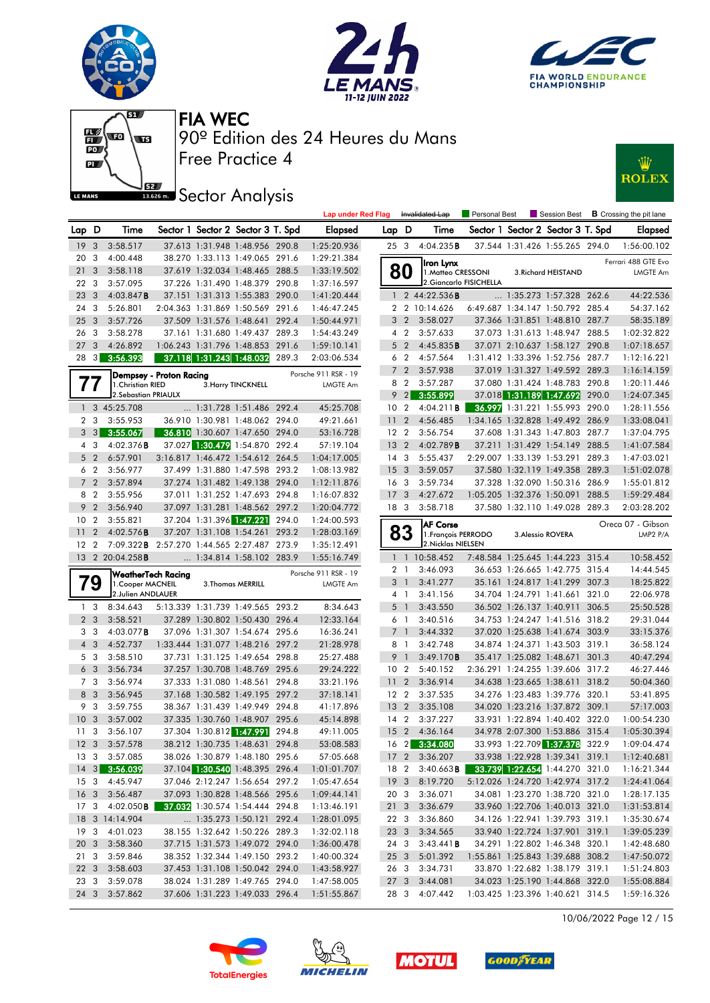











|                 |                                  |                                                         |                         |                                                            |       | <b>Lap under Red Flag</b>  |                 |                | Invalidated Lap                           | Personal Best                    |                                   | Session Best <b>B</b> Crossing the pit lane |
|-----------------|----------------------------------|---------------------------------------------------------|-------------------------|------------------------------------------------------------|-------|----------------------------|-----------------|----------------|-------------------------------------------|----------------------------------|-----------------------------------|---------------------------------------------|
| Lap D           |                                  | Time                                                    |                         | Sector 1 Sector 2 Sector 3 T. Spd                          |       | Elapsed                    | Lap D           |                | Time                                      |                                  | Sector 1 Sector 2 Sector 3 T. Spd | Elapsed                                     |
| 19 <sup>3</sup> |                                  | 3:58.517                                                |                         | 37.613 1:31.948 1:48.956 290.8                             |       | 1:25:20.936                | 25 3            |                | 4:04.235B                                 |                                  | 37.544 1:31.426 1:55.265 294.0    | 1:56:00.102                                 |
| 20              | 3                                | 4:00.448                                                |                         | 38.270 1:33.113 1:49.065 291.6                             |       | 1:29:21.384                |                 |                | Iron Lynx                                 |                                  |                                   | Ferrari 488 GTE Evo                         |
| 21              | $\mathbf{3}$                     | 3:58.118                                                |                         | 37.619 1:32.034 1:48.465 288.5                             |       | 1:33:19.502                |                 | 80             | 1. Matteo CRESSONI                        |                                  | 3. Richard HEISTAND               | LMGTE Am                                    |
| 22 3            |                                  | 3:57.095                                                |                         | 37.226 1:31.490 1:48.379 290.8                             |       | 1:37:16.597                |                 |                |                                           | 2. Giancarlo FISICHELLA          |                                   |                                             |
| 23              | $\overline{\mathbf{3}}$          | 4:03.847B                                               |                         | 37.151 1:31.313 1:55.383 290.0                             |       | 1:41:20.444                |                 |                | 1 2 44:22.536 <b>B</b>                    |                                  | 1:35.273 1:57.328 262.6           | 44:22.536                                   |
| 24              | 3                                | 5:26.801                                                |                         | 2:04.363 1:31.869 1:50.569 291.6                           |       | 1:46:47.245                |                 |                | 2 2 10:14.626                             |                                  | 6:49.687 1:34.147 1:50.792 285.4  | 54:37.162                                   |
| 25              | $\mathbf{3}$                     | 3:57.726                                                |                         | 37.509 1:31.576 1:48.641 292.4                             |       | 1:50:44.971                |                 | 3 <sub>2</sub> | 3:58.027                                  |                                  | 37.366 1:31.851 1:48.810 287.7    | 58:35.189                                   |
| 26              | $\overline{\mathbf{3}}$          | 3:58.278                                                |                         | 37.161 1:31.680 1:49.437 289.3                             |       | 1:54:43.249                |                 | 4 2            | 3:57.633                                  |                                  | 37.073 1:31.613 1:48.947 288.5    | 1:02:32.822                                 |
| 27              | $\mathbf{3}$                     | 4:26.892                                                |                         | 1:06.243 1:31.796 1:48.853 291.6                           |       | 1:59:10.141                |                 | 5 <sub>2</sub> | 4:45.835B                                 |                                  | 37.071 2:10.637 1:58.127 290.8    | 1:07:18.657                                 |
| 28              |                                  | $3\overline{3:56.393}$                                  |                         | 37.118 1:31.243 1:48.032                                   | 289.3 | 2:03:06.534                |                 | 6 2            | 4:57.564                                  |                                  | 1:31.412 1:33.396 1:52.756 287.7  | 1:12:16.221                                 |
|                 |                                  |                                                         | Dempsey - Proton Racing |                                                            |       | Porsche 911 RSR - 19       |                 | 7 <sub>2</sub> | 3:57.938                                  |                                  | 37.019 1:31.327 1:49.592 289.3    | 1:16:14.159                                 |
|                 | 77                               | 1. Christian RIED                                       |                         | 3. Harry TINCKNELL                                         |       | LMGTE Am                   |                 | 8 2            | 3:57.287                                  |                                  | 37.080 1:31.424 1:48.783 290.8    | 1:20:11.446                                 |
|                 |                                  | 2. Sebastian PRIAULX                                    |                         |                                                            |       |                            |                 | $9 \quad 2$    | 3:55.899                                  |                                  | 37.018 1:31.189 1:47.692 290.0    | 1:24:07.345                                 |
|                 |                                  | 1 3 45:25.708                                           |                         | 1:31.728 1:51.486 292.4                                    |       | 45:25.708                  | 10 <sub>2</sub> |                | 4:04.211B                                 |                                  | 36.997 1:31.221 1:55.993 290.0    | 1:28:11.556                                 |
|                 | 2 3                              | 3:55.953                                                |                         | 36.910 1:30.981 1:48.062 294.0                             |       | 49:21.661                  | 11              | $\overline{2}$ | 4:56.485                                  |                                  | 1:34.165 1:32.828 1:49.492 286.9  | 1:33:08.041                                 |
|                 |                                  | $3\quad 3\quad 3:55.067$                                |                         | 36.810 1:30.607 1:47.650 294.0                             |       | 53:16.728                  | 12 <sub>2</sub> |                | 3:56.754                                  |                                  | 37.608 1:31.343 1:47.803 287.7    | 1:37:04.795                                 |
|                 | 4 3                              | 4:02.376B                                               |                         | 37.027 1:30.479 1:54.870 292.4                             |       | 57:19.104                  | 13 <sub>2</sub> |                | 4:02.789B                                 |                                  | 37.211 1:31.429 1:54.149 288.5    | 1:41:07.584                                 |
|                 | $5\quad2$                        | 6:57.901                                                |                         | 3:16.817 1:46.472 1:54.612 264.5                           |       | 1:04:17.005                | 14 <sup>3</sup> |                | 5:55.437                                  |                                  | 2:29.007 1:33.139 1:53.291 289.3  | 1:47:03.021                                 |
|                 | 6 2                              | 3:56.977                                                |                         | 37.499 1:31.880 1:47.598 293.2                             |       | 1:08:13.982                | 15 <sub>3</sub> |                | 3:59.057                                  |                                  | 37.580 1:32.119 1:49.358 289.3    | 1:51:02.078                                 |
|                 | 7 <sub>2</sub>                   | 3:57.894                                                |                         | 37.274 1:31.482 1:49.138 294.0                             |       | 1:12:11.876                | 16 <sub>3</sub> |                | 3:59.734                                  |                                  | 37.328 1:32.090 1:50.316 286.9    | 1:55:01.812                                 |
|                 | 8 2                              | 3:55.956                                                |                         | 37.011 1:31.252 1:47.693 294.8                             |       | 1:16:07.832                | 17 <sub>3</sub> |                | 4:27.672                                  |                                  | 1:05.205 1:32.376 1:50.091 288.5  | 1:59:29.484                                 |
|                 | 9 2                              | 3:56.940                                                |                         | 37.097 1:31.281 1:48.562 297.2                             |       | 1:20:04.772                | 18 3            |                | 3:58.718                                  |                                  | 37.580 1:32.110 1:49.028 289.3    | 2:03:28.202                                 |
|                 | 10 <sub>2</sub>                  | 3:55.821                                                |                         | 37.204 1:31.396 1:47.221<br>37.207 1:31.108 1:54.261 293.2 | 294.0 | 1:24:00.593                |                 |                | <b>AF Corse</b>                           |                                  |                                   | Oreca 07 - Gibson                           |
| 11<br>$12 \,$   | $\overline{2}$<br>$\overline{2}$ | 4:02.576B<br>7:09.322B 2:57.270 1:44.565 2:27.487 273.9 |                         |                                                            |       | 1:28:03.169                |                 | 83             | 1. François PERRODO<br>2. Nicklas NIELSEN |                                  | 3. Alessio ROVERA                 | LMP2 P/A                                    |
|                 |                                  | 13 2 20:04.258B                                         |                         | 1:34.814 1:58.102 283.9                                    |       | 1:35:12.491<br>1:55:16.749 |                 |                | 1 1 10:58.452                             |                                  | 7:48.584 1:25.645 1:44.223 315.4  | 10:58.452                                   |
|                 |                                  |                                                         |                         |                                                            |       |                            |                 | 2 <sub>1</sub> | 3:46.093                                  |                                  | 36.653 1:26.665 1:42.775 315.4    | 14:44.545                                   |
|                 | 79                               | WeatherTech Racing                                      |                         |                                                            |       | Porsche 911 RSR - 19       |                 | 3 <sup>1</sup> | 3:41.277                                  |                                  | 35.161 1:24.817 1:41.299 307.3    | 18:25.822                                   |
|                 |                                  | 1. Cooper MACNEIL<br>2.Julien ANDLAUER                  |                         | 3. Thomas MERRILL                                          |       | LMGTE Am                   |                 | 4 1            | 3:41.156                                  |                                  | 34.704 1:24.791 1:41.661 321.0    | 22:06.978                                   |
|                 | 1 <sub>3</sub>                   | 8:34.643                                                |                         | 5:13.339 1:31.739 1:49.565 293.2                           |       | 8:34.643                   |                 | 5 <sub>1</sub> | 3:43.550                                  |                                  | 36.502 1:26.137 1:40.911 306.5    | 25:50.528                                   |
|                 | 2 <sub>3</sub>                   | 3:58.521                                                |                         | 37.289 1:30.802 1:50.430 296.4                             |       | 12:33.164                  |                 | 6 1            | 3:40.516                                  |                                  | 34.753 1:24.247 1:41.516 318.2    | 29:31.044                                   |
|                 | 3 3                              | 4:03.077 <b>B</b>                                       |                         | 37.096 1:31.307 1:54.674 295.6                             |       | 16:36.241                  |                 | 7 <sup>1</sup> | 3:44.332                                  |                                  | 37.020 1:25.638 1:41.674 303.9    | 33:15.376                                   |
|                 | $4\quad3$                        | 4:52.737                                                |                         | 1:33.444 1:31.077 1:48.216 297.2                           |       | 21:28.978                  |                 | 8 1            | 3:42.748                                  |                                  | 34.874 1:24.371 1:43.503 319.1    | 36:58.124                                   |
|                 | 5 <sub>3</sub>                   | 3:58.510                                                |                         | 37.731 1:31.125 1:49.654 298.8                             |       | 25:27.488                  |                 | 9 1            | 3:49.170B                                 |                                  | 35.417 1:25.082 1:48.671 301.3    | 40:47.294                                   |
|                 | 6 <sub>3</sub>                   | 3:56.734                                                |                         | 37.257 1:30.708 1:48.769 295.6                             |       | 29:24.222                  | 10 <sub>2</sub> |                | 5:40.152                                  |                                  | 2:36.291 1:24.255 1:39.606 317.2  | 46:27.446                                   |
|                 | 7 3                              | 3:56.974                                                |                         | 37.333 1:31.080 1:48.561 294.8                             |       | 33:21.196                  | 11 <sub>2</sub> |                | 3:36.914                                  |                                  | 34.638 1:23.665 1:38.611 318.2    | 50:04.360                                   |
|                 | 8 3                              | 3:56.945                                                |                         | 37.168 1:30.582 1:49.195 297.2                             |       | 37:18.141                  | 12 <sub>2</sub> |                | 3:37.535                                  |                                  | 34.276 1:23.483 1:39.776 320.1    | 53:41.895                                   |
|                 | 9 3                              | 3:59.755                                                |                         | 38.367 1:31.439 1:49.949 294.8                             |       | 41:17.896                  | 13 <sub>2</sub> |                | 3:35.108                                  |                                  | 34.020 1:23.216 1:37.872 309.1    | 57:17.003                                   |
| 10              | $\overline{\mathbf{3}}$          | 3:57.002                                                |                         | 37.335 1:30.760 1:48.907 295.6                             |       | 45:14.898                  | 14 <sup>2</sup> |                | 3:37.227                                  |                                  | 33.931 1:22.894 1:40.402 322.0    | 1:00:54.230                                 |
| 11 <sub>3</sub> |                                  | 3:56.107                                                |                         | 37.304 1:30.812 1:47.991 294.8                             |       | 49:11.005                  |                 |                | 15 2 4:36.164                             |                                  | 34.978 2:07.300 1:53.886 315.4    | 1:05:30.394                                 |
|                 |                                  | 12 3 3:57.578                                           |                         | 38.212 1:30.735 1:48.631 294.8                             |       | 53:08.583                  |                 |                | 16 2 3:34.080                             |                                  | 33.993 1:22.709 1:37.378 322.9    | 1:09:04.474                                 |
|                 |                                  | 13 3 3:57.085                                           |                         | 38.026 1:30.879 1:48.180 295.6                             |       | 57:05.668                  |                 |                | 17 2 3:36.207                             |                                  | 33.938 1:22.928 1:39.341 319.1    | 1:12:40.681                                 |
|                 |                                  | 14 3 3:56.039                                           |                         | 37.104 1:30.540 1:48.395 296.4                             |       | 1:01:01.707                | 18 2            |                | 3:40.663B                                 |                                  | 33.739 1:22.654 1:44.270 321.0    | 1:16:21.344                                 |
|                 |                                  | 15 3 4:45.947                                           |                         | 37.046 2:12.247 1:56.654 297.2                             |       | 1:05:47.654                |                 |                | 19 3 8:19.720                             |                                  | 5:12.026 1:24.720 1:42.974 317.2  | 1:24:41.064                                 |
|                 |                                  | 16 3 3:56.487                                           |                         | 37.093 1:30.828 1:48.566 295.6                             |       | 1:09:44.141                | 20 3            |                | 3:36.071                                  |                                  | 34.081 1:23.270 1:38.720 321.0    | 1:28:17.135                                 |
| 17 3            |                                  | 4:02.050 <b>B</b>                                       |                         | 37.032 1:30.574 1:54.444 294.8                             |       | 1:13:46.191                | 21 3            |                | 3:36.679                                  |                                  | 33.960 1:22.706 1:40.013 321.0    | 1:31:53.814                                 |
|                 |                                  | 18 3 14:14.904                                          |                         | 1:35.273 1:50.121 292.4                                    |       | 1:28:01.095                | 22 3            |                | 3:36.860                                  |                                  | 34.126 1:22.941 1:39.793 319.1    | 1:35:30.674                                 |
|                 |                                  | 19 3 4:01.023                                           |                         | 38.155 1:32.642 1:50.226 289.3                             |       | 1:32:02.118                | 23 <sub>3</sub> |                | 3:34.565                                  |                                  | 33.940 1:22.724 1:37.901 319.1    | 1:39:05.239                                 |
|                 |                                  | 20 3 3:58.360                                           |                         | 37.715 1:31.573 1:49.072 294.0                             |       | 1:36:00.478                | 24 3            |                | 3:43.441B                                 |                                  | 34.291 1:22.802 1:46.348 320.1    | 1:42:48.680                                 |
| 21 3            |                                  | 3:59.846                                                |                         | 38.352 1:32.344 1:49.150 293.2                             |       | 1:40:00.324                | 25 3            |                | 5:01.392                                  |                                  | 1:55.861 1:25.843 1:39.688 308.2  | 1:47:50.072                                 |
| 22 3            |                                  | 3:58.603                                                |                         | 37.453 1:31.108 1:50.042 294.0                             |       | 1:43:58.927                | 26 3            |                | 3:34.731                                  |                                  | 33.870 1:22.682 1:38.179 319.1    | 1:51:24.803                                 |
| 23 3            |                                  | 3:59.078                                                |                         | 38.024 1:31.289 1:49.765 294.0                             |       | 1:47:58.005                |                 |                | 27 3 3:44.081                             |                                  | 34.023 1:25.190 1:44.868 322.0    | 1:55:08.884                                 |
|                 |                                  | 24 3 3:57.862                                           |                         | 37.606 1:31.223 1:49.033 296.4                             |       | 1:51:55.867                |                 |                | 28 3 4:07.442                             | 1:03.425 1:23.396 1:40.621 314.5 |                                   | 1:59:16.326                                 |

10/06/2022 Page 12 / 15







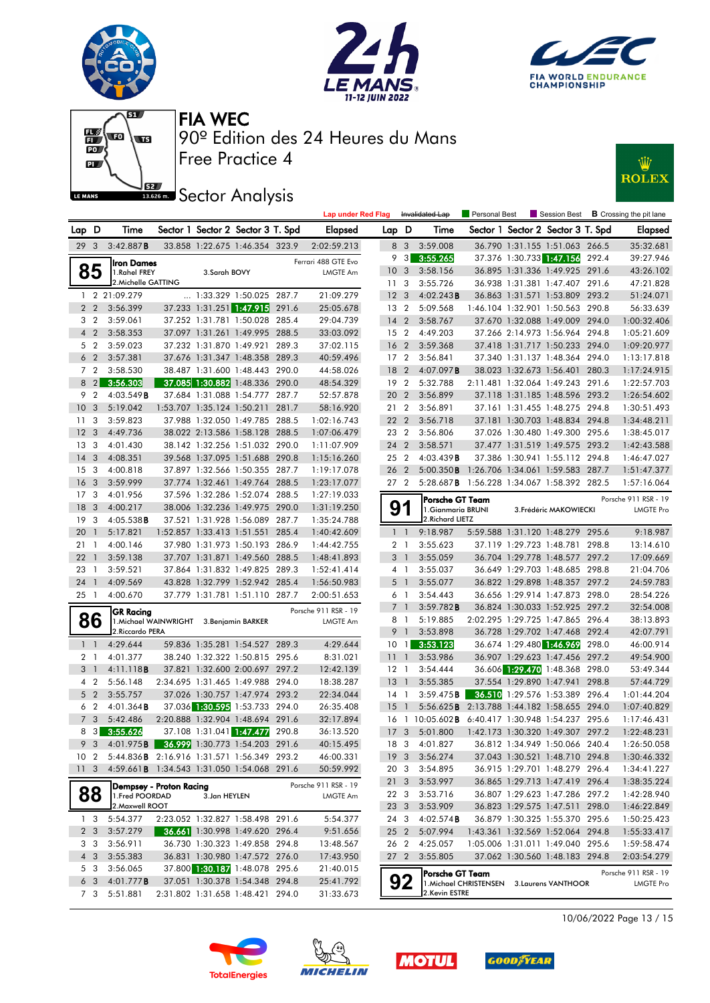







### **ISBN Sector Analysis**



|                 |                                  |                                                  |                                  |                                                                    |       | <b>Lap under Red Flag</b>        |                 | Invalidated Lap   |                                                                               | Personal Best                              |  | Session Best $\,$ <b>B</b> Crossing the pit lane                 |       |                            |
|-----------------|----------------------------------|--------------------------------------------------|----------------------------------|--------------------------------------------------------------------|-------|----------------------------------|-----------------|-------------------|-------------------------------------------------------------------------------|--------------------------------------------|--|------------------------------------------------------------------|-------|----------------------------|
| Lap D           |                                  | Time                                             |                                  | Sector 1 Sector 2 Sector 3 T. Spd                                  |       | <b>Elapsed</b>                   | Lap D           |                   | Time                                                                          |                                            |  | Sector 1 Sector 2 Sector 3 T. Spd                                |       | <b>Elapsed</b>             |
| 29 3            |                                  | 3:42.887B                                        |                                  | 33.858 1:22.675 1:46.354 323.9                                     |       | 2:02:59.213                      |                 | 8 3               | 3:59.008                                                                      |                                            |  | 36.790 1:31.155 1:51.063 266.5                                   |       | 35:32.681                  |
|                 |                                  | Iron Dames                                       |                                  |                                                                    |       | Ferrari 488 GTE Evo              | 9               | $\lceil 3 \rceil$ | 3:55.265                                                                      |                                            |  | 37.376 1:30.733 1:47.156                                         | 292.4 | 39:27.946                  |
|                 | 85                               | 1.Rahel FREY                                     | 3.Sarah BOVY                     |                                                                    |       | <b>LMGTE Am</b>                  | 10 <sub>3</sub> |                   | 3:58.156                                                                      |                                            |  | 36.895 1:31.336 1:49.925 291.6                                   |       | 43:26.102                  |
|                 |                                  | 2. Michelle GATTING                              |                                  |                                                                    |       |                                  | 11              | -3                | 3:55.726                                                                      |                                            |  | 36.938 1:31.381 1:47.407 291.6                                   |       | 47:21.828                  |
|                 |                                  | 1 2 21:09.279                                    |                                  | 1:33.329 1:50.025 287.7                                            |       | 21:09.279                        | 12 <sup>3</sup> |                   | 4:02.243B                                                                     |                                            |  | 36.863 1:31.571 1:53.809 293.2                                   |       | 51:24.071                  |
|                 | 2 <sub>2</sub>                   | 3:56.399                                         |                                  | 37.233 1:31.251 1:47.915                                           | 291.6 | 25:05.678                        | 13 2            |                   | 5:09.568                                                                      |                                            |  | 1:46.104 1:32.901 1:50.563 290.8                                 |       | 56:33.639                  |
|                 | 3 <sub>2</sub>                   | 3:59.061                                         |                                  | 37.252 1:31.781 1:50.028 285.4                                     |       | 29:04.739                        | $14 \quad 2$    |                   | 3:58.767                                                                      |                                            |  | 37.670 1:32.088 1:49.009 294.0                                   |       | 1:00:32.406                |
|                 | 4 <sup>2</sup>                   | 3:58.353                                         |                                  | 37.097 1:31.261 1:49.995 288.5                                     |       | 33:03.092                        | 15 <sub>2</sub> |                   | 4:49.203                                                                      |                                            |  | 37.266 2:14.973 1:56.964 294.8                                   |       | 1:05:21.609                |
|                 | 5 <sub>2</sub>                   | 3:59.023                                         |                                  | 37.232 1:31.870 1:49.921 289.3                                     |       | 37:02.115                        | 16 <sub>2</sub> |                   | 3:59.368                                                                      |                                            |  | 37.418 1:31.717 1:50.233 294.0                                   |       | 1:09:20.977                |
|                 | 6 <sub>2</sub>                   | 3:57.381                                         |                                  | 37.676 1:31.347 1:48.358 289.3                                     |       | 40:59.496                        | 17 <sub>2</sub> |                   | 3:56.841                                                                      |                                            |  | 37.340 1:31.137 1:48.364 294.0                                   |       | 1:13:17.818                |
|                 | 7 <sub>2</sub>                   | 3:58.530                                         |                                  | 38.487 1:31.600 1:48.443 290.0                                     |       | 44:58.026                        | 18              | $\overline{2}$    | 4:07.097B                                                                     |                                            |  | 38.023 1:32.673 1:56.401 280.3                                   |       | 1:17:24.915                |
|                 | $8 \quad 2$                      | 3:56.303                                         |                                  | 37.085 1:30.882 1:48.336 290.0                                     |       | 48:54.329                        | 192             |                   | 5:32.788                                                                      |                                            |  | 2:11.481 1:32.064 1:49.243 291.6                                 |       | 1:22:57.703                |
|                 | 9 2                              | 4:03.549B                                        |                                  | 37.684 1:31.088 1:54.777 287.7                                     |       | 52:57.878                        | 20              | $\overline{2}$    | 3:56.899                                                                      |                                            |  | 37.118 1:31.185 1:48.596 293.2                                   |       | 1:26:54.602                |
| 10 <sub>3</sub> |                                  | 5:19.042                                         |                                  | 1:53.707 1:35.124 1:50.211 281.7                                   |       | 58:16.920                        |                 | 21 2              | 3:56.891                                                                      |                                            |  | 37.161 1:31.455 1:48.275 294.8                                   |       | 1:30:51.493                |
| 11 <sup>3</sup> |                                  | 3:59.823                                         |                                  | 37.988 1:32.050 1:49.785 288.5                                     |       | 1:02:16.743                      | 22 2            |                   | 3:56.718                                                                      |                                            |  | 37.181 1:30.703 1:48.834 294.8                                   |       | 1:34:48.211                |
| 12              | $\overline{\mathbf{3}}$          | 4:49.736                                         |                                  | 38.022 2:13.586 1:58.128 288.5                                     |       | 1:07:06.479                      |                 | 23 2              | 3:56.806                                                                      |                                            |  | 37.026 1:30.480 1:49.300 295.6                                   |       | 1:38:45.017                |
| 13              | -3                               | 4:01.430                                         |                                  | 38.142 1:32.256 1:51.032 290.0                                     |       | 1:11:07.909                      | 24 2            |                   | 3:58.571                                                                      |                                            |  | 37.477 1:31.519 1:49.575 293.2                                   |       | 1:42:43.588                |
| 14 <sup>3</sup> |                                  | 4:08.351                                         |                                  | 39.568 1:37.095 1:51.688 290.8                                     |       | 1:15:16.260                      | 25 2            |                   | 4:03.439B                                                                     |                                            |  | 37.386 1:30.941 1:55.112 294.8                                   |       | 1:46:47.027                |
| 15              | $\overline{\mathbf{3}}$          | 4:00.818                                         |                                  | 37.897 1:32.566 1:50.355 287.7                                     |       | 1:19:17.078                      | 26 2            |                   | 5:00.350B                                                                     | 1:26.706 1:34.061 1:59.583 287.7           |  |                                                                  |       | 1:51:47.377                |
| 16              | $\overline{\mathbf{3}}$          | 3:59.999                                         |                                  | 37.774 1:32.461 1:49.764 288.5                                     |       | 1:23:17.077                      |                 | 27 2              | 5:28.687 <b>B</b> 1:56.228 1:34.067 1:58.392 282.5                            |                                            |  |                                                                  |       | 1:57:16.064                |
| 17 <sub>3</sub> |                                  | 4:01.956                                         |                                  | 37.596 1:32.286 1:52.074 288.5                                     |       | 1:27:19.033                      |                 |                   | Porsche GT Team                                                               |                                            |  |                                                                  |       | Porsche 911 RSR - 19       |
| 18              | $\overline{\mathbf{3}}$          | 4:00.217                                         |                                  | 38.006 1:32.236 1:49.975 290.0                                     |       | 1:31:19.250                      | 9               |                   | 1. Gianmaria BRUNI                                                            |                                            |  | 3. Frédéric MAKOWIECKI                                           |       | <b>LMGTE Pro</b>           |
| 19              | $\overline{\mathbf{3}}$          | $4:05.538$ <b>B</b>                              |                                  | 37.521 1:31.928 1:56.089 287.7                                     |       | 1:35:24.788                      |                 |                   | 2. Richard LIETZ                                                              |                                            |  |                                                                  |       |                            |
| 20              | $\overline{1}$                   | 5:17.821                                         |                                  | 1:52.857 1:33.413 1:51.551 285.4                                   |       | 1:40:42.609                      |                 | $1\quad$          | 9:18.987                                                                      |                                            |  | 5:59.588 1:31.120 1:48.279 295.6                                 |       | 9:18.987                   |
| 21              | $\overline{\phantom{a}}$         | 4:00.146                                         |                                  | 37.980 1:31.973 1:50.193 286.9                                     |       | 1:44:42.755                      |                 | 2 <sub>1</sub>    | 3:55.623                                                                      |                                            |  | 37.119 1:29.723 1:48.781                                         | 298.8 | 13:14.610                  |
| 22              | $\overline{1}$                   | 3:59.138                                         |                                  | 37.707 1:31.871 1:49.560 288.5                                     |       | 1:48:41.893                      |                 | 3 1               | 3:55.059                                                                      |                                            |  | 36.704 1:29.778 1:48.577 297.2                                   |       | 17:09.669                  |
| 23              | $\overline{1}$                   | 3:59.521                                         |                                  | 37.864 1:31.832 1:49.825 289.3                                     |       | 1:52:41.414                      |                 | 4 1               | 3:55.037                                                                      |                                            |  | 36.649 1:29.703 1:48.685 298.8                                   |       | 21:04.706                  |
| $24 \quad 1$    |                                  | 4:09.569                                         |                                  | 43.828 1:32.799 1:52.942 285.4                                     |       | 1:56:50.983                      |                 | 5 <sub>1</sub>    | 3:55.077                                                                      |                                            |  | 36.822 1:29.898 1:48.357 297.2                                   |       | 24:59.783                  |
| 25 1            |                                  | 4:00.670                                         |                                  | 37.779 1:31.781 1:51.110 287.7                                     |       | 2:00:51.653                      |                 | 61                | 3:54.443                                                                      |                                            |  | 36.656 1:29.914 1:47.873 298.0                                   |       | 28:54.226                  |
|                 |                                  | <b>GR Racing</b>                                 |                                  |                                                                    |       | Porsche 911 RSR - 19             |                 | 7 <sub>1</sub>    | 3:59.782B                                                                     |                                            |  | 36.824 1:30.033 1:52.925 297.2                                   |       | 32:54.008                  |
|                 | 86                               | 1. Michael WAINWRIGHT 3. Benjamin BARKER         |                                  |                                                                    |       | LMGTE Am                         |                 | 81                | 5:19.885                                                                      |                                            |  | 2:02.295 1:29.725 1:47.865 296.4                                 |       | 38:13.893                  |
|                 |                                  | 2. Riccardo PERA                                 |                                  |                                                                    |       |                                  | 9               | $\overline{1}$    | 3:53.898                                                                      |                                            |  | 36.728 1:29.702 1:47.468 292.4                                   |       | 42:07.791                  |
|                 | $1\quad$                         | 4:29.644                                         |                                  | 59.836 1:35.281 1:54.527 289.3                                     |       | 4:29.644                         | 10              | $\overline{1}$    | 3:53.123                                                                      |                                            |  | 36.674 1:29.480 1:46.969                                         | 298.0 | 46:00.914                  |
|                 | 2 <sub>1</sub>                   | 4:01.377                                         |                                  | 38.240 1:32.322 1:50.815 295.6                                     |       | 8:31.021                         | 11              | $\overline{1}$    | 3:53.986                                                                      |                                            |  | 36.907 1:29.623 1:47.456 297.2                                   |       | 49:54.900                  |
|                 | 3 <sup>1</sup>                   | 4:11.118B                                        |                                  | 37.821 1:32.600 2:00.697 297.2                                     |       | 12:42.139                        | $12-1$          |                   | 3:54.444                                                                      |                                            |  | 36.606 1:29.470 1:48.368 298.0                                   |       | 53:49.344                  |
|                 | 4 <sup>2</sup><br>5 <sub>2</sub> | 5:56.148                                         |                                  | 2:34.695 1:31.465 1:49.988 294.0<br>37.026 1:30.757 1:47.974 293.2 |       | 18:38.287                        | $13-1$          |                   | 3:55.385                                                                      |                                            |  | 37.554 1:29.890 1:47.941 298.8<br>36.510 1:29.576 1:53.389 296.4 |       | 57:44.729<br>1:01:44.204   |
|                 | 6 <sub>2</sub>                   | 3:55.757<br>$4:01.364$ <b>B</b>                  |                                  | 37.036 1:30.595 1:53.733 294.0                                     |       | 22:34.044<br>26:35.408           | 14<br>15        | $\overline{1}$    | 3:59.475B                                                                     |                                            |  |                                                                  |       |                            |
|                 | 7 <sub>3</sub>                   | 5:42.486                                         |                                  | 2:20.888 1:32.904 1:48.694 291.6                                   |       | 32:17.894                        |                 | -1                | 5:56.625 <b>B</b> 2:13.788 1:44.182 1:58.655 294.0<br>16 1 10:05.602 <b>B</b> |                                            |  | 6:40.417 1:30.948 1:54.237 295.6                                 |       | 1:07:40.829<br>1:17:46.431 |
| 8               |                                  | $3\quad 3:55.626$                                |                                  | 37.108 1:31.041 1:47.477                                           | 290.8 | 36:13.520                        |                 |                   | 17 3 5:01.800                                                                 |                                            |  | 1:42.173 1:30.320 1:49.307 297.2                                 |       | 1:22:48.231                |
|                 | 9 <sup>3</sup>                   | 4:01.975B                                        |                                  | 36.999 1:30.773 1:54.203 291.6                                     |       | 40:15.495                        |                 | 18 3              | 4:01.827                                                                      |                                            |  | 36.812 1:34.949 1:50.066 240.4                                   |       | 1:26:50.058                |
|                 |                                  | 10 2 5:44.836 B 2:16.916 1:31.571 1:56.349 293.2 |                                  |                                                                    |       | 46:00.331                        |                 |                   | 19 3 3:56.274                                                                 |                                            |  | 37.043 1:30.521 1:48.710 294.8                                   |       | 1:30:46.332                |
|                 |                                  | 11 3 4:59.661B 1:34.543 1:31.050 1:54.068 291.6  |                                  |                                                                    |       | 50:59.992                        |                 |                   | 20 3 3:54.895                                                                 |                                            |  | 36.915 1:29.701 1:48.279 296.4                                   |       | 1:34:41.227                |
|                 |                                  |                                                  |                                  |                                                                    |       |                                  |                 |                   | 21 3 3:53.997                                                                 |                                            |  | 36.865 1:29.713 1:47.419 296.4                                   |       | 1:38:35.224                |
|                 | 88                               | Dempsey - Proton Racing<br>1. Fred POORDAD       | 3.Jan HEYLEN                     |                                                                    |       | Porsche 911 RSR - 19<br>LMGTE Am |                 | 223               | 3:53.716                                                                      |                                            |  | 36.807 1:29.623 1:47.286 297.2                                   |       | 1:42:28.940                |
|                 |                                  | 2. Maxwell ROOT                                  |                                  |                                                                    |       |                                  |                 | 23 3              | 3:53.909                                                                      |                                            |  | 36.823 1:29.575 1:47.511 298.0                                   |       | 1:46:22.849                |
|                 | 1 <sub>3</sub>                   | 5:54.377                                         |                                  | 2:23.052 1:32.827 1:58.498 291.6                                   |       | 5:54.377                         |                 | 243               | $4:02.574$ B                                                                  |                                            |  | 36.879 1:30.325 1:55.370 295.6                                   |       | 1:50:25.423                |
|                 | 2 <sub>3</sub>                   | 3:57.279                                         |                                  | 36.661 1:30.998 1:49.620 296.4                                     |       | 9:51.656                         | 25 <sub>2</sub> |                   | 5:07.994                                                                      |                                            |  | 1:43.361 1:32.569 1:52.064 294.8                                 |       | 1:55:33.417                |
|                 | 3 3                              | 3:56.911                                         |                                  | 36.730 1:30.323 1:49.858 294.8                                     |       | 13:48.567                        |                 | 262               | 4:25.057                                                                      |                                            |  | 1:05.006 1:31.011 1:49.040 295.6                                 |       | 1:59:58.474                |
|                 | 4 3                              | 3:55.383                                         |                                  | 36.831 1:30.980 1:47.572 276.0                                     |       | 17:43.950                        |                 |                   | 27 2 3:55.805                                                                 |                                            |  | 37.062 1:30.560 1:48.183 294.8                                   |       | 2:03:54.279                |
|                 | 5 3                              | 3:56.065                                         |                                  | 37.800 1:30.187 1:48.078 295.6                                     |       | 21:40.015                        |                 |                   |                                                                               |                                            |  |                                                                  |       | Porsche 911 RSR - 19       |
|                 | 6 <sub>3</sub>                   | 4:01.777 <b>B</b>                                |                                  | 37.051 1:30.378 1:54.348 294.8                                     |       | 25:41.792                        |                 | 92                | Porsche GT Team                                                               | 1. Michael CHRISTENSEN 3. Laurens VANTHOOR |  |                                                                  |       | <b>LMGTE Pro</b>           |
|                 | 7 3                              | 5:51.881                                         | 2:31.802 1:31.658 1:48.421 294.0 |                                                                    |       | 31:33.673                        |                 |                   | 2.Kevin ESTRE                                                                 |                                            |  |                                                                  |       |                            |









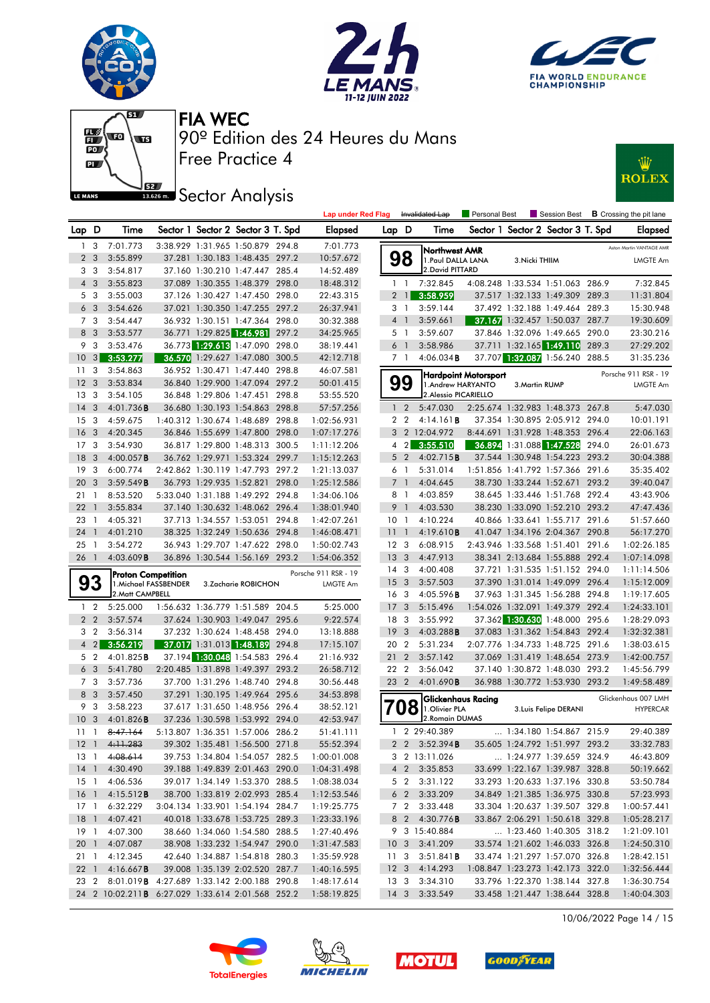











|                 |                |                                                                           |                          |                                   |       | <b>Lap under Red Flag</b>  |                 | Invalidated Lap         |                                     | Personal Best        |                | Session Best                                                       |       | <b>B</b> Crossing the pit lane |
|-----------------|----------------|---------------------------------------------------------------------------|--------------------------|-----------------------------------|-------|----------------------------|-----------------|-------------------------|-------------------------------------|----------------------|----------------|--------------------------------------------------------------------|-------|--------------------------------|
| Lap D           |                | Time                                                                      |                          | Sector 1 Sector 2 Sector 3 T. Spd |       | <b>Elapsed</b>             | Lap D           |                         | Time                                |                      |                | Sector 1 Sector 2 Sector 3 T. Spd                                  |       | <b>Elapsed</b>                 |
| 1.              | 3              | 7:01.773                                                                  |                          | 3:38.929 1:31.965 1:50.879 294.8  |       | 7:01.773                   |                 |                         |                                     |                      |                |                                                                    |       | Aston Martin VANTAGE AMR       |
|                 | 2 <sub>3</sub> | 3:55.899                                                                  |                          | 37.281 1:30.183 1:48.435 297.2    |       | 10:57.672                  |                 | 98                      | Northwest AMR<br>1. Paul DALLA LANA |                      | 3. Nicki THIIM |                                                                    |       | LMGTE Am                       |
|                 | 33             | 3:54.817                                                                  |                          | 37.160 1:30.210 1:47.447 285.4    |       | 14:52.489                  |                 |                         | 2. David PITTARD                    |                      |                |                                                                    |       |                                |
|                 | $4\quad3$      | 3:55.823                                                                  |                          | 37.089 1:30.355 1:48.379 298.0    |       | 18:48.312                  |                 | $1\quad$                | 7:32.845                            |                      |                | 4:08.248 1:33.534 1:51.063 286.9                                   |       | 7:32.845                       |
|                 | 5 3            | 3:55.003                                                                  |                          | 37.126 1:30.427 1:47.450 298.0    |       | 22:43.315                  |                 | 2 <sub>1</sub>          | 3:58.959                            |                      |                | 37.517 1:32.133 1:49.309 289.3                                     |       | 11:31.804                      |
|                 | 6 <sub>3</sub> | 3:54.626                                                                  |                          | 37.021 1:30.350 1:47.255 297.2    |       | 26:37.941                  |                 | 3 1                     | 3:59.144                            |                      |                | 37.492 1:32.188 1:49.464 289.3                                     |       | 15:30.948                      |
|                 | 73             | 3:54.447                                                                  |                          | 36.932 1:30.151 1:47.364 298.0    |       | 30:32.388                  |                 | 4 1                     | 3:59.661                            |                      |                | 37.167 1:32.457 1:50.037 287.7                                     |       | 19:30.609                      |
|                 | 8 3            | 3:53.577                                                                  |                          | 36.771 1:29.825 1:46.981          | 297.2 | 34:25.965                  |                 | 5 <sub>1</sub>          | 3:59.607                            |                      |                | 37.846 1:32.096 1:49.665 290.0                                     |       | 23:30.216                      |
| 9               | 3              | 3:53.476                                                                  |                          | 36.773 1:29.613 1:47.090          | 298.0 | 38:19.441                  |                 | 6 <sup>1</sup>          | 3:58.986                            |                      |                | 37.711 1:32.165 1:49.110                                           | 289.3 | 27:29.202                      |
| 10              | 3              | 3:53.277                                                                  |                          | 36.570 1:29.627 1:47.080          | 300.5 | 42:12.718                  |                 | 7 1                     | 4:06.034B                           |                      |                | 37.707 1:32.087 1:56.240 288.5                                     |       | 31:35.236                      |
| 11              | -3             | 3:54.863                                                                  |                          | 36.952 1:30.471 1:47.440 298.8    |       | 46:07.581                  |                 |                         |                                     | Hardpoint Motorsport |                |                                                                    |       | Porsche 911 RSR - 19           |
| 12              | $\mathbf{3}$   | 3:53.834                                                                  |                          | 36.840 1:29.900 1:47.094 297.2    |       | 50:01.415                  |                 | 99                      | 1.Andrew HARYANTO                   |                      | 3. Martin RUMP |                                                                    |       | LMGTE Am                       |
| 13              | 3              | 3:54.105                                                                  |                          | 36.848 1:29.806 1:47.451 298.8    |       | 53:55.520                  |                 |                         | 2. Alessio PICARIELLO               |                      |                |                                                                    |       |                                |
| 14              | -3             | 4:01.736B                                                                 |                          | 36.680 1:30.193 1:54.863 298.8    |       | 57:57.256                  |                 | 1 <sub>2</sub>          | 5:47.030                            |                      |                | 2:25.674 1:32.983 1:48.373 267.8                                   |       | 5:47.030                       |
| 15 <sub>3</sub> |                | 4:59.675                                                                  |                          | 1:40.312 1:30.674 1:48.689 298.8  |       | 1:02:56.931                |                 | 2 <sub>2</sub>          | 4:14.161B                           |                      |                | 37.354 1:30.895 2:05.912 294.0                                     |       | 10:01.191                      |
| 16              | $\mathbf{3}$   | 4:20.345                                                                  |                          | 36.846 1:55.699 1:47.800 298.0    |       | 1:07:17.276                |                 |                         | 3 2 12:04.972                       |                      |                | 8:44.691 1:31.928 1:48.353 296.4                                   |       | 22:06.163                      |
| 17              | 3              | 3:54.930                                                                  |                          | 36.817 1:29.800 1:48.313          | 300.5 | 1:11:12.206                |                 | $4\quad2$               | 3:55.510                            |                      |                | 36.894 1:31.088 1:47.528                                           | 294.0 | 26:01.673                      |
| 18              | -3             | $4:00.057$ B                                                              |                          | 36.762 1:29.971 1:53.324 299.7    |       | 1:15:12.263                |                 | 5 <sub>2</sub>          | 4:02.715 <b>B</b>                   |                      |                | 37.544 1:30.948 1:54.223 293.2                                     |       | 30:04.388                      |
| 19              | - 3            | 6:00.774                                                                  |                          | 2:42.862 1:30.119 1:47.793 297.2  |       | 1:21:13.037                |                 | 6 1                     | 5:31.014                            |                      |                | 1:51.856 1:41.792 1:57.366 291.6                                   |       | 35:35.402                      |
| 20              | 3              | 3:59.549B                                                                 |                          | 36.793 1:29.935 1:52.821 298.0    |       | 1:25:12.586                | $\overline{7}$  | $\overline{1}$          | 4:04.645                            |                      |                | 38.730 1:33.244 1:52.671                                           | 293.2 | 39:40.047                      |
| 21              | - 1            | 8:53.520                                                                  |                          | 5:33.040 1:31.188 1:49.292 294.8  |       | 1:34:06.106                |                 | 8 1                     | 4:03.859                            |                      |                | 38.645 1:33.446 1:51.768 292.4                                     |       | 43:43.906                      |
| 22              | $\overline{1}$ | 3:55.834                                                                  |                          | 37.140 1:30.632 1:48.062 296.4    |       | 1:38:01.940                |                 | 9 <sub>1</sub>          | 4:03.530                            |                      |                | 38.230 1:33.090 1:52.210 293.2                                     |       | 47:47.436                      |
| 23              | $\overline{1}$ | 4:05.321                                                                  |                          | 37.713 1:34.557 1:53.051 294.8    |       | 1:42:07.261                | 10 <sub>1</sub> |                         | 4:10.224                            |                      |                | 40.866 1:33.641 1:55.717 291.6                                     |       | 51:57.660                      |
| 24              | $\overline{1}$ | 4:01.210                                                                  |                          | 38.325 1:32.249 1:50.636 294.8    |       | 1:46:08.471                | $11-1$          |                         | 4:19.610B                           |                      |                | 41.047 1:34.196 2:04.367                                           | 290.8 | 56:17.270                      |
| 25              | $\overline{1}$ | 3:54.272                                                                  |                          | 36.943 1:29.707 1:47.622 298.0    |       | 1:50:02.743                |                 | 12 3                    | 6:08.915                            |                      |                | 2:43.946 1:33.568 1:51.401                                         | 291.6 | 1:02:26.185                    |
| 26              | $\overline{1}$ | 4:03.609B                                                                 |                          | 36.896 1:30.544 1:56.169 293.2    |       | 1:54:06.352                | 13 <sub>3</sub> |                         | 4:47.913                            |                      |                | 38.341 2:13.684 1:55.888 292.4                                     |       | 1:07:14.098                    |
|                 |                | <b>Proton Competition</b>                                                 |                          |                                   |       | Porsche 911 RSR - 19       |                 | 14 <sup>3</sup>         | 4:00.408                            |                      |                | 37.721 1:31.535 1:51.152 294.0                                     |       | 1:11:14.506                    |
|                 | 93             | 1. Michael FASSBENDER                                                     |                          | 3.Zacharie ROBICHON               |       | <b>LMGTE Am</b>            | 15 <sub>3</sub> |                         | 3:57.503                            |                      |                | 37.390 1:31.014 1:49.099 296.4                                     |       | 1:15:12.009                    |
|                 |                | 2. Matt CAMPBELL                                                          |                          |                                   |       |                            |                 | 16 <sub>3</sub>         | 4:05.596B                           |                      |                | 37.963 1:31.345 1:56.288 294.8                                     |       | 1:19:17.605                    |
|                 | $1\quad 2$     | 5:25.000                                                                  |                          | 1:56.632 1:36.779 1:51.589 204.5  |       | 5:25.000                   | 17 <sub>3</sub> |                         | 5:15.496                            |                      |                | 1:54.026 1:32.091 1:49.379 292.4                                   |       | 1:24:33.101                    |
|                 | 2 <sub>2</sub> | 3:57.574                                                                  |                          | 37.624 1:30.903 1:49.047 295.6    |       | 9:22.574                   |                 | 18 3                    | 3:55.992                            |                      |                | 37.362 1:30.630 1:48.000 295.6                                     |       | 1:28:29.093                    |
| 3               | $\overline{2}$ | 3:56.314                                                                  |                          | 37.232 1:30.624 1:48.458 294.0    |       | 13:18.888                  | 19              | $\overline{\mathbf{3}}$ | $4:03.288$ B                        |                      |                | 37.083 1:31.362 1:54.843 292.4                                     |       | 1:32:32.381                    |
| $\overline{4}$  | $\vert$ 2      | 3:56.219                                                                  |                          | 37.017 1:31.013 1:48.189          | 294.8 | 17:15.107                  | 20 2            |                         | 5:31.234                            |                      |                | 2:07.776 1:34.733 1:48.725 291.6                                   |       | 1:38:03.615                    |
|                 | 5 2            | 4:01.825B                                                                 |                          | 37.194 1:30.048 1:54.583 296.4    |       | 21:16.932                  | $21 \t2$        |                         | 3:57.142                            |                      |                | 37.069 1:31.419 1:48.654 273.9                                     |       | 1:42:00.757                    |
|                 | 6 <sub>3</sub> | 5:41.780                                                                  |                          | 2:20.485 1:31.898 1:49.397 293.2  |       | 26:58.712                  |                 | 22 2                    | 3:56.042                            |                      |                | 37.140 1:30.872 1:48.030 293.2                                     |       | 1:45:56.799                    |
|                 | 7 3            | 3:57.736                                                                  | 37.700 1:31.296 1:48.740 |                                   | 294.8 | 30:56.448                  |                 | 23 2                    | 4:01.690B                           |                      |                | 36.988 1:30.772 1:53.930 293.2                                     |       | 1:49:58.489                    |
|                 | 8 3            | 3:57.450                                                                  |                          | 37.291 1:30.195 1:49.964 295.6    |       | 34:53.898                  |                 |                         | <b>Glickenhaus Racing</b>           |                      |                |                                                                    |       | Glickenhaus 007 LMH            |
|                 | 9 3            | 3:58.223                                                                  |                          | 37.617 1:31.650 1:48.956 296.4    |       | 38:52.121                  |                 | u                       | 1. Olivier PLA<br>О                 |                      |                | 3. Luis Felipe DERANI                                              |       | <b>HYPERCAR</b>                |
| 10              | $\mathbf{3}$   | 4:01.826B                                                                 |                          | 37.236 1:30.598 1:53.992 294.0    |       | 42:53.947                  |                 |                         | 2. Romain DUMAS                     |                      |                |                                                                    |       |                                |
| $11 \quad 1$    |                | 8:47.164                                                                  |                          | 5:13.807 1:36.351 1:57.006 286.2  |       | 51:41.111                  |                 |                         | 1 2 29:40.389                       |                      |                | 1:34.180 1:54.867 215.9                                            |       | 29:40.389                      |
|                 |                | $12 \quad 1 \quad 4.11.283$                                               |                          | 39.302 1:35.481 1:56.500 271.8    |       | 55:52.394                  |                 |                         | 2 2 3:52.394B                       |                      |                | 35.605 1:24.792 1:51.997 293.2                                     |       | 33:32.783                      |
|                 |                | 13 1 4:08.614                                                             |                          | 39.753 1:34.804 1:54.057 282.5    |       | 1:00:01.008                |                 |                         | 3 2 13:11.026                       |                      |                | 1:24.977 1:39.659 324.9                                            |       | 46:43.809                      |
|                 |                | 14 1 4:30.490                                                             |                          | 39.188 1:49.839 2:01.463 290.0    |       | 1:04:31.498                |                 |                         | 4 2 3:35.853                        |                      |                | 33.699 1:22.167 1:39.987 328.8                                     |       | 50:19.662                      |
|                 |                | 15 1 4:06.536                                                             |                          | 39.017 1:34.149 1:53.370 288.5    |       | 1:08:38.034                |                 |                         | 5 2 3:31.122                        |                      |                | 33.293 1:20.633 1:37.196 330.8                                     |       | 53:50.784                      |
|                 |                | 16 1 4:15.512 <b>B</b>                                                    |                          | 38.700 1:33.819 2:02.993 285.4    |       | 1:12:53.546                |                 |                         | $6\quad 2\quad 3:33.209$            |                      |                | 34.849 1:21.385 1:36.975 330.8                                     |       | 57:23.993                      |
|                 |                | 17 1 6:32.229                                                             |                          | 3:04.134 1:33.901 1:54.194 284.7  |       | 1:19:25.775                |                 |                         | 7 2 3:33.448                        |                      |                | 33.304 1:20.637 1:39.507 329.8                                     |       | 1:00:57.441                    |
|                 |                | 18 1 4:07.421                                                             |                          | 40.018 1:33.678 1:53.725 289.3    |       | 1:23:33.196                |                 |                         | 8 2 4:30.776 <b>B</b>               |                      |                | 33.867 2:06.291 1:50.618 329.8                                     |       | 1:05:28.217                    |
|                 |                | 19 1 4:07.300                                                             |                          | 38.660 1:34.060 1:54.580 288.5    |       | 1:27:40.496                |                 |                         | 9 3 15:40.884                       |                      |                | 1:23.460 1:40.305 318.2                                            |       | 1:21:09.101                    |
|                 |                | 20 1 4:07.087                                                             |                          | 38.908 1:33.232 1:54.947 290.0    |       | 1:31:47.583                |                 |                         | 10 3 3:41.209                       |                      |                | 33.574 1:21.602 1:46.033 326.8                                     |       | 1:24:50.310                    |
|                 |                | 21 1 4:12.345                                                             |                          | 42.640 1:34.887 1:54.818 280.3    |       | 1:35:59.928                |                 |                         | 11 3 3:51.841 <b>B</b>              |                      |                | 33.474 1:21.297 1:57.070 326.8                                     |       | 1:28:42.151                    |
|                 |                | 22 1 4:16.667 <b>B</b><br>23 2 8:01.019B 4:27.689 1:33.142 2:00.188 290.8 |                          | 39.008 1:35.139 2:02.520 287.7    |       | 1:40:16.595                |                 |                         | 12 3 4:14.293                       |                      |                | 1:08.847 1:23.273 1:42.173 322.0<br>33.796 1:22.370 1:38.144 327.8 |       | 1:32:56.444                    |
|                 |                | 24 2 10:02.211 <b>B</b> 6:27.029 1:33.614 2:01.568 252.2                  |                          |                                   |       | 1:48:17.614<br>1:58:19.825 |                 |                         | 13 3 3:34.310<br>14 3 3:33.549      |                      |                | 33.458 1:21.447 1:38.644 328.8                                     |       | 1:36:30.754<br>1:40:04.303     |
|                 |                |                                                                           |                          |                                   |       |                            |                 |                         |                                     |                      |                |                                                                    |       |                                |

10/06/2022 Page 14 / 15